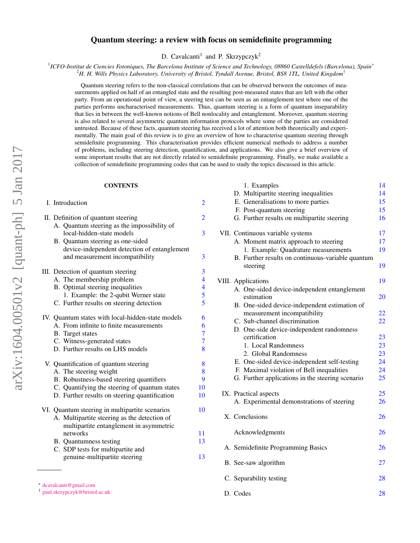# Quantum steering: a review with focus on semidefinite programming

D. Cavalcanti<sup>1</sup> and P. Skrzypczyk<sup>2</sup>

1 *ICFO-Institut de Ciencies Fotoniques, The Barcelona Institute of Science and Technology, 08860 Castelldefels (Barcelona), Spain*[∗](#page-0-0)

<sup>2</sup>*H. H. Wills Physics Laboratory, University of Bristol, Tyndall Avenue, Bristol, BS8 1TL, United Kingdom*[†](#page-0-1)

Quantum steering refers to the non-classical correlations that can be observed between the outcomes of measurements applied on half of an entangled state and the resulting post-measured states that are left with the other party. From an operational point of view, a steering test can be seen as an entanglement test where one of the parties performs uncharacterised measurements. Thus, quantum steering is a form of quantum inseparability that lies in between the well-known notions of Bell nonlocality and entanglement. Moreover, quantum steering is also related to several asymmetric quantum information protocols where some of the parties are considered untrusted. Because of these facts, quantum steering has received a lot of attention both theoretically and experimentally. The main goal of this review is to give an overview of how to characterise quantum steering through semidefinite programming. This characterisation provides efficient numerical methods to address a number of problems, including steering detection, quantification, and applications. We also give a brief overview of some important results that are not directly related to semidefinite programming. Finally, we make available a collection of semidefinite programming codes that can be used to study the topics discussed in this article.

1. Examples [14](#page-13-0)<br>Multinessite steering inequalities 14

D. Codes [28](#page-27-1)

# **CONTENTS**

|                                                                 |                          | D. Multipartite steering inequalities                         | 14 |
|-----------------------------------------------------------------|--------------------------|---------------------------------------------------------------|----|
| I. Introduction                                                 | $\overline{2}$           | E. Generalisations to more parties                            | 15 |
|                                                                 |                          | F. Post-quantum steering                                      | 15 |
| II. Definition of quantum steering                              | $\overline{2}$           | G. Further results on multipartite steering                   | 16 |
| A. Quantum steering as the impossibility of                     |                          |                                                               |    |
| local-hidden-state models                                       | 3                        | VII. Continuous variable systems                              | 17 |
| B. Quantum steering as one-sided                                |                          | A. Moment matrix approach to steering                         | 17 |
| device-independent detection of entanglement                    |                          | 1. Example: Quadrature measurements                           | 19 |
| and measurement incompatibility                                 | 3                        | B. Further results on continuous-variable quantum<br>steering | 19 |
| III. Detection of quantum steering                              | 3                        |                                                               |    |
| A. The membership problem                                       | $\overline{\mathbf{4}}$  | VIII. Applications                                            | 19 |
| B. Optimal steering inequalities                                | $\overline{\mathcal{A}}$ | A. One-sided device-independent entanglement                  |    |
| 1. Example: the 2-qubit Werner state                            | 5                        | estimation                                                    | 20 |
| C. Further results on steering detection                        | 5                        | B. One-sided device-independent estimation of                 |    |
|                                                                 |                          | measurement incompatibility                                   | 22 |
| IV. Quantum states with local-hidden-state models               | 6                        | C. Sub-channel discrimination                                 | 22 |
| A. From infinite to finite measurements                         | 6                        | D. One-side device-independent randomness                     |    |
| B. Target states                                                | $\overline{7}$           | certification                                                 | 23 |
| C. Witness-generated states                                     | 7                        | 1. Local Randomness                                           | 23 |
| D. Further results on LHS models                                | 8                        | 2. Global Randomness                                          | 23 |
|                                                                 |                          | E. One-sided device-independent self-testing                  | 24 |
| V. Quantification of quantum steering<br>A. The steering weight | 8<br>8                   | F. Maximal violation of Bell inequalities                     | 24 |
| B. Robustness-based steering quantifiers                        | 9                        | G. Further applications in the steering scenario              | 25 |
| C. Quantifying the steering of quantum states                   | 10                       |                                                               |    |
| D. Further results on steering quantification                   | 10                       | IX. Practical aspects                                         | 25 |
|                                                                 |                          | A. Experimental demonstrations of steering                    | 26 |
| VI. Quantum steering in multipartite scenarios                  | 10                       |                                                               |    |
| A. Multipartite steering as the detection of                    |                          | X. Conclusions                                                | 26 |
| multipartite entanglement in asymmetric                         |                          |                                                               |    |
| networks                                                        | 11                       | Acknowledgments                                               | 26 |
| <b>B.</b> Quantumness testing                                   | 13                       |                                                               |    |
| C. SDP tests for multipartite and                               |                          | A. Semidefinite Programming Basics                            | 26 |
| genuine-multipartite steering                                   | 13                       |                                                               |    |
|                                                                 |                          | B. See-saw algorithm                                          | 27 |
|                                                                 |                          | C. Separability testing                                       | 28 |
| * dcavalcanti@gmail.com                                         |                          |                                                               |    |

<span id="page-0-0"></span>

<span id="page-0-1"></span><sup>†</sup> [paul.skrzypczyk@bristol.ac.uk](mailto:paul.skrzypczyk@bristol.ac.uk )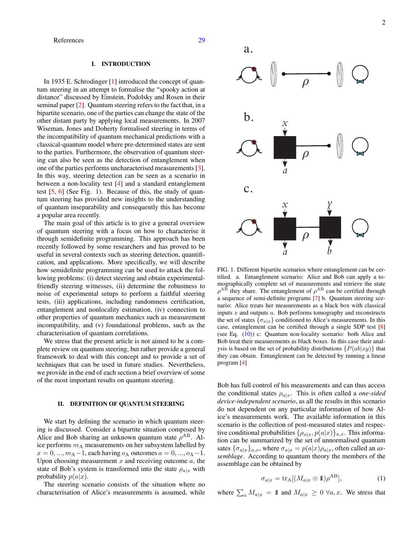# <span id="page-1-0"></span>I. INTRODUCTION

In 1935 E. Schrodinger [\[1\]](#page-28-1) introduced the concept of quantum steering in an attempt to formalise the "spooky action at distance" discussed by Einstein, Podolsky and Rosen in their seminal paper [\[2\]](#page-28-2). Quantum steering refers to the fact that, in a bipartite scenario, one of the parties can change the state of the other distant party by applying local measurements. In 2007 Wiseman, Jones and Doherty formalised steering in terms of the incompatibility of quantum mechanical predictions with a classical-quantum model where pre-determined states are sent to the parties. Furthermore, the observation of quantum steering can also be seen as the detection of entanglement when one of the parties performs uncharacterised measurements [\[3\]](#page-28-3). In this way, steering detection can be seen as a scenario in between a non-locality test [\[4\]](#page-28-4) and a standard entanglement test  $[5, 6]$  $[5, 6]$  $[5, 6]$  (See Fig. [1\)](#page-1-2). Because of this, the study of quantum steering has provided new insights to the understanding of quantum inseparability and consequently this has become a popular area recently.

The main goal of this article is to give a general overview of quantum steering with a focus on how to characterise it through semidefinite programming. This approach has been recently followed by some researchers and has proved to be useful in several contexts such as steering detection, quantification, and applications. More specifically, we will describe how semidefinite programming can be used to attack the following problems: (i) detect steering and obtain experimentalfriendly steering witnesses, (ii) determine the robustness to noise of experimental setups to perform a faithful steering tests, (iii) applications, including randomness certification, entanglement and nonlocality estimation, (iv) connection to other properties of quantum mechanics such as measurement incompatibility, and (v) foundational problems, such as the characterisation of quantum correlations.

We stress that the present article is not aimed to be a complete review on quantum steering, but rather provide a general framework to deal with this concept and to provide a set of techniques that can be used in future studies. Nevertheless, we provide in the end of each section a brief overview of some of the most important results on quantum steering.

# <span id="page-1-1"></span>II. DEFINITION OF QUANTUM STEERING

We start by defining the scenario in which quantum steering is discussed. Consider a bipartite situation composed by Alice and Bob sharing an unknown quantum state  $\rho^{AB}$ . Alice performs  $m_A$  measurements on her subsystem labelled by  $x = 0, \ldots, m_A-1$ , each having  $o_A$  outcomes  $a = 0, \ldots, o_A-1$ . Upon choosing measurement  $x$  and receiving outcome  $a$ , the state of Bob's system is transformed into the state  $\rho_{a|x}$  with probability  $p(a|x)$ .

The steering scenario consists of the situation where no characterisation of Alice's measurements is assumed, while



<span id="page-1-2"></span>FIG. 1. Different bipartite scenarios where entanglement can be certified. a. Entanglement scenario: Alice and Bob can apply a tomographically complete set of measurements and retrieve the state  $\rho^{AB}$  they share. The entanglement of  $\rho^{AB}$  can be certified through a sequence of semi-definite programs [\[7\]](#page-28-7) b. Quantum steering scenario: Alice treats her measurements as a black box with classical inputs  $x$  and outputs  $a$ . Bob performs tomography and reconstructs the set of states  $\{\sigma_{a|x}\}$  conditioned to Alice's measurements. In this case, entanglement can be certified through a single SDP test [\[8\]](#page-28-8) (see Eq. [\(10\)](#page-3-2)) c: Quantum non-locality scenario: both Alice and Bob treat their measurements as black boxes. In this case their analysis is based on the set of probability distributions  $\{P(ab|xy)\}$  that they can obtain. Entanglement can be detected by running a linear program [\[4\]](#page-28-4)

Bob has full control of his measurements and can thus access the conditional states  $\rho_{a|x}$ . This is often called a *one-sided device-independent scenario*, as all the results in this scenario do not dependent on any particular information of how Alice's measurements work. The available information in this scenario is the collection of post-measured states and respective conditional probabilities  $\{\rho_{a|x}, p(a|x)\}_{a,x}$ . This information can be summarized by the set of unnormalised quantum sates  $\{\sigma_{a|x}\}_{a,x}$ , where  $\sigma_{a|x} = p(a|x)\rho_{a|x}$ , often called an *assemblage*. According to quantum theory the members of the assemblage can be obtained by

<span id="page-1-3"></span>
$$
\sigma_{a|x} = \text{tr}_{A}[(M_{a|x} \otimes 1) \rho^{AB}], \tag{1}
$$

where  $\sum_a M_{a|x} = 11$  and  $M_{a|x} \geq 0 \forall a, x$ . We stress that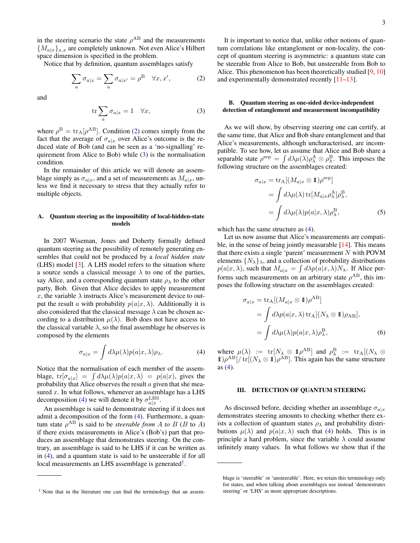in the steering scenario the state  $\rho^{AB}$  and the measurements  ${M_{a|x}}_{a,x}$  are completely unknown. Not even Alice's Hilbert space dimension is specified in the problem.

Notice that by definition, quantum assemblages satisfy

$$
\sum_{a} \sigma_{a|x} = \sum_{a} \sigma_{a|x'} = \rho^{\mathcal{B}} \quad \forall x, x', \tag{2}
$$

<span id="page-2-4"></span>and

$$
\operatorname{tr}\sum_{a}\sigma_{a|x}=1 \quad \forall x,\tag{3}
$$

where  $\rho^{\rm B} = {\rm tr}_{\rm A}[\rho^{\rm AB}]$ . Condition [\(2\)](#page-2-3) comes simply from the fact that the average of  $\sigma_{a|x}$  over Alice's outcome is the reduced state of Bob (and can be seen as a 'no-signalling' requirement from Alice to Bob) while [\(3\)](#page-2-4) is the normalisation condition.

In the remainder of this article we will denote an assemblage simply as  $\sigma_{a|x}$ , and a set of measurements as  $M_{a|x}$ , unless we find it necessary to stress that they actually refer to multiple objects.

### <span id="page-2-0"></span>A. Quantum steering as the impossibility of local-hidden-state models

In 2007 Wiseman, Jones and Doherty formally defined quantum steering as the possibility of remotely generating ensembles that could not be produced by a *local hidden state* (LHS) model [\[3\]](#page-28-3). A LHS model refers to the situation where a source sends a classical message  $\lambda$  to one of the parties, say Alice, and a corresponding quantum state  $\rho_{\lambda}$  to the other party, Bob. Given that Alice decides to apply measurement x, the variable  $\lambda$  instructs Alice's measurement device to output the result a with probability  $p(a|x, \lambda)$ . Additionally it is also considered that the classical message  $\lambda$  can be chosen according to a distribution  $\mu(\lambda)$ . Bob does not have access to the classical variable  $\lambda$ , so the final assemblage he observes is composed by the elements

<span id="page-2-5"></span>
$$
\sigma_{a|x} = \int d\lambda \mu(\lambda) p(a|x,\lambda) \rho_{\lambda}.
$$
 (4)

Notice that the normalisation of each member of the assemblage,  $tr[\sigma_{a|x}] = \int d\lambda \mu(\lambda) p(a|x, \lambda) = p(a|x)$ , gives the probability that Alice observes the result  $a$  given that she measured  $x$ . In what follows, whenever an assemblage has a LHS decomposition [\(4\)](#page-2-5) we will denote it by  $\sigma_{a|x}^{\text{LHS}}$ .

An assemblage is said to demonstrate steering if it does not admit a decomposition of the form [\(4\)](#page-2-5). Furthermore, a quantum state  $\rho^{AB}$  is said to be *steerable from* A *to* B (B to A) if there exists measurements in Alice's (Bob's) part that produces an assemblage that demonstrates steering. On the contrary, an assemblage is said to be LHS if it can be written as in [\(4\)](#page-2-5), and a quantum state is said to be unsteerable if for all local measurements an LHS assemblage is generated<sup>[1](#page-2-6)</sup>.

<span id="page-2-3"></span>It is important to notice that, unlike other notions of quantum correlations like entanglement or non-locality, the concept of quantum steering is asymmetric: a quantum state can be steerable from Alice to Bob, but unsteerable from Bob to Alice. This phenomenon has been theoretically studied [\[9,](#page-28-9) [10\]](#page-28-10) and experimentally demonstrated recently [\[11](#page-28-11)[–13\]](#page-28-12).

# <span id="page-2-1"></span>B. Quantum steering as one-sided device-independent detection of entanglement and measurement incompatibility

As we will show, by observing steering one can certify, at the same time, that Alice and Bob share entanglement and that Alice's measurements, although uncharacterised, are incompatible. To see how, let us assume that Alice and Bob share a separable state  $\rho^{\rm sep} = \int d\lambda \mu(\lambda) \rho^{\rm A}_{\lambda} \otimes \rho^{\rm B}_{\lambda}$ . This imposes the following structure on the assemblages created:

$$
\sigma_{a|x} = \text{tr}_{\mathcal{A}}[(M_{a|x} \otimes \mathbb{1})\rho^{\text{sep}}]
$$
  
= 
$$
\int d\lambda \mu(\lambda) \text{ tr}[M_{a|x}\rho^{\text{A}}_{\lambda}]\rho^{\text{B}}_{\lambda},
$$
  
= 
$$
\int d\lambda \mu(\lambda) p(a|x, \lambda)\rho^{\text{B}}_{\lambda},
$$
 (5)

which has the same structure as  $(4)$ .

Let us now assume that Alice's measurements are compatible, in the sense of being jointly measurable [\[14\]](#page-28-13). This means that there exists a single 'parent' measurement  $N$  with POVM elements  $\{N_{\lambda}\}_{\lambda}$ , and a collection of probability distributions  $p(a|x,\lambda)$ , such that  $M_{a|x} = \int d\lambda p(a|x,\lambda)N_{\lambda}$ . If Alice performs such measurements on an arbitrary state  $\rho^{AB}$ , this imposes the following structure on the assemblages created:

$$
\sigma_{a|x} = \text{tr}_{A}[(M_{a|x} \otimes \mathbb{1})\rho^{AB}]
$$
  
=  $\int d\lambda p(a|x, \lambda) \text{tr}_{A}[(N_{\lambda} \otimes \mathbb{1})\rho_{AB}],$   
=  $\int d\lambda \mu(\lambda) p(a|x, \lambda)\rho_{\lambda}^{B},$  (6)

where  $\mu(\lambda)$  := tr[ $N_{\lambda} \otimes \mathbb{1} \rho^{AB}$ ] and  $\rho^B_{\lambda}$  := tr<sub>A</sub>[ $(N_{\lambda} \otimes$  $1/\rho^{AB}/\text{tr}[(N_{\lambda} \otimes 1)/\rho^{AB}]$ . This again has the same structure as [\(4\)](#page-2-5).

#### <span id="page-2-2"></span>III. DETECTION OF QUANTUM STEERING

As discussed before, deciding whether an assemblage  $\sigma_{a|x}$ demonstrates steering amounts to checking whether there exists a collection of quantum states  $\rho_{\lambda}$  and probability distributions  $\mu(\lambda)$  and  $p(a|x, \lambda)$  such that [\(4\)](#page-2-5) holds. This is in principle a hard problem, since the variable  $\lambda$  could assume infinitely many values. In what follows we show that if the

<span id="page-2-6"></span><sup>&</sup>lt;sup>1</sup> Note that in the literature one can find the terminology that an assem-

blage is 'steerable' or 'unsteerable'. Here, we retain this terminology only for states, and when talking about assemblages use instead 'demonstrates steering' or 'LHS' as more appropriate descriptions.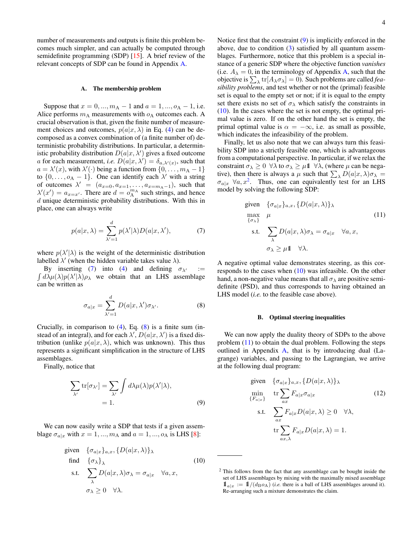number of measurements and outputs is finite this problem becomes much simpler, and can actually be computed through semidefinite programming (SDP) [\[15\]](#page-28-14). A brief review of the relevant concepts of SDP can be found in Appendix [A.](#page-25-3)

#### <span id="page-3-0"></span>A. The membership problem

Suppose that  $x = 0, ..., m_A - 1$  and  $a = 1, ..., o_A - 1$ , i.e. Alice performs  $m_A$  measurements with  $o_A$  outcomes each. A crucial observation is that, given the finite number of measurement choices and outcomes,  $p(a|x, \lambda)$  in Eq. [\(4\)](#page-2-5) can be decomposed as a convex combination of (a finite number of) deterministic probability distributions. In particular, a deterministic probability distribution  $D(a|x, \lambda')$  gives a fixed outcome a for each measurement, *i.e.*  $D(a|x, \lambda') = \delta_{a,\lambda'(x)}$ , such that  $a = \lambda'(x)$ , with  $\lambda'(\cdot)$  being a function from  $\{0, \ldots, m_A - 1\}$ to  $\{0, \ldots, o_A - 1\}$ . One can identify each  $\lambda'$  with a string of outcomes  $\lambda' = (a_{x=0}, a_{x=1}, \dots, a_{x=m_A-1})$ , such that  $\lambda'(x') = a_{x=x'}$ . There are  $d = o_A^{m_A}$  such strings, and hence  $d$  unique deterministic probability distributions. With this in place, one can always write

<span id="page-3-3"></span>
$$
p(a|x,\lambda) = \sum_{\lambda'=1}^{d} p(\lambda'|\lambda)D(a|x,\lambda'), \qquad (7)
$$

where  $p(\lambda'|\lambda)$  is the weight of the deterministic distribution labelled  $\lambda'$  (when the hidden variable takes value  $\lambda$ ).

 $\int d\lambda \mu(\lambda) p(\lambda'|\lambda) \rho_{\lambda}$  we obtain that an LHS assemblage By inserting [\(7\)](#page-3-3) into [\(4\)](#page-2-5) and defining  $\sigma_{\lambda'}$  := can be written as

<span id="page-3-4"></span>
$$
\sigma_{a|x} = \sum_{\lambda'=1}^{d} D(a|x,\lambda')\sigma_{\lambda'}.
$$
 (8)

Crucially, in comparison to [\(4\)](#page-2-5), Eq. [\(8\)](#page-3-4) is a finite sum (instead of an integral), and for each  $\lambda'$ ,  $D(a|x, \lambda')$  is a fixed distribution (unlike  $p(a|x, \lambda)$ , which was unknown). This thus represents a significant simplification in the structure of LHS assemblages.

Finally, notice that

$$
\sum_{\lambda'} \text{tr}[\sigma_{\lambda'}] = \sum_{\lambda'} \int d\lambda \mu(\lambda) p(\lambda'|\lambda),
$$
  
= 1. (9)

We can now easily write a SDP that tests if a given assemblage  $\sigma_{a|x}$  with  $x = 1, ..., m_A$  and  $a = 1, ..., o_A$  is LHS [\[8\]](#page-28-8):

given 
$$
\{\sigma_{a|x}\}_{{a,x}}, \{D(a|x,\lambda)\}_\lambda
$$
  
find  $\{\sigma_{\lambda}\}_\lambda$  (10)  
s.t.  $\sum_{\lambda} D(a|x,\lambda)\sigma_{\lambda} = \sigma_{a|x} \quad \forall a,x,$   
 $\sigma_{\lambda} \ge 0 \quad \forall \lambda.$ 

Notice first that the constraint [\(9\)](#page-3-5) is implicitly enforced in the above, due to condition [\(3\)](#page-2-4) satisfied by all quantum assemblages. Furthermore, notice that this problem is a special instance of a generic SDP where the objective function *vanishes* (i.e.  $A_{\lambda} = 0$ , in the terminology of Appendix [A,](#page-25-3) such that the objective is  $\sum_{\lambda}$  tr $[A_{\lambda}\sigma_{\lambda}] = 0$ ). Such problems are called *feasibility problems*, and test whether or not the (primal) feasible set is equal to the empty set or not; if it is equal to the empty set there exists no set of  $\sigma_{\lambda}$  which satisfy the constraints in [\(10\)](#page-3-2). In the cases where the set is not empty, the optimal primal value is zero. If on the other hand the set is empty, the primal optimal value is  $\alpha = -\infty$ , i.e. as small as possible, which indicates the infeasibility of the problem.

Finally, let us also note that we can always turn this feasibility SDP into a strictly feasible one, which is advantageous from a computational perspective. In particular, if we relax the constraint  $\sigma_{\lambda} \geq 0 \ \forall \lambda$  to  $\sigma_{\lambda} \geq \mu \mathbb{1} \ \forall \lambda$ , (where  $\mu$  can be negative), then there is always a  $\mu$  such that  $\sum_{\lambda} D(a|x, \lambda) \sigma_{\lambda} =$  $\sigma_{a|x}$   $\forall a, x^2$  $\forall a, x^2$ . Thus, one can equivalently test for an LHS model by solving the following SDP:

<span id="page-3-7"></span>given 
$$
\{\sigma_{a|x}\}_{a,x}, \{D(a|x,\lambda)\}_\lambda
$$
  
\nmax  $\mu$  (11)  
\n  
\n $\{\sigma_{\lambda}\}$  (12)  
\n  
\n $\sum_{\lambda} D(a|x,\lambda)\sigma_{\lambda} = \sigma_{a|x} \quad \forall a, x,$   
\n $\sigma_{\lambda} \ge \mu \mathbb{1} \quad \forall \lambda.$ 

A negative optimal value demonstrates steering, as this corresponds to the cases when  $(10)$  was infeasible. On the other hand, a non-negative value means that all  $\sigma_{\lambda}$  are positive semidefinite (PSD), and thus corresponds to having obtained an LHS model (*i.e.* to the feasible case above).

### <span id="page-3-1"></span>B. Optimal steering inequalities

We can now apply the duality theory of SDPs to the above problem [\(11\)](#page-3-7) to obtain the dual problem. Following the steps outlined in Appendix [A,](#page-25-3) that is by introducing dual (Lagrange) variables, and passing to the Lagrangian, we arrive at the following dual program:

<span id="page-3-8"></span><span id="page-3-5"></span>given 
$$
\{\sigma_{a|x}\}_{a,x}, \{D(a|x,\lambda)\}_\lambda
$$
  
\n
$$
\min_{\{F_{a|x}\}} \text{tr} \sum_{ax} F_{a|x} \sigma_{a|x} \qquad (12)
$$
\n
$$
\text{s.t.} \sum_{ax} F_{a|x} D(a|x,\lambda) \ge 0 \quad \forall \lambda,
$$
\n
$$
\text{tr} \sum_{ax,\lambda} F_{a|x} D(a|x,\lambda) = 1.
$$

<span id="page-3-6"></span><span id="page-3-2"></span><sup>&</sup>lt;sup>2</sup> This follows from the fact that any assemblage can be bought inside the set of LHS assemblages by mixing with the maximally mixed assemblage  $1\!\!1_{a|x} := 1\!\!1/(d_B \omicron_A)$  (*i.e.* there is a ball of LHS assemblages around it). Re-arranging such a mixture demonstrates the claim.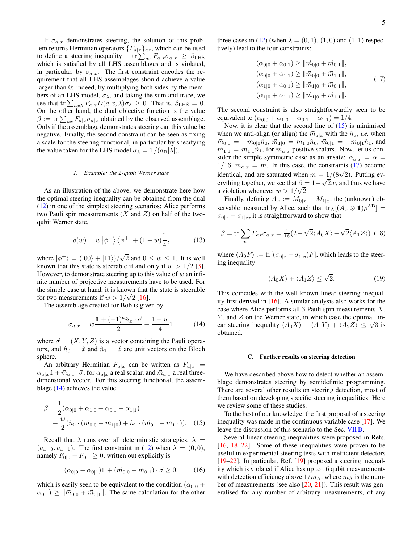three cases in [\(12\)](#page-3-8) (when  $\lambda = (0, 1)$ , (1, 0) and (1, 1) respec-

<span id="page-4-4"></span>
$$
(\alpha_{0|0} + \alpha_{0|1}) \ge ||\vec{m}_{0|0} + \vec{m}_{0|1}||,
$$
  
\n
$$
(\alpha_{0|0} + \alpha_{1|1}) \ge ||\vec{m}_{0|0} + \vec{m}_{1|1}||,
$$
  
\n
$$
(\alpha_{1|0} + \alpha_{0|1}) \ge ||\vec{m}_{1|0} + \vec{m}_{0|1}||,
$$
  
\n
$$
(\alpha_{1|0} + \alpha_{1|1}) \ge ||\vec{m}_{1|0} + \vec{m}_{1|1}||.
$$
\n(17)

The second constraint is also straightforwardly seen to be equivalent to  $(\alpha_{0|0} + \alpha_{1|0} + \alpha_{0|1} + \alpha_{1|1}) = 1/4.$ 

tively) lead to the four constraints:

Now, it is clear that the second line of  $(15)$  is minimised when we anti-align (or align) the  $\vec{m}_{a|x}$  with the  $\hat{n}_x$ , *i.e.* when  $\vec{m}_{0|0} = -m_{0|0}\hat{n}_0, \vec{m}_{1|0} = m_{1|0}\hat{n}_0, \vec{m}_{0|1} = -m_{0|1}\hat{n}_1$ , and  $\vec{m}_{1|1} = m_{1|1}\hat{n}_1$ , for  $m_{a|x}$  positive scalars. Now, let us consider the simple symmetric case as an ansatz:  $\alpha_{a|x} = \alpha$  =  $1/16$ ,  $m_{a|x} = m$ . In this case, the constraints [\(17\)](#page-4-4) become identical, and are saturated when  $m = 1/(8\sqrt{2})$ . Putting everything together, we see that  $\beta = 1 - \sqrt{2w}$ , and thus we have a violation whenever  $w > 1/\sqrt{2}$ .

Finally, defining  $A_x := M_{0|x} - M_{1|x}$ , the (unknown) observable measured by Alice, such that  $\text{tr}_{A}[(A_{x} \otimes \mathbb{1})\rho^{AB}] =$  $\sigma_{0|x} - \sigma_{1|x}$ , it is straightforward to show that

$$
\beta = \text{tr}\sum_{ax} F_{ax}\sigma_{a|x} = \frac{1}{16}(2 - \sqrt{2}\langle A_0 X \rangle - \sqrt{2}\langle A_1 Z \rangle) \tag{18}
$$

where  $\langle A_0F \rangle := \text{tr}[(\sigma_{0|x} - \sigma_{1|x})F]$ , which leads to the steering inequality

$$
\langle A_0 X \rangle + \langle A_1 Z \rangle \le \sqrt{2}.\tag{19}
$$

<span id="page-4-2"></span>This coincides with the well-known linear steering inequality first derived in [\[16\]](#page-28-15). A similar analysis also works for the case where Alice performs all 3 Pauli spin measurements  $X$ ,  $Y$ , and  $Z$  on the Werner state, in which case the optimal lin-*Y*, and *Z* on the Werner state, in which case the optimal lin-<br>ear steering inequality  $\langle A_0 X \rangle + \langle A_1 Y \rangle + \langle A_2 Z \rangle \leq \sqrt{3}$  is obtained.

#### <span id="page-4-1"></span>C. Further results on steering detection

We have described above how to detect whether an assemblage demonstrates steering by semidefinite programming. There are several other results on steering detection, most of them based on developing specific steering inequalities. Here we review some of these studies.

<span id="page-4-3"></span>To the best of our knowledge, the first proposal of a steering inequality was made in the continuous-variable case [\[17\]](#page-28-16). We leave the discussion of this scenario to the Sec. [VII B.](#page-18-1)

Several linear steering inequalities were proposed in Refs. [\[16,](#page-28-15) [18–](#page-28-17)[22\]](#page-28-18). Some of these inequalities were proven to be useful in experimental steering tests with inefficient detectors [\[19](#page-28-19)[–22\]](#page-28-18). In particular, Ref. [\[19\]](#page-28-19) proposed a steering inequality which is violated if Alice has up to 16 qubit measurements with detection efficiency above  $1/m_A$ , where  $m_A$  is the number of measurements (see also [\[20,](#page-28-20) [21\]](#page-28-21)). This result was generalised for any number of arbitrary measurements, of any

If  $\sigma_{a|x}$  demonstrates steering, the solution of this problem returns Hermitian operators  ${F_{a|x}}_{ax}$ , which can be used to define a steering inequality  $\text{tr}\sum_{ax} F_{a|x}\sigma_{a|x} \geq \beta_{LHS}$ which is satisfied by all LHS assemblages and is violated, in particular, by  $\sigma_{a|x}$ . The first constraint encodes the requirement that all LHS assemblages should achieve a value larger than 0: indeed, by multiplying both sides by the members of an LHS model,  $\sigma_{\lambda}$ , and taking the sum and trace, we see that tr $\sum_{ax\lambda} F_{a|x} D(a|x,\lambda)\sigma_{\lambda} \ge 0$ . That is,  $\beta_{\text{LHS}} = 0$ . On the other hand, the dual objective function is the value  $\beta := \text{tr} \sum_{ax} F_{a|x} \sigma_{a|x}$  obtained by the observed assemblage. Only if the assemblage demonstrates steering can this value be negative. Finally, the second constraint can be seen as fixing a scale for the steering functional, in particular by specifying the value taken for the LHS model  $\sigma_{\lambda} = 1/(d_{\text{B}}|\lambda|)$ .

### <span id="page-4-0"></span>*1. Example: the 2-qubit Werner state*

As an illustration of the above, we demonstrate here how the optimal steering inequality can be obtained from the dual [\(12\)](#page-3-8) in one of the simplest steering scenarios: Alice performs two Pauli spin measurements  $(X \text{ and } Z)$  on half of the twoqubit Werner state,

<span id="page-4-5"></span>
$$
\rho(w) = w \left| \phi^+ \right\rangle \left\langle \phi^+ \right| + (1 - w) \frac{1}{4},\tag{13}
$$

where  $|\phi^+\rangle = (|00\rangle + |11\rangle)/\sqrt{\ }$ 2 and  $0 \leq w \leq 1$ . It is well known that this state is steerable if and only if  $w > 1/2$  [\[3\]](#page-28-3). However, to demonstrate steering up to this value of  $w$  an infinite number of projective measurements have to be used. For the simple case at hand, it is known that the state is steerable for two measurements if  $w > 1/\sqrt{2}$  [\[16\]](#page-28-15).

The assemblage created for Bob is given by

$$
\sigma_{a|x} = w \frac{\mathbb{1} + (-1)^a \hat{n}_x \cdot \vec{\sigma}}{2} + \frac{1 - w}{4} \mathbb{1}
$$
 (14)

where  $\vec{\sigma} = (X, Y, Z)$  is a vector containing the Pauli operators, and  $\hat{n}_0 = \hat{x}$  and  $\hat{n}_1 = \hat{z}$  are unit vectors on the Bloch sphere.

An arbitrary Hermitian  $F_{a|x}$  can be written as  $F_{a|x}$  =  $\alpha_{a|x}1 + \vec{m}_{a|x} \cdot \vec{\sigma}$ , for  $\alpha_{a|x}$  a real scalar, and  $\vec{m}_{a|x}$  a real threedimensional vector. For this steering functional, the assemblage [\(14\)](#page-4-2) achieves the value

$$
\beta = \frac{1}{2}(\alpha_{0|0} + \alpha_{1|0} + \alpha_{0|1} + \alpha_{1|1}) + \frac{w}{2}(\hat{n}_0 \cdot (\vec{m}_{0|0} - \vec{m}_{1|0}) + \hat{n}_1 \cdot (\vec{m}_{0|1} - \vec{m}_{1|1})).
$$
 (15)

Recall that  $\lambda$  runs over all deterministic strategies,  $\lambda$  =  $(a_{x=0}, a_{x=1})$ . The first constraint in [\(12\)](#page-3-8) when  $\lambda = (0, 0)$ , namely  $F_{0|0} + F_{0|1} \ge 0$ , written out explicitly is

$$
(\alpha_{0|0} + \alpha_{0|1})1 + (\vec{m}_{0|0} + \vec{m}_{0|1}) \cdot \vec{\sigma} \ge 0, \qquad (16)
$$

which is easily seen to be equivalent to the condition ( $\alpha_{0|0}$  +  $\alpha_{0|1} \geq || \vec{m}_{0|0} + \vec{m}_{0|1} ||$ . The same calculation for the other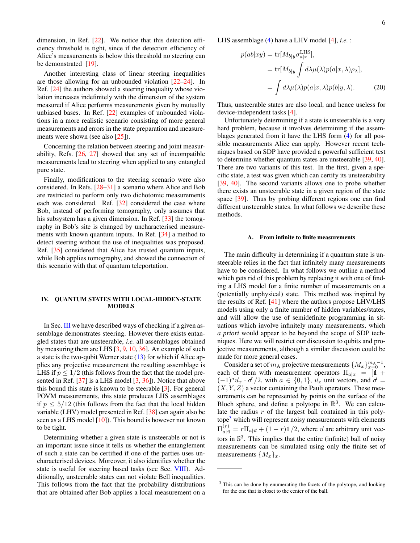dimension, in Ref. [\[22\]](#page-28-18). We notice that this detection efficiency threshold is tight, since if the detection efficiency of Alice's measurements is below this threshold no steering can be demonstrated [\[19\]](#page-28-19).

Another interesting class of linear steering inequalities are those allowing for an unbounded violation [\[22–](#page-28-18)[24\]](#page-28-22). In Ref. [\[24\]](#page-28-22) the authors showed a steering inequality whose violation increases indefinitely with the dimension of the system measured if Alice performs measurements given by mutually unbiased bases. In Ref. [\[22\]](#page-28-18) examples of unbounded violations in a more realistic scenario consisting of more general measurements and errors in the state preparation and measurements were shown (see also [\[25\]](#page-28-23)).

Concerning the relation between steering and joint measurability, Refs. [\[26,](#page-28-24) [27\]](#page-28-25) showed that any set of incompatible measurements lead to steering when applied to any entangled pure state.

Finally, modifications to the steering scenario were also considered. In Refs. [\[28–](#page-28-26)[31\]](#page-28-27) a scenario where Alice and Bob are restricted to perform only two dichotomic measurements each was considered. Ref. [\[32\]](#page-28-28) considered the case where Bob, instead of performing tomography, only assumes that his subsystem has a given dimension. In Ref. [\[33\]](#page-28-29) the tomography in Bob's site is changed by uncharacterised measurements with known quantum inputs. In Ref. [\[34\]](#page-28-30) a method to detect steering without the use of inequalities was proposed. Ref. [\[35\]](#page-28-31) considered that Alice has trusted quantum inputs, while Bob applies tomography, and showed the connection of this scenario with that of quantum teleportation.

# <span id="page-5-0"></span>IV. QUANTUM STATES WITH LOCAL-HIDDEN-STATE **MODELS**

In Sec. [III](#page-2-2) we have described ways of checking if a given assemblage demonstrates steering. However there exists entangled states that are unsteerable, *i.e.* all assemblages obtained by measuring them are LHS [\[3,](#page-28-3) [9,](#page-28-9) [10,](#page-28-10) [36\]](#page-28-32). An example of such a state is the two-qubit Werner state [\(13\)](#page-4-5) for which if Alice applies any projective measurement the resulting assemblage is LHS if  $p \leq 1/2$  (this follows from the fact that the model presented in Ref. [\[37\]](#page-28-33) is a LHS model [\[3,](#page-28-3) [36\]](#page-28-32)). Notice that above this bound this state is known to be steerable [\[3\]](#page-28-3). For general POVM measurements, this state produces LHS assemblages if  $p \leq 5/12$  (this follows from the fact that the local hidden variable (LHV) model presented in Ref. [\[38\]](#page-28-34) can again also be seen as a LHS model [\[10\]](#page-28-10)). This bound is however not known to be tight.

Determining whether a given state is unsteerable or not is an important issue since it tells us whether the entanglement of such a state can be certified if one of the parties uses uncharacterised devices. Moreover, it also identifies whether the state is useful for steering based tasks (see Sec. [VIII\)](#page-18-2). Additionally, unsteerable states can not violate Bell inequalities. This follows from the fact that the probability distributions that are obtained after Bob applies a local measurement on a LHS assemblage [\(4\)](#page-2-5) have a LHV model [\[4\]](#page-28-4), *i.e.* :

$$
p(ab|xy) = \text{tr}[M_{b|y}\sigma_{a|x}^{\text{LHS}}],
$$
  
= 
$$
\text{tr}[M_{b|y} \int d\lambda \mu(\lambda) p(a|x, \lambda) \rho_{\lambda}],
$$
  
= 
$$
\int d\lambda \mu(\lambda) p(a|x, \lambda) p(b|y, \lambda).
$$
 (20)

Thus, unsteerable states are also local, and hence useless for device-independent tasks [\[4\]](#page-28-4).

Unfortunately determining if a state is unsteerable is a very hard problem, because it involves determining if the assemblages generated from it have the LHS form [\(4\)](#page-2-5) for all possible measurements Alice can apply. However recent techniques based on SDP have provided a powerful sufficient test to determine whether quantum states are unsteerable [\[39,](#page-28-35) [40\]](#page-29-0). There are two variants of this test. In the first, given a specific state, a test was given which can certify its unsteerability [\[39,](#page-28-35) [40\]](#page-29-0). The second variants allows one to probe whether there exists an unsteerable state in a given region of the state space [\[39\]](#page-28-35). Thus by probing different regions one can find different unsteerable states. In what follows we describe these methods.

### <span id="page-5-1"></span>A. From infinite to finite measurements

The main difficulty in determining if a quantum state is unsteerable relies in the fact that infinitely many measurements have to be considered. In what follows we outline a method which gets rid of this problem by replacing it with one of finding a LHS model for a finite number of measurements on a (potentially unphysical) state. This method was inspired by the results of Ref. [\[41\]](#page-29-1) where the authors propose LHV/LHS models using only a finite number of hidden variables/states, and will allow the use of semidefinite programming in situations which involve infinitely many measurements, which *a priori* would appear to be beyond the scope of SDP techniques. Here we will restrict our discussion to qubits and projective measurements, although a similar discussion could be made for more general cases.

Consider a set of  $m_A$  projective measurements  $\{M_x\}_{x=0}^{m_A-1}$ , each of them with measurement operators  $\Pi_{a|x} = [1 +$  $(-1)^{a} \vec{u}_x \cdot \vec{\sigma}$ /2, with  $a \in \{0, 1\}$ ,  $\vec{u}_x$  unit vectors, and  $\vec{\sigma} =$  $(X, Y, Z)$  a vector containing the Pauli operators. These measurements can be represented by points on the surface of the Bloch sphere, and define a polytope in  $\mathbb{R}^3$ . We can calculate the radius  $r$  of the largest ball contained in this poly- $tope<sup>3</sup>$  $tope<sup>3</sup>$  $tope<sup>3</sup>$  which will represent noisy measurements with elements  $\Pi_{a|\vec{u}}^{(r)} = r \Pi_{a|\vec{u}} + (1 - r) \pmb{\mathbb{1}}/2$ , where  $\vec{u}$  are arbitrary unit vectors in  $\mathbb{S}^3$ . This implies that the entire (infinite) ball of noisy measurements can be simulated using only the finite set of measurements  $\{M_x\}_x$ .

<span id="page-5-2"></span><sup>&</sup>lt;sup>3</sup> This can be done by enumerating the facets of the polytope, and looking for the one that is closet to the center of the ball.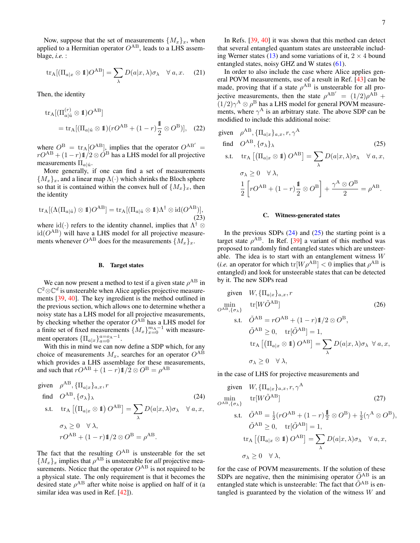Now, suppose that the set of measurements  $\{M_x\}_x$ , when applied to a Hermitian operator  $O^{AB}$ , leads to a LHS assemblage, *i.e.* :

$$
\text{tr}_{\mathcal{A}}[(\Pi_{a|x} \otimes \mathbf{1})O^{\text{AB}}] = \sum_{\lambda} D(a|x, \lambda)\sigma_{\lambda} \quad \forall a, x. \quad (21)
$$

Then, the identity

$$
tr_A[(\Pi_{a|\hat{u}}^{(r)} \otimes \mathbb{1})O^{AB}]
$$
  
= tr\_A[(\Pi\_{a|\hat{u}} \otimes \mathbb{1})(rO^{AB} + (1-r)\frac{\mathbb{1}}{2} \otimes O^{B})], (22)

where  $O^{\rm B} = {\rm tr}_{\rm A}[O^{\rm AB}]$ , implies that the operator  $O^{\rm AB'} =$  $rO^{\rm AB} + (1-r) \pmb{1}/2 \otimes \dot{O}^{\rm B}$  has a LHS model for all projective measurements  $\Pi_{a|\hat{u}}$ .

More generally, if one can find a set of measurements  ${M_x}_x$ , and a linear map  $\Lambda(\cdot)$  which shrinks the Bloch sphere so that it is contained within the convex hull of  $\{M_x\}_x$ , then the identity

$$
\operatorname{tr}_{A}[(\Lambda(\Pi_{a|\hat{u}})\otimes \mathbb{1})O^{AB}] = \operatorname{tr}_{A}[(\Pi_{a|\hat{u}}\otimes \mathbb{1})\Lambda^{\dagger} \otimes id(O^{AB})],
$$
\n(23)

where id( $\cdot$ ) refers to the identity channel, implies that  $\Lambda^{\dagger} \otimes$  $id(O^{AB})$  will have a LHS model for all projective measurements whenever  $O^{AB}$  does for the measurements  $\{M_x\}_x$ .

#### <span id="page-6-0"></span>B. Target states

We can now present a method to test if a given state  $\rho^{AB}$  in  $\mathbb{C}^2 \otimes \mathbb{C}^d$  is unsteerable when Alice applies projective measurements [\[39,](#page-28-35) [40\]](#page-29-0). The key ingredient is the method outlined in the previous section, which allows one to determine whether a noisy state has a LHS model for all projective measurements, by checking whether the operator  $O^{AB}$  has a LHS model for a finite set of fixed measurements  $\{M_x\}_{x=0}^{m_A-1}$  with measurement operators  $\{\Pi_{a|x}\}_{a=0}^{a=o_A-1}$ .

With this in mind we can now define a SDP which, for any choice of measurements  $M_x$ , searches for an operator  $O^{AB}$ which provides a LHS assemblage for these measurements, and such that  $rO^{\rm AB} + (1-r)\mathbb{1}/2 \otimes O^{\rm B} = \rho^{\rm AB}$ 

given 
$$
\rho^{AB}
$$
,  $\{\Pi_{a|x}\}_{a,x}, r$   
\nfind  $O^{AB}$ ,  $\{\sigma_{\lambda}\}_{\lambda}$  (24)  
\ns.t.  $\text{tr}_{A} [(\Pi_{a|x} \otimes \mathbb{1}) O^{AB}] = \sum_{\lambda} D(a|x, \lambda)\sigma_{\lambda} \quad \forall a, x,$   
\n $\sigma_{\lambda} \geq 0 \quad \forall \lambda,$   
\n $rO^{AB} + (1-r)\mathbb{1}/2 \otimes O^{B} = \rho^{AB}.$ 

The fact that the resulting  $O^{AB}$  is unsteerable for the set  ${M_x}_x$  implies that  $\rho^{AB}$  is unsteerable for *all* projective measurements. Notice that the operator  $O^{AB}$  is not required to be a physical state. The only requirement is that it becomes the desired state  $\rho^{AB}$  after white noise is applied on half of it (a similar idea was used in Ref. [\[42\]](#page-29-2)).

In Refs. [\[39,](#page-28-35) [40\]](#page-29-0) it was shown that this method can detect that several entangled quantum states are unsteerable includ-ing Werner states [\(13\)](#page-4-5) and some variations of it,  $2 \times 4$  bound entangled states, noisy GHZ and W states [\(61\)](#page-13-2).

In order to also include the case where Alice applies general POVM measurements, use of a result in Ref. [\[43\]](#page-29-3) can be made, proving that if a state  $\rho^{AB}$  is unsteerable for all projective measurements, then the state  $\rho^{AB'} = (1/2)\rho^{AB} +$  $(1/2)\gamma^A \otimes \rho^B$  has a LHS model for general POVM measurements, where  $\gamma^A$  is an arbitrary state. The above SDP can be modidied to include this additional noise:

given 
$$
\rho^{AB}
$$
,  $\{\Pi_{a|x}\}_{a,x}, r, \gamma^A$   
\nfind  $O^{AB}$ ,  $\{\sigma_{\lambda}\}_{\lambda}$  (25)  
\ns.t.  $\text{tr}_{A} [(\Pi_{a|x} \otimes \mathbb{1}) O^{AB}] = \sum_{\lambda} D(a|x, \lambda)\sigma_{\lambda} \quad \forall a, x,$   
\n $\sigma_{\lambda} \ge 0 \quad \forall \lambda,$   
\n $\frac{1}{2} [rO^{AB} + (1-r)\frac{\mathbb{1}}{2} \otimes O^{B}] + \frac{\gamma^{A} \otimes O^{B}}{2} = \rho^{AB}.$ 

### <span id="page-6-3"></span><span id="page-6-1"></span>C. Witness-generated states

In the previous SDPs  $(24)$  and  $(25)$  the starting point is a target state  $\rho^{AB}$ . In Ref. [\[39\]](#page-28-35) a variant of this method was proposed to randomly find entangled states which are unsteerable. The idea is to start with an entanglement witness W (*i.e.* an operator for which  $tr[W \rho^{AB}] < 0$  implies that  $\rho^{AB}$  is entangled) and look for unsteerable states that can be detected by it. The new SDPs read

given 
$$
W
$$
,  $\{\Pi_{a|x}\}_{a,x}, r$   
\n
$$
\min_{O^{AB}, \{\sigma_{\lambda}\}} \text{tr}[W\tilde{O}^{AB}] \qquad (26)
$$
\n
$$
\text{s.t.} \quad \tilde{O}^{AB} = rO^{AB} + (1-r)\mathbb{1}/2 \otimes O^{B},
$$
\n
$$
\tilde{O}^{AB} \ge 0, \quad \text{tr}[\tilde{O}^{AB}] = 1,
$$
\n
$$
\text{tr}_{A} [(\Pi_{a|x} \otimes \mathbb{1}) O^{AB}] = \sum_{\lambda} D(a|x, \lambda) \sigma_{\lambda} \ \forall \, a, x,
$$
\n
$$
\sigma_{\lambda} \ge 0 \quad \forall \, \lambda,
$$

in the case of LHS for projective measurements and

<span id="page-6-2"></span>given 
$$
W
$$
,  $\{\Pi_{a|x}\}_{a,x}, r, \gamma^{\mathcal{A}}$   
\n
$$
\min_{O^{AB}, \{\sigma_{\lambda}\}} \text{tr}[W\tilde{O}^{AB}] \qquad (27)
$$
\n
$$
\text{s.t.} \quad \tilde{O}^{AB} = \frac{1}{2}(rO^{AB} + (1-r)\frac{\mathbb{1}}{2} \otimes O^{B}) + \frac{1}{2}(\gamma^{A} \otimes O^{B}),
$$
\n
$$
\tilde{O}^{AB} \ge 0, \quad \text{tr}[\tilde{O}^{AB}] = 1,
$$
\n
$$
\text{tr}_{\mathcal{A}} [(\Pi_{a|x} \otimes \mathbb{1}) O^{AB}] = \sum_{\lambda} D(a|x, \lambda) \sigma_{\lambda} \quad \forall a, x,
$$
\n
$$
\sigma_{\lambda} \ge 0 \quad \forall \lambda,
$$

for the case of POVM measurements. If the solution of these SDPs are negative, then the minimising operator  $\tilde{O}^{AB}$  is an entangled state which is unsteerable: The fact that  $\tilde{O}^{AB}$  is entangled is guaranteed by the violation of the witness  $W$  and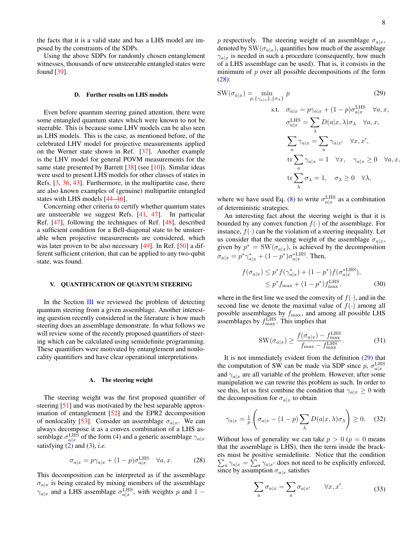the facts that it is a valid state and has a LHS model are imposed by the constraints of the SDPs.

Using the above SDPs for randomly chosen entanglement witnesses, thousands of new unsteerable entangled states were found [\[39\]](#page-28-35).

#### <span id="page-7-0"></span>D. Further results on LHS models

Even before quantum steering gained attention, there were some entangled quantum states which were known to not be steerable. This is because some LHV models can be also seen as LHS models. This is the case, as mentioned before, of the celebrated LHV model for projective measurements applied on the Werner state shown in Ref. [\[37\]](#page-28-33). Another example is the LHV model for general POVM measurements for the same state presented by Barrett  $[38]$  (see [\[10\]](#page-28-10)). Similar ideas were used to present LHS models for other classes of states in Refs. [\[3,](#page-28-3) [36,](#page-28-32) [43\]](#page-29-3). Furthermore, in the multipartite case, there are also known examples of (genuine) multipartite entangled states with LHS models [\[44–](#page-29-4)[46\]](#page-29-5).

Concerning other criteria to certify whether quantum states are unsteerable we suggest Refs. [\[41,](#page-29-1) [47\]](#page-29-6). In particular Ref. [\[47\]](#page-29-6), following the techniques of Ref. [\[48\]](#page-29-7), described a sufficient condition for a Bell-diagonal state to be unsteerable when projective measurements are considered, which was later proven to be also necessary [\[49\]](#page-29-8). In Ref. [\[50\]](#page-29-9) a different sufficient criterion, that can be applied to any two-qubit state, was found.

### <span id="page-7-1"></span>V. QUANTIFICATION OF QUANTUM STEERING

In the Section [III](#page-2-2) we reviewed the problem of detecting quantum steering from a given assemblage. Another interesting question recently considered in the literature is how much steering does an assemblage demonstrate. In what follows we will review some of the recently proposed quantifiers of steering which can be calculated using semidefinite programming. These quantifiers were motivated by entanglement and nonlocality quantifiers and have clear operational interpretations.

### <span id="page-7-2"></span>A. The steering weight

The steering weight was the first proposed quantifier of steering [\[51\]](#page-29-10) and was motivated by the best separable approximation of entanglement [\[52\]](#page-29-11) and the EPR2 decomposition of nonlocality [\[53\]](#page-29-12). Consider an assemblage  $\sigma_{a|x}$ . We can always decompose it as a convex combination of a LHS assemblage  $\sigma_{a|x}^{\text{LHS}}$  of the form [\(4\)](#page-2-5) and a generic assemblage  $\gamma_{a|x}$ satisfying [\(2\)](#page-2-3) and [\(3\)](#page-2-4), *i.e.*

<span id="page-7-3"></span>
$$
\sigma_{a|x} = p\gamma_{a|x} + (1-p)\sigma_{a|x}^{\text{LHS}} \quad \forall a, x. \tag{28}
$$

This decomposition can be interpreted as if the assemblage  $\sigma_{a|x}$  is being created by mixing members of the assemblage  $\gamma_{a|x}$  and a LHS assemblage  $\sigma_{a|x}^{\text{LHS}}$ , with weights p and 1 – p respectively. The steering weight of an assemblage  $\sigma_{a|x}$ , denoted by  $\text{SW}(\sigma_{a|x})$ , quantifies how much of the assemblage  $\gamma_{a|x}$  is needed in such a procedure (consequently, how much of a LHS assemblage can be used). That is, it consists in the minimum of  $p$  over all possible decompositions of the form [\(28\)](#page-7-3):

<span id="page-7-4"></span>
$$
SW(\sigma_{a|x}) = \min_{p, \{\gamma_{a|x}\}, \{\sigma_{\lambda}\}} p
$$
\n
$$
s.t. \quad \sigma_{a|x} = p\gamma_{a|x} + (1-p)\sigma_{a|x}^{LHS} \quad \forall a, x,
$$
\n
$$
\sigma_{a|x}^{LHS} = \sum_{\lambda} D(a|x, \lambda)\sigma_{\lambda} \quad \forall a, x,
$$
\n
$$
\sum_{a} \gamma_{a|x} = \sum_{a} \gamma_{a|x'} \quad \forall x, x',
$$
\n
$$
\text{tr}\sum_{a} \gamma_{a|x} = 1 \quad \forall x, \quad \gamma_{a|x} \ge 0 \quad \forall a, x,
$$
\n
$$
\text{tr}\sum_{\lambda} \sigma_{\lambda} = 1, \quad \sigma_{\lambda} \ge 0 \quad \forall \lambda,
$$

where we have used Eq. [\(8\)](#page-3-4) to write  $\sigma_{a|x}^{\text{LHS}}$  as a combination of deterministic strategies.

An interesting fact about the steering weight is that it is bounded by any convex function  $f(\cdot)$  of the assemblage. For instance,  $f(\cdot)$  can be the violation of a steering inequality. Let us consider that the steering weight of the assemblage  $\sigma_{a|x}$ , given by  $p^* = \text{SW}(\sigma_{a|x})$ , is achieved by the decomposition  $\sigma_{a|x} = p^* \gamma_{a|x}^* + (1 - p^*) \sigma_{a|x}^{*LHS}$ . Then,

$$
f(\sigma_{a|x}) \le p^* f(\gamma_{a|x}^*) + (1 - p^*) f(\sigma_{a|x}^{* \text{LHS}}),
$$
  
 
$$
\le p^* f_{\text{max}} + (1 - p^*) f_{\text{max}}^{\text{LHS}},
$$
 (30)

where in the first line we used the convexity of  $f(\cdot)$ , and in the second line we denote the maximal value of  $f(\cdot)$  among all possible assemblages by  $f_{\text{max}}$ , and among all possible LHS assemblages by  $f_{\text{max}}^{\text{LHS}}$ . This implies that

$$
SW(\sigma_{a|x}) \ge \frac{f(\sigma_{a|x}) - f_{\text{max}}^{\text{LHS}}}{f_{\text{max}} - f_{\text{max}}^{\text{LHS}}}.
$$
 (31)

It is not immediately evident from the definition [\(29\)](#page-7-4) that the computation of SW can be made via SDP since  $p$ ,  $\sigma_{a|x}^{\text{LHS}}$ and  $\gamma_{a|x}$  are all variable of the problem. However, after some manipulation we can rewrite this problem as such. In order to see this, let us first combine the condition that  $\gamma_{a|x} \geq 0$  with the decomposition for  $\sigma_{a|x}$  to obtain

$$
\gamma_{a|x} = \frac{1}{p} \left( \sigma_{a|x} - (1-p) \sum_{\lambda} D(a|x,\lambda) \sigma_{\lambda} \right) \ge 0. \quad (32)
$$

Without loss of generality we can take  $p > 0$  ( $p = 0$  means that the assemblage is LHS), then the term inside the brackets must be positive semidefinite. Notice that the condition  $\sum_a \gamma_{a|x} = \sum_a \gamma_{a|x'}$  does not need to be explicitly enforced, since by assumption  $\sigma_{a|x}$  satisfies

$$
\sum_{a} \sigma_{a|x} = \sum_{a} \sigma_{a|x'} \qquad \forall x, x'. \tag{33}
$$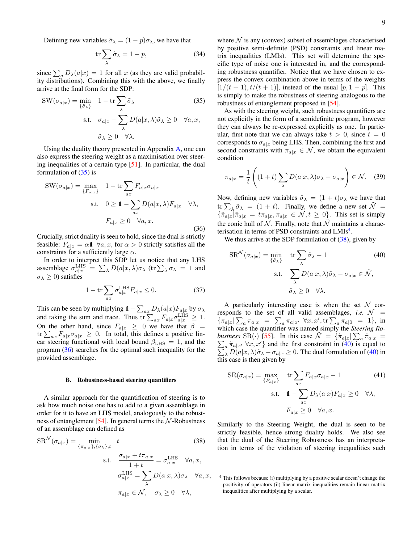Defining new variables  $\tilde{\sigma}_{\lambda} = (1 - p)\sigma_{\lambda}$ , we have that

$$
\operatorname{tr}\sum_{\lambda}\tilde{\sigma}_{\lambda}=1-p,\tag{34}
$$

since  $\sum_a D_\lambda(a|x) = 1$  for all x (as they are valid probability distributions). Combining this with the above, we finally arrive at the final form for the SDP:

$$
SW(\sigma_{a|x}) = \min_{\{\tilde{\sigma}_{\lambda}\}} 1 - \text{tr} \sum_{\lambda} \tilde{\sigma}_{\lambda}
$$
(35)  
s.t.  $\sigma_{a|x} - \sum_{\lambda} D(a|x, \lambda) \tilde{\sigma}_{\lambda} \ge 0 \quad \forall a, x,$   
 $\tilde{\sigma}_{\lambda} \ge 0 \quad \forall \lambda.$ 

Using the duality theory presented in Appendix [A,](#page-25-3) one can also express the steering weight as a maximisation over steering inequalities of a certain type [\[51\]](#page-29-10). In particular, the dual formulation of  $(35)$  is

<span id="page-8-2"></span>
$$
SW(\sigma_{a|x}) = \max_{\{F_{a|x}\}} 1 - \text{tr} \sum_{ax} F_{a|x} \sigma_{a|x}
$$
  
s.t.  $0 \ge 1 - \sum_{ax} D(a|x, \lambda) F_{a|x} \quad \forall \lambda,$   
 $F_{a|x} \ge 0 \quad \forall a, x.$  (36)

Crucially, strict duality is seen to hold, since the dual is strictly feasible:  $F_{a|x} = \alpha \mathbb{1} \ \forall a, x$ , for  $\alpha > 0$  strictly satisfies all the constraints for a sufficiently large  $\alpha$ .

In order to interpret this SDP let us notice that any LHS assemblage  $\sigma_{a|x}^{\text{LHS}} = \sum_{\lambda} D(a|x, \lambda) \sigma_{\lambda}$  (tr $\sum_{\lambda} \sigma_{\lambda} = 1$  and  $\sigma_{\lambda} \geq 0$ ) satisfies

$$
1 - \operatorname{tr} \sum_{ax} \sigma_{a|x}^{\text{LHS}} F_{a|x} \le 0. \tag{37}
$$

This can be seen by multiplying  $1 - \sum_{ax} D_{\lambda}(a|x) F_{a|x}$  by  $\sigma_{\lambda}$ and taking the sum and trace. Thus tr $\sum_{ax} F_{a|x} \sigma_{a|x}^{\text{LHS}} \geq 1$ . On the other hand, since  $F_{a|x} \geq 0$  we have that  $\beta =$  $\text{tr} \sum_{ax} F_{a|x} \sigma_{a|x} \geq 0$ . In total, this defines a positive linear steering functional with local bound  $\beta_{\text{LHS}} = 1$ , and the program [\(36\)](#page-8-2) searches for the optimal such inequality for the provided assemblage.

### <span id="page-8-0"></span>B. Robustness-based steering quantifiers

A similar approach for the quantification of steering is to ask how much noise one has to add to a given assemblage in order for it to have an LHS model, analogously to the robust-ness of entanglement [\[54\]](#page-29-13). In general terms the  $N$ -Robustness of an assemblage can defined as

$$
SR^{\mathcal{N}}(\sigma_{a|x}) = \min_{\{\pi_{a|x}\}, \{\sigma_{\lambda}\}, t} t
$$
\n
$$
\text{s.t.} \quad \frac{\sigma_{a|x} + t\pi_{a|x}}{1+t} = \sigma_{a|x}^{\text{LHS}} \quad \forall a, x,
$$
\n(38)

$$
\sigma_{a|x}^{\text{LHS}} = \sum_{\lambda} D(a|x, \lambda) \sigma_{\lambda} \quad \forall a, x,
$$

$$
\pi_{a|x} \in \mathcal{N}, \quad \sigma_{\lambda} \ge 0 \quad \forall \lambda,
$$

where  $N$  is any (convex) subset of assemblages characterised by positive semi-definite (PSD) constraints and linear matrix inequalities (LMIs). This set will determine the specific type of noise one is interested in, and the corresponding robustness quantifier. Notice that we have chosen to express the convex combination above in terms of the weights  $[1/(t + 1), t/(t + 1)]$ , instead of the usual  $[p, 1 - p]$ . This is simply to make the robustness of steering analogous to the robustness of entanglement proposed in [\[54\]](#page-29-13).

<span id="page-8-1"></span>As with the steering weight, such robustness quantifiers are not explicitly in the form of a semidefinite program, however they can always be re-expressed explicitly as one. In particular, first note that we can always take  $t > 0$ , since  $t = 0$ corresponds to  $\sigma_{a|x}$  being LHS. Then, combining the first and second constraints with  $\pi_{a|x} \in \mathcal{N}$ , we obtain the equivalent condition

$$
\pi_{a|x} = \frac{1}{t} \left( (1+t) \sum_{\lambda} D(a|x,\lambda)\sigma_{\lambda} - \sigma_{a|x} \right) \in \mathcal{N}.
$$
 (39)

Now, defining new variables  $\tilde{\sigma}_{\lambda} = (1 + t)\sigma_{\lambda}$  we have that  $\text{tr}\sum_{\lambda} \tilde{\sigma}_{\lambda} = (1+t)$ . Finally, we define a new set  $\tilde{\mathcal{N}} =$  ${\{\tilde{\pi}_{a|x}\}}\tilde{\pi}_{a|x} = t\pi_{a|x}, \pi_{a|x} \in \mathcal{N}, t \geq 0$ . This set is simply the conic hull of N. Finally, note that  $\tilde{\mathcal{N}}$  maintains a charac-terisation in terms of PSD constraints and LMIs<sup>[4](#page-8-3)</sup>.

We thus arrive at the SDP formulation of  $(38)$ , given by

<span id="page-8-5"></span>
$$
SR^{\mathcal{N}}(\sigma_{a|x}) = \min_{\{\tilde{\sigma}_{\lambda}\}} \quad \text{tr} \sum_{\lambda} \tilde{\sigma}_{\lambda} - 1 \tag{40}
$$
  
s.t. 
$$
\sum_{\lambda} D(a|x, \lambda) \tilde{\sigma}_{\lambda} - \sigma_{a|x} \in \tilde{\mathcal{N}},
$$

$$
\tilde{\sigma}_{\lambda} \ge 0 \quad \forall \lambda.
$$

A particularly interesting case is when the set  $\mathcal N$  corresponds to the set of all valid assemblages, *i.e.*  $\mathcal{N}$  =  ${\pi_{a|x}|\sum_a \pi_{a|x}}$  =  $\sum_a \pi_{a|x'} \forall x, x', \text{tr}\sum_a \pi_{a|0} = 1$ , in which case the quantifier was named simply the *Steering Robustness* SR(·) [\[55\]](#page-29-14). In this case  $\tilde{\mathcal{N}} = {\tilde{\pi}_{a|x} | \sum_a \tilde{\pi}_{a|x}} = \sum_a \tilde{\pi}_{a|x'} \,\forall x, x'$ } and the first constraint in (40) is equal to  $\sum$ } and the first constraint in  $(40)$  is equal to  $\lambda D(a|x, \lambda)\tilde{\sigma}_{\lambda} - \sigma_{a|x} \ge 0$ . The dual formulation of [\(40\)](#page-8-5) in this case is then given by

<span id="page-8-6"></span>
$$
SR(\sigma_{a|x}) = \max_{\{F_{a|x}\}} \quad \text{tr} \sum_{ax} F_{a|x} \sigma_{a|x} - 1 \tag{41}
$$
  
s.t. 
$$
\mathbb{1} - \sum_{ax} D_{\lambda}(a|x) F_{a|x} \ge 0 \quad \forall \lambda,
$$

$$
F_{a|x} \ge 0 \quad \forall a, x.
$$

<span id="page-8-4"></span>Similarly to the Steering Weight, the dual is seen to be strictly feasible, hence strong duality holds. We also see that the dual of the Steering Robustness has an interpretation in terms of the violation of steering inequalities such

<span id="page-8-3"></span><sup>4</sup> This follows because (i) multiplying by a positive scalar doesn't change the positivity of operators (ii) linear matrix inequalities remain linear matrix inequalities after multiplying by a scalar.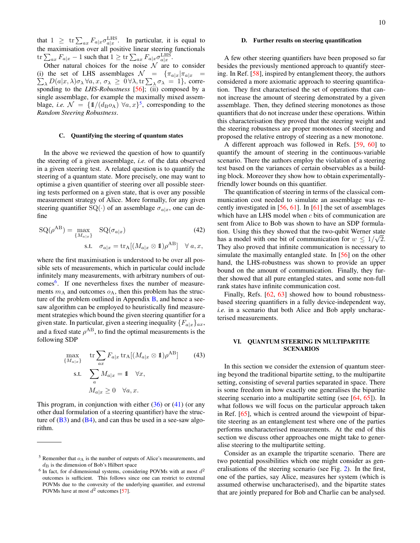A few other steering quantifiers have been proposed so far besides the previously mentioned approach to quantify steering. In Ref. [\[58\]](#page-29-17), inspired by entanglement theory, the authors considered a more axiomatic approach to steering quantification. They first characterised the set of operations that cannot increase the amount of steering demonstrated by a given assemblage. Then, they defined steering monotones as those quantifiers that do not increase under these operations. Within this characterisation they proved that the steering weight and the steering robustness are proper monotones of steering and proposed the relative entropy of steering as a new monotone.

<span id="page-9-1"></span>D. Further results on steering quantification

A different approach was followed in Refs. [\[59,](#page-29-18) [60\]](#page-29-19) to quantify the amount of steering in the continuous-variable scenario. There the authors employ the violation of a steering test based on the variances of certain observables as a building block. Moreover they show how to obtain experimentallyfriendly lower bounds on this quantifier.

<span id="page-9-5"></span>The quantification of steering in terms of the classical communication cost needed to simulate an assemblage was recently investigated in [\[56,](#page-29-15) [61\]](#page-29-20). In [\[61\]](#page-29-20) the set of assemblages which have an LHS model when c bits of communication are sent from Alice to Bob was shown to have an SDP formulation. Using this they showed that the two-qubit Werner state has a model with one bit of communication for  $w \leq 1/\sqrt{2}$ . They also proved that infinite communication is necessary to simulate the maximally entangled state. In [\[56\]](#page-29-15) on the other hand, the LHS-robustness was shown to provide an upper bound on the amount of communication. Finally, they further showed that all pure entangled states, and some non-full rank states have infinite communication cost.

Finally, Refs. [\[62,](#page-29-21) [63\]](#page-29-22) showed how to bound robustnessbased steering quantifiers in a fully device-independent way, *i.e.* in a scenario that both Alice and Bob apply uncharacterised measurements.

# <span id="page-9-2"></span>VI. QUANTUM STEERING IN MULTIPARTITE SCENARIOS

In this section we consider the extension of quantum steering beyond the traditional bipartite setting, to the multipartite setting, consisting of several parties separated in space. There is some freedom in how exactly one generalises the bipartite steering scenario into a multipartite setting (see [\[64,](#page-29-23) [65\]](#page-29-24)). In what follows we will focus on the particular approach taken in Ref. [\[65\]](#page-29-24), which is centred around the viewpoint of bipartite steering as an entanglement test where one of the parties performs uncharacterised measurements. At the end of this section we discuss other approaches one might take to generalise steering to the multipartite setting.

Consider as an example the tripartite scenario. There are two potential possibilities which one might consider as generalisations of the steering scenario (see Fig. [2\)](#page-11-0). In the first, one of the parties, say Alice, measures her system (which is assumed otherwise uncharacterised), and the bipartite states that are jointly prepared for Bob and Charlie can be analysed.

that  $1 \geq \text{tr} \sum_{ax} F_{a|x} \sigma_{a|x}^{\text{LHS}}$ . In particular, it is equal to the maximisation over all positive linear steering functionals  $\mathop{\rm tr}\nolimits \sum_{ax} F_{a|x} - 1$  such that  $1 \ge \mathop{\rm tr}\nolimits \sum_{ax} F_{a|x} \sigma_{a|x}^{\rm LHS}$ .

Other natural choices for the noise  $N$  are to consider (i) the set of LHS assemblages  $\sum$  $\mathcal{N}$  =  $\{\pi_{a|x}\vert\pi_{a|x}$  =  $\lambda D(a|x,\lambda)\sigma_\lambda \,\forall a,x,\, \sigma_\lambda \geq 0$   $\forall \lambda,$  tr  $\sum_\lambda \sigma_\lambda = 1$ }, corresponding to the *LHS-Robustness* [\[56\]](#page-29-15); (ii) composed by a single assemblage, for example the maximally mixed assemblage, *i.e.*  $\mathcal{N} = \{ 1/(d_B \circ_A) \; \forall a, x \}^5$  $\mathcal{N} = \{ 1/(d_B \circ_A) \; \forall a, x \}^5$ , corresponding to the *Random Steering Robustness*.

# <span id="page-9-0"></span>C. Quantifying the steering of quantum states

In the above we reviewed the question of how to quantify the steering of a given assemblage, *i.e.* of the data observed in a given steering test. A related question is to quantify the steering of a quantum state. More precisely, one may want to optimise a given quantifier of steering over all possible steering tests performed on a given state, that is over any possible measurement strategy of Alice. More formally, for any given steering quantifier  $SQ(\cdot)$  of an assemblage  $\sigma_{a|x}$ , one can define

$$
SQ(\rho^{AB}) = \max_{\{M_{a|x}\}} Q(\sigma_{a|x})
$$
\n
$$
SL. \quad \sigma_{a|x} = \text{tr}_{A}[(M_{a|x} \otimes 1)\rho^{AB}] \quad \forall a, x,
$$
\n(42)

where the first maximisation is understood to be over all possible sets of measurements, which in particular could include infinitely many measurements, with arbitrary numbers of out-comes<sup>[6](#page-9-4)</sup>. If one nevertheless fixes the number of measurements  $m_A$  and outcomes  $o_A$ , then this problem has the structure of the problem outlined in Appendix [B,](#page-26-0) and hence a seesaw algorithm can be employed to heuristically find measurement strategies which bound the given steering quantifier for a given state. In particular, given a steering inequality  $\{F_{a|x}\}_{ax}$ , and a fixed state  $\rho^{AB}$ , to find the optimal measurements is the following SDP

$$
\max_{\{M_{a|x}\}} \quad \text{tr} \sum_{ax} F_{a|x} \operatorname{tr}_{A}[(M_{a|x} \otimes \mathbb{1})\rho^{AB}] \tag{43}
$$
\n
$$
\text{s.t.} \quad \sum_{a} M_{a|x} = \mathbb{1} \quad \forall x,
$$
\n
$$
M_{a|x} \ge 0 \quad \forall a, x.
$$

This program, in conjunction with either  $(36)$  or  $(41)$  (or any other dual formulation of a steering quantifier) have the structure of  $(B3)$  and  $(B4)$ , and can thus be used in a see-saw algorithm.

<span id="page-9-3"></span> $5$  Remember that  $o_A$  is the number of outputs of Alice's measurements, and  $d_{\text{B}}$  is the dimension of Bob's Hilbert space

<span id="page-9-4"></span> $6$  In fact, for d-dimensional systems, considering POVMs with at most  $d^2$ outcomes is sufficient. This follows since one can restrict to extremal POVMs due to the convexity of the underlying quantifier, and extremal POVMs have at most  $d^2$  outcomes [\[57\]](#page-29-16).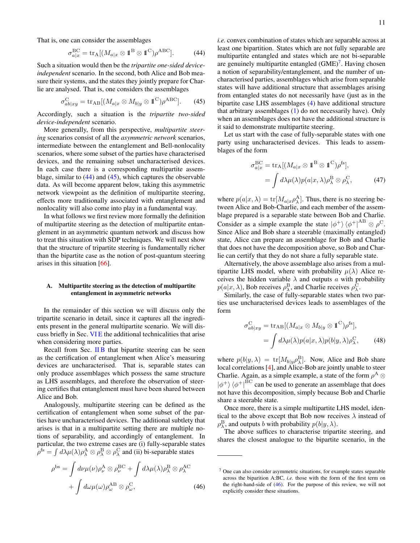11

That is, one can consider the assemblages

$$
\sigma_{a|x}^{\text{BC}} = \text{tr}_{\text{A}}[(M_{a|x} \otimes \mathbb{1}^{\text{B}} \otimes \mathbb{1}^{\text{C}})\rho^{\text{ABC}}]. \tag{44}
$$

Such a situation would then be the *tripartite one-sided deviceindependent* scenario. In the second, both Alice and Bob measure their systems, and the states they jointly prepare for Charlie are analysed. That is, one considers the assemblages

$$
\sigma_{ab|xy}^{\text{C}} = \text{tr}_{\text{AB}}[(M_{a|x} \otimes M_{b|y} \otimes \mathbb{1}^{\text{C}})\rho^{\text{ABC}}].
$$
 (45)

Accordingly, such a situation is the *tripartite two-sided device-independent* scenario.

More generally, from this perspective, *multipartite steering* scenarios consist of all the *asymmetric network* scenarios, intermediate between the entanglement and Bell-nonlocality scenarios, where some subset of the parties have characterised devices, and the remaining subset uncharacterised devices. In each case there is a corresponding multipartite assemblage, similar to  $(44)$  and  $(45)$ , which captures the observable data. As will become apparent below, taking this asymmetric network viewpoint as the definition of multipartite steering, effects more traditionally associated with entanglement and nonlocality will also come into play in a fundamental way.

In what follows we first review more formally the definition of multipartite steering as the detection of multipartite entanglement in an asymmetric quantum network and discuss how to treat this situation with SDP techniques. We will next show that the structure of tripartite steering is fundamentally richer than the bipartite case as the notion of post-quantum steering arises in this situation [\[66\]](#page-29-25).

# <span id="page-10-0"></span>A. Multipartite steering as the detection of multipartite entanglement in asymmetric networks

In the remainder of this section we will discuss only the tripartite scenario in detail, since it captures all the ingredients present in the general multipartite scenario. We will discuss briefly in Sec. [VI E](#page-14-0) the additional technicalities that arise when considering more parties.

Recall from Sec. [II B](#page-2-1) that bipartite steering can be seen as the certification of entanglement when Alice's measuring devices are uncharacterised. That is, separable states can only produce assemblages which possess the same structure as LHS assemblages, and therefore the observation of steering certifies that entanglement must have been shared between Alice and Bob.

Analogously, multipartite steering can be defined as the certification of entanglement when some subset of the parties have uncharacterised devices. The additional subtlety that arises is that in a multipartite setting there are multiple notions of separability, and accordingly of entanglement. In particular, the two extreme cases are (i) fully-separable states  $\rho^{\text{fs}} = \int d\lambda \mu(\lambda) \rho^\text{A}_\lambda \otimes \rho^\text{B}_\lambda \otimes \rho^\text{C}_\lambda$  and (ii) bi-separable states

$$
\rho^{\rm bs} = \int d\nu \mu(\nu) \rho^{\rm A}_{\nu} \otimes \rho^{\rm BC}_{\nu} + \int d\lambda \mu(\lambda) \rho^{\rm B}_{\lambda} \otimes \rho^{\rm AC}_{\lambda} + \int d\omega \mu(\omega) \rho^{\rm AB}_{\omega} \otimes \rho^{\rm C}_{\omega},
$$
(46)

<span id="page-10-2"></span><span id="page-10-1"></span>*i.e.* convex combination of states which are separable across at least one bipartition. States which are not fully separable are multipartite entangled and states which are not bi-separable are genuinely multipartite entangled  $(GME)^7$  $(GME)^7$ . Having chosen a notion of separability/entanglement, and the number of uncharacterised parties, assemblages which arise from separable states will have additional structure that assemblages arising from entangled states do not necessarily have (just as in the bipartite case LHS assemblages [\(4\)](#page-2-5) have additional structure that arbitrary assemblages [\(1\)](#page-1-3) do not necessarily have). Only when an assemblages does not have the additional structure is it said to demonstrate multipartite steering.

Let us start with the case of fully-separable states with one party using uncharacterised devices. This leads to assemblages of the form

<span id="page-10-5"></span>
$$
\sigma_{a|x}^{\text{BC}} = \text{tr}_{\text{A}}[(M_{a|x} \otimes \mathbb{1}^{\text{B}} \otimes \mathbb{1}^{\text{C}})\rho^{\text{fs}}],
$$
  
= 
$$
\int d\lambda \mu(\lambda) p(a|x, \lambda) \rho_{\lambda}^{\text{B}} \otimes \rho_{\lambda}^{\text{C}},
$$
 (47)

where  $p(a|x, \lambda) = \text{tr}[M_{a|x} \rho_{\lambda}^{\text{A}}]$ . Thus, there is no steering between Alice and Bob-Charlie, and each member of the assemblage prepared is a separable state between Bob and Charlie. Consider as a simple example the state  $|\phi^{+}\rangle \langle \phi^{+}|^{AB} \otimes \rho^{C}$ . Since Alice and Bob share a steerable (maximally entangled) state, Alice can prepare an assemblage for Bob and Charlie that does not have the decomposition above, so Bob and Charlie can certify that they do not share a fully separable state.

Alternatively, the above assemblage also arises from a multipartite LHS model, where with probability  $\mu(\lambda)$  Alice receives the hidden variable  $\lambda$  and outputs a with probability  $p(a|x, \lambda)$ , Bob receives  $\rho_{\lambda}^{\text{B}}$ , and Charlie receives  $\rho_{\lambda}^{\text{C}}$ .

Similarly, the case of fully-separable states when two parties use uncharacterised devices leads to assemblages of the form

<span id="page-10-6"></span>
$$
\sigma_{ab|xy}^{\mathcal{C}} = \text{tr}_{\mathcal{AB}}[(M_{a|x} \otimes M_{b|y} \otimes \mathbb{1}^{\mathcal{C}})\rho^{\text{fs}}],
$$
  
= 
$$
\int d\lambda \mu(\lambda) p(a|x,\lambda) p(b|y,\lambda) \rho_{\lambda}^{\mathcal{C}},
$$
 (48)

where  $p(b|y, \lambda) = \text{tr}[M_{b|y} \rho_{\lambda}^{\text{B}}]$ . Now, Alice and Bob share local correlations [\[4\]](#page-28-4), and Alice-Bob are jointly unable to steer Charlie. Again, as a simple example, a state of the form  $\rho^A \otimes$  $|\phi^{+}\rangle \langle \phi^{+}|^{\rm BC}$  can be used to generate an assemblage that does not have this decomposition, simply because Bob and Charlie share a steerable state.

Once more, there is a simple multipartite LHS model, identical to the above except that Bob now receives  $\lambda$  instead of  $\rho^{\rm B}_{\lambda}$ , and outputs b with probability  $p(b|y,\lambda)$ .

The above suffices to characterise tripartite steering, and shares the closest analogue to the bipartite scenario, in the

<span id="page-10-4"></span><span id="page-10-3"></span> $<sup>7</sup>$  One can also consider asymmetric situations, for example states separable</sup> across the biparition A:BC, *i.e.* those with the form of the first term on the right-hand-side of [\(46\)](#page-10-4). For the purpose of this review, we will not explicitly consider these situations.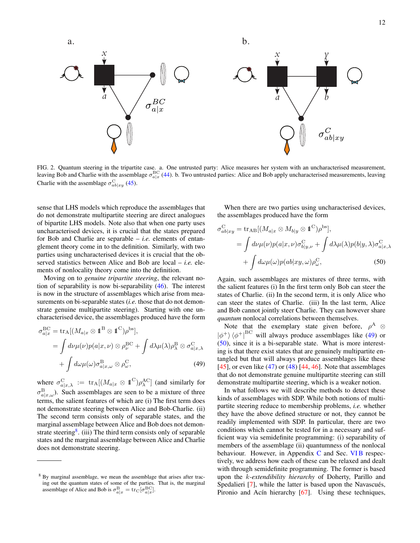

<span id="page-11-0"></span>FIG. 2. Quantum steering in the tripartite case. a. One untrusted party: Alice measures her system with an uncharacterised measurement, leaving Bob and Charlie with the assemblage  $\sigma_{a|x}^{BC}$  [\(44\)](#page-10-1). b. Two untrusted parties: Alice and Bob apply uncharacterised measurements, leaving Charlie with the assemblage  $\sigma_{ab|xy}^C$  [\(45\)](#page-10-2).

sense that LHS models which reproduce the assemblages that do not demonstrate multipartite steering are direct analogues of bipartite LHS models. Note also that when one party uses uncharacterised devices, it is crucial that the states prepared for Bob and Charlie are separable – *i.e.* elements of entanglement theory come in to the definition. Similarly, with two parties using uncharacterised devices it is crucial that the observed statistics between Alice and Bob are local – *i.e.* elements of nonlocality theory come into the definition.

Moving on to *genuine tripartite steering*, the relevant notion of separability is now bi-separability [\(46\)](#page-10-4). The interest is now in the structure of assemblages which arise from measurements on bi-separable states (*i.e.* those that do not demonstrate genuine multipartite steering). Starting with one uncharacterised device, the assemblages produced have the form

$$
\sigma_{a|x}^{\text{BC}} = \text{tr}_{\text{A}}[(M_{a|x} \otimes \mathbb{1}^{\text{B}} \otimes \mathbb{1}^{\text{C}})\rho^{\text{bs}}],
$$
  
= 
$$
\int d\nu \mu(\nu) p(a|x, \nu) \otimes \rho_{\nu}^{\text{BC}} + \int d\lambda \mu(\lambda) \rho_{\lambda}^{\text{B}} \otimes \sigma_{a|x, \lambda}^{\text{C}} + \int d\omega \mu(\omega) \sigma_{a|x, \omega}^{\text{B}} \otimes \rho_{\omega}^{\text{C}},
$$
 (49)

where  $\sigma_{a|x,\lambda}^{\text{C}} := \text{tr}_{\text{A}}[(M_{a|x} \otimes \mathbb{1}^{\text{C}})\rho_{\lambda}^{\text{AC}}]$  (and similarly for  $\sigma_{a|x,\omega}^{\text{B}}$ ). Such assemblages are seen to be a mixture of three terms, the salient features of which are (i) The first term does not demonstrate steering between Alice and Bob-Charlie. (ii) The second term consists only of separable states, and the marginal assemblage between Alice and Bob does not demon-strate steering<sup>[8](#page-11-1)</sup>. (iii) The third term consists only of separable states and the marginal assemblage between Alice and Charlie does not demonstrate steering.

When there are two parties using uncharacterised devices, the assemblages produced have the form

$$
\sigma_{ab|xy}^{\text{C}} = \text{tr}_{\text{AB}}[(M_{a|x} \otimes M_{b|y} \otimes \mathbb{1}^{\text{C}})\rho^{\text{bs}}],
$$
  
\n
$$
= \int d\nu \mu(\nu) p(a|x, \nu) \sigma_{b|y, \nu}^{\text{C}} + \int d\lambda \mu(\lambda) p(b|y, \lambda) \sigma_{a|x, \lambda}^{\text{C}} + \int d\omega \mu(\omega) p(ab|xy, \omega) \rho_{\omega}^{\text{C}},
$$
 (50)

<span id="page-11-3"></span>Again, such assemblages are mixtures of three terms, with the salient features (i) In the first term only Bob can steer the states of Charlie. (ii) In the second term, it is only Alice who can steer the states of Charlie. (iii) In the last term, Alice and Bob cannot jointly steer Charlie. They can however share *quantum* nonlocal correlations between themselves.

Note that the exemplary state given before,  $\rho^A \otimes$  $|\phi^{+}\rangle\langle\phi^{+}|^{BC}$  will always produce assemblages like [\(49\)](#page-11-2) or [\(50\)](#page-11-3), since it is a bi-separable state. What is more interesting is that there exist states that are genuinely multipartite entangled but that will always produce assemblages like these [\[45\]](#page-29-26), or even like  $(47)$  or  $(48)$  [\[44,](#page-29-4) [46\]](#page-29-5). Note that assemblages that do not demonstrate genuine multipartite steering can still demonstrate multipartite steering, which is a weaker notion.

<span id="page-11-2"></span>In what follows we will describe methods to detect these kinds of assemblages with SDP. While both notions of multipartite steering reduce to membership problems, *i.e.* whether they have the above defined structure or not, they cannot be readily implemented with SDP. In particular, there are two conditions which cannot be tested for in a necessary and sufficient way via semidefinite programming: (i) separability of members of the assemblage (ii) quantumness of the nonlocal behaviour. However, in Appendix  $C$  and Sec. VIB respectively, we address how each of these can be relaxed and dealt with through semidefinite programming. The former is based upon the k*-extendibility hierarchy* of Doherty, Parillo and Spedalieri [\[7\]](#page-28-7), while the latter is based upon the Navascués, Pironio and Acín hierarchy [\[67\]](#page-29-27). Using these techniques,

<span id="page-11-1"></span><sup>8</sup> By marginal assemblage, we mean the assemblage that arises after tracing out the quantum states of some of the parties. That is, the marginal assemblage of Alice and Bob is  $\sigma_{a|x}^{\text{B}} = \text{tr}_{\text{C}}[\sigma_{a|x}^{\text{BC}}]$ .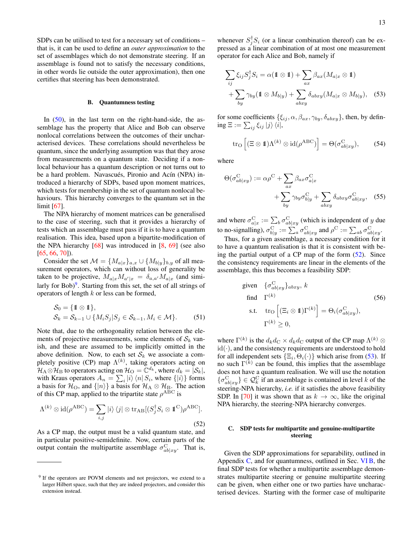SDPs can be utilised to test for a necessary set of conditions – that is, it can be used to define an *outer approximation* to the set of assemblages which do not demonstrate steering. If an assemblage is found not to satisfy the necessary conditions, in other words lie outside the outer approximation), then one certifies that steering has been demonstrated.

### <span id="page-12-0"></span>B. Quantumness testing

In  $(50)$ , in the last term on the right-hand-side, the assemblage has the property that Alice and Bob can observe nonlocal correlations between the outcomes of their uncharacterised devices. These correlations should nevertheless be quantum, since the underlying assumption was that they arose from measurements on a quantum state. Deciding if a nonlocal behaviour has a quantum description or not turns out to be a hard problem. Navascués, Pironio and Acín (NPA) introduced a hierarchy of SDPs, based upon moment matrices, which tests for membership in the set of quantum nonlocal behaviours. This hierarchy converges to the quantum set in the limit [\[67\]](#page-29-27).

The NPA hierarchy of moment matrices can be generalised to the case of steering, such that it provides a hierarchy of tests which an assemblage must pass if it is to have a quantum realisation. This idea, based upon a bipartite-modification of the NPA hierarchy  $[68]$  was introduced in  $[8, 69]$  $[8, 69]$  $[8, 69]$  (see also [\[65,](#page-29-24) [66,](#page-29-25) [70\]](#page-29-30)).

Consider the set  $\mathcal{M} = \{M_{a|x}\}_{a,x} \cup \{M_{b|y}\}_{b,y}$  of all measurement operators, which can without loss of generality be taken to be projective,  $M_{a|x}M_{a'|x} = \delta_{a,a'}M_{a|x}$  (and similarly for Bob) $9$ . Starting from this set, the set of all strings of operators of length  $k$  or less can be formed,

$$
S_0 = \{ \mathbb{1} \otimes \mathbb{1} \},
$$
  
\n
$$
S_k = S_{k-1} \cup \{ M_i S_j | S_j \in S_{k-1}, M_i \in \mathcal{M} \}.
$$
 (51)

Note that, due to the orthogonality relation between the elements of projective measurements, some elements of  $S_k$  vanish, and these are assumed to be implicitly omitted in the above definition. Now, to each set  $S_k$  we associate a completely positive (CP) map  $\Lambda^{(k)}$ , taking operators acting on  $\mathcal{H}_A \otimes \mathcal{H}_B$  to operators acting on  $\mathcal{H}_O = \mathbb{C}^{d_k}$ , where  $d_k = |\mathcal{S}_k|$ , with Kraus operators  $A_n = \sum_i |i\rangle\langle n| S_i$ , where  $\{|i\rangle\}$  forms a basis for  $\mathcal{H}_\text{O}$ , and  $\{|n\rangle\}$  a basis for  $\mathcal{H}_\text{A} \otimes \mathcal{H}_\text{B}$ . The action of this CP map, applied to the tripartite state  $\rho^{ABC}$  is

$$
\Lambda^{(k)} \otimes \mathrm{id}(\rho^{\mathrm{ABC}}) = \sum_{i,j} |i\rangle \langle j| \otimes \mathrm{tr}_{\mathrm{AB}}[(S_j^{\dagger} S_i \otimes \mathbb{1}^{\mathrm{C}}) \rho^{\mathrm{ABC}}].
$$
\n(52)

As a CP map, the output must be a valid quantum state, and in particular positive-semidefinite. Now, certain parts of the output contain the multipartite assemblage  $\sigma_{ab|xy}^C$ . That is,

whenever  $S_j^{\dagger} S_i$  (or a linear combination thereof) can be expressed as a linear combination of at most one measurement operator for each Alice and Bob, namely if

<span id="page-12-4"></span>
$$
\sum_{ij} \xi_{ij} S_j^{\dagger} S_i = \alpha (\mathbf{1} \otimes \mathbf{1}) + \sum_{ax} \beta_{ax} (M_{a|x} \otimes \mathbf{1})
$$

$$
+ \sum_{by} \gamma_{by} (\mathbf{1} \otimes M_{b|y}) + \sum_{abxy} \delta_{abxy} (M_{a|x} \otimes M_{b|y}), \quad (53)
$$

for some coefficients  $\{\xi_{ij}, \alpha, \beta_{ax}, \gamma_{by}, \delta_{abxy}\}$ , then, by defin- $\mathrm{ing\,} \Xi := \sum_{ij} \xi_{ij} \ket{j}\bra{i},$ 

$$
\operatorname{tr}_{\mathcal{O}}\left[ (\Xi \otimes \mathbb{1}) \Lambda^{(k)} \otimes \operatorname{id}(\rho^{\operatorname{ABC}}) \right] = \Theta(\sigma_{ab|xy}^{\operatorname{C}}),\tag{54}
$$

where

$$
\Theta(\sigma_{ab|xy}^{\mathcal{C}}) := \alpha \rho^{\mathcal{C}} + \sum_{ax} \beta_{ax} \sigma_{a|x}^{\mathcal{C}} + \sum_{aby} \gamma_{by} \sigma_{b|y}^{\mathcal{C}} + \sum_{abxy} \delta_{abxy} \sigma_{ab|xy}^{\mathcal{C}},
$$
 (55)

and where  $\sigma_{a|x}^{\text{C}} := \sum_{b} \sigma_{ab|xy}^{\text{C}}$  (which is independent of y due to no-signalling),  $\sigma_{b|y}^{\text{C}} := \sum_a \sigma_{ab|xy}^{\text{C}}$  and  $\rho^{\text{C}} := \sum_{ab} \sigma_{ab|xy}^{\text{C}}$ .

Thus, for a given assemblage, a necessary condition for it to have a quantum realisation is that it is consistent with being the partial output of a CP map of the form  $(52)$ . Since the consistency requirements are linear in the elements of the assemblage, this thus becomes a feasibility SDP:

given 
$$
\{\sigma_{ab|xy}^C\}_{abxy}
$$
,  $k$   
\nfind  $\Gamma^{(k)}$  (56)  
\ns.t.  $\text{tr}_{\mathcal{O}}\left[ (\Xi_i \otimes \mathbb{1})\Gamma^{(k)} \right] = \Theta_i(\sigma_{ab|xy}^C)$ ,  
\n $\Gamma^{(k)} \geq 0$ ,

where  $\Gamma^{(k)}$  is the  $d_k d_{\rm C} \times d_k d_{\rm C}$  output of the CP map  $\Lambda^{(k)}$   $\otimes$  $id(\cdot)$ , and the consistency requirements are understood to hold for all independent sets  $\{\Xi_i, \Theta_i(\cdot)\}\$  which arise from [\(53\)](#page-12-4). If no such  $\Gamma^{(k)}$  can be found, this implies that the assemblage does not have a quantum realisation. We will use the notation  $\{\sigma_{ab|xy}^{\text{C}}\}\in\mathcal{Q}_k^{\text{C}}$  if an assemblage is contained in level k of the steering-NPA hierarchy, *i.e.* if it satisfies the above feasibility SDP. In [\[70\]](#page-29-30) it was shown that as  $k \to \infty$ , like the original NPA hierarchy, the steering-NPA hierarchy converges.

# <span id="page-12-3"></span><span id="page-12-1"></span>C. SDP tests for multipartite and genuine-multipartite steering

Given the SDP approximations for separability, outlined in Appendix [C,](#page-27-0) and for quantumness, outlined in Sec. [VI B,](#page-12-0) the final SDP tests for whether a multipartite assemblage demonstrates multipartite steering or genuine multipartite steering can be given, when either one or two parties have uncharacterised devices. Starting with the former case of multiparite

<span id="page-12-2"></span><sup>&</sup>lt;sup>9</sup> If the operators are POVM elements and not projectors, we extend to a larger Hilbert space, such that they are indeed projectors, and consider this extension instead.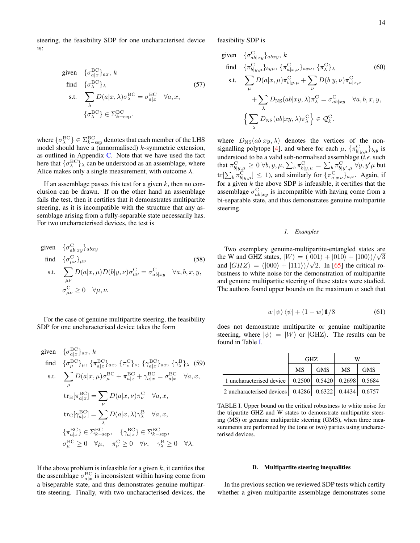steering, the feasibility SDP for one uncharacterised device is:

given 
$$
\{\sigma_{a|x}^{\text{BC}}\}_{ax}
$$
,  $k$   
\nfind  $\{\sigma_{\lambda}^{\text{BC}}\}_{\lambda}$  (57)  
\ns.t.  $\sum_{\lambda} D(a|x, \lambda) \sigma_{\lambda}^{\text{BC}} = \sigma_{a|x}^{\text{BC}} \quad \forall a, x$ ,  
\n $\{\sigma_{\lambda}^{\text{BC}}\} \in \Sigma_{k-\text{sep}}^{\text{BC}}$ .

where  $\{\sigma^{\rm BC}_\lambda\}\in \Sigma^{\rm BC}_{k-{\rm sep}}$  denotes that each member of the LHS model should have a (unnormalised)  $k$ -symmetric extension, as outlined in Appendix [C.](#page-27-0) Note that we have used the fact here that  $\{\sigma_{\lambda}^{\text{BC}}\}_\lambda$  can be understood as an assemblage, where Alice makes only a single measurement, with outcome  $\lambda$ .

If an assemblage passes this test for a given  $k$ , then no conclusion can be drawn. If on the other hand an assemblage fails the test, then it certifies that it demonstrates multipartite steering, as it is incompatible with the structure that any assemblage arising from a fully-separable state necessarily has. For two uncharacterised devices, the test is

given 
$$
\{\sigma_{ab|xy}^C\}_{abxy}
$$
  
\nfind  $\{\sigma_{\mu\nu}^C\}_{\mu\nu}$  (58)  
\ns.t.  $\sum_{\mu\nu} D(a|x,\mu)D(b|y,\nu)\sigma_{\mu\nu}^C = \sigma_{ab|xy}^C \quad \forall a, b, x, y,$   
\n $\sigma_{\mu\nu}^C \ge 0 \quad \forall \mu, \nu.$ 

For the case of genuine multipartite steering, the feasibility SDP for one uncharacterised device takes the form

given 
$$
\{\sigma_{a|x}^{BC}\}_{ax}
$$
,  $k$   
\nfind  $\{\sigma_{\mu}^{BC}\}_{\mu}$ ,  $\{\pi_{a|x}^{BC}\}_{ax}$ ,  $\{\pi_{\nu}^{C}\}_{\nu}$ ,  $\{\gamma_{a|x}^{BC}\}_{ax}$ ,  $\{\gamma_{\lambda}^{B}\}_{\lambda}$  (59)  
\ns.t. 
$$
\sum_{\mu} D(a|x, \mu)\sigma_{\mu}^{BC} + \pi_{a|x}^{BC} + \gamma_{a|x}^{BC} = \sigma_{a|x}^{BC} \quad \forall a, x,
$$

$$
\text{tr}_{B}[\pi_{a|x}^{BC}] = \sum_{\nu} D(a|x, \nu)\pi_{\nu}^{C} \quad \forall a, x,
$$

$$
\text{tr}_{C}[\gamma_{a|x}^{BC}] = \sum_{\lambda} D(a|x, \lambda)\gamma_{\lambda}^{B} \quad \forall a, x,
$$

$$
\{\pi_{a|x}^{BC}\} \in \Sigma_{k-\text{sep}}^{BC}, \quad \{\gamma_{a|x}^{BC}\} \in \Sigma_{k-\text{sep}}^{BC},
$$

$$
\sigma_{\mu}^{BC} \ge 0 \quad \forall \mu, \quad \pi_{\nu}^{C} \ge 0 \quad \forall \nu, \quad \gamma_{\lambda}^{B} \ge 0 \quad \forall \lambda.
$$

If the above problem is infeasible for a given  $k$ , it certifies that the assemblage  $\sigma_{a|x}^{\text{BC}}$  is inconsistent within having come from a biseparable state, and thus demonstrates genuine multipartite steering. Finally, with two uncharacterised devices, the

feasibility SDP is

given 
$$
\{\sigma_{ab|xy}^C\}_{abxy}
$$
,  $k$   
\nfind  $\{\pi_{b|y,\mu}^C\}_{by\mu}$ ,  $\{\pi_{a|x,\nu}^C\}_{ax\nu}$ ,  $\{\pi_{\lambda}^C\}_{\lambda}$  (60)  
\ns.t.  $\sum_{\mu} D(a|x,\mu)\pi_{b|y,\mu}^C + \sum_{\nu} D(b|y,\nu)\pi_{a|x,\nu}^C$   
\n $+ \sum_{\lambda} D_{NS}(ab|xy,\lambda)\pi_{\lambda}^C = \sigma_{ab|xy}^C \quad \forall a, b, x, y,$   
\n $\left\{\sum_{\lambda} D_{NS}(ab|xy,\lambda)\pi_{\lambda}^C\right\} \in \mathcal{Q}_k^C.$ 

where  $D_{\text{NS}}(ab|xy, \lambda)$  denotes the vertices of the non-signalling polytope [\[4\]](#page-28-4), and where for each  $\mu$ ,  $\{\pi_{b|y,\mu}^C\}_{b,y}$  is understood to be a valid sub-normalised assemblage (*i.e.* such that  $\pi_{b|y,\mu}^{\rm C} \geq 0 \,\forall b,y,\mu, \sum_{b} \pi_{b|y,\mu}^{\rm C} = \sum_{b} \pi_{b|y',\mu}^{\rm C} \,\forall y,y'\mu$  but  $\text{tr}[\sum_b \pi_{b|y,\mu}^{\text{C}}] \leq 1$ ), and similarly for  $\{\pi_{a|x\nu}^{\text{C}}\}_{a,x}$ . Again, if for a given  $k$  the above SDP is infeasible, it certifies that the assemblage  $\sigma_{ab|xy}^C$  is incompatible with having come from a bi-separable state, and thus demonstrates genuine multipartite steering.

# <span id="page-13-0"></span>*1. Examples*

Two exemplary genuine-multipartite-entangled states are √ the W and GHZ states,  $|W\rangle = (|001\rangle + |010\rangle + |100\rangle)/\sqrt{3}$ and  $|GHZ\rangle = (|000\rangle + |111\rangle)/\sqrt{2}$ . In [\[65\]](#page-29-24) the critical robustness to white noise for the demonstration of multipartite and genuine multipartite steering of these states were studied. The authors found upper bounds on the maximum  $w$  such that

$$
w|\psi\rangle\langle\psi| + (1 - w)\mathbb{1}/8\tag{61}
$$

<span id="page-13-2"></span>does not demonstrate multipartite or genuine multipartite steering, where  $|\psi\rangle = |W\rangle$  or  $|GHZ\rangle$ . The results can be found in Table [I.](#page-13-3)

|                                                               |           | GHZ.       | W                                         |            |
|---------------------------------------------------------------|-----------|------------|-------------------------------------------|------------|
|                                                               | <b>MS</b> | <b>GMS</b> | MS                                        | <b>GMS</b> |
| 1 uncharacterised device                                      |           |            | $0.2500$   $0.5420$   $0.2698$   $0.5684$ |            |
| 2 uncharacterised devices   0.4286   0.6322   0.4434   0.6757 |           |            |                                           |            |

<span id="page-13-3"></span>TABLE I. Upper bound on the critical robustness to white noise for the tripartite GHZ and W states to demonstrate multipartite steering (MS) or genuine multipartite steering (GMS), when three measurements are performed by the (one or two) parties using uncharacterised devices.

### <span id="page-13-1"></span>D. Multipartite steering inequalities

In the previous section we reviewed SDP tests which certify whether a given multipartite assemblage demonstrates some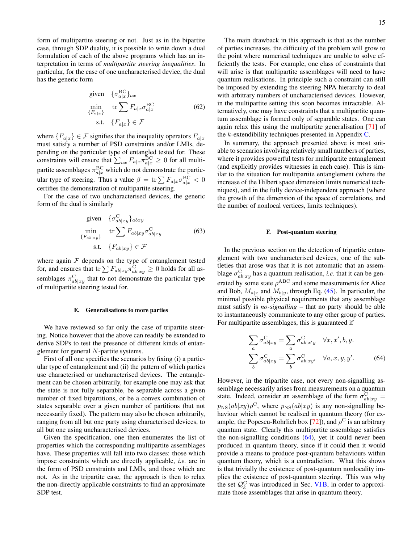form of multipartite steering or not. Just as in the bipartite case, through SDP duality, it is possible to write down a dual formulation of each of the above programs which has an interpretation in terms of *multipartite steering inequalities*. In particular, for the case of one uncharacterised device, the dual has the generic form

given 
$$
\{\sigma_{a|x}^{\text{BC}}\}_{ax}
$$
  
\n
$$
\min_{\{F_{a|x}\}} \text{tr} \sum F_{a|x} \sigma_{a|x}^{\text{BC}}
$$
\n
$$
\text{s.t. } \{F_{a|x}\} \in \mathcal{F}
$$
\n(62)

where  $\{F_{a|x}\}\in\mathcal{F}$  signifies that the inequality operators  $F_{a|x}$ must satisfy a number of PSD constraints and/or LMIs, depending on the particular type of entangled tested for. These constraints will ensure that  $\sum_{ax} F_{a|x} \pi_{a|x}^{\text{BC}} \ge 0$  for all multipartite assemblages  $\pi_{a|x}^{\text{BC}}$  which do not demonstrate the particular type of steering. Thus a value  $\beta = \text{tr} \sum F_{a|x} \sigma_{a|x}^{\text{BC}} < 0$ certifies the demonstration of multipartite steering.

For the case of two uncharacterised devices, the generic form of the dual is similarly

given 
$$
\{\sigma_{ab|xy}^C\}_{abxy}
$$
  
\n
$$
\min_{\{F_{ab|xy}\}} \text{tr} \sum F_{ab|xy} \sigma_{ab|xy}^C
$$
\n
$$
\text{s.t. } \{F_{ab|xy}\} \in \mathcal{F}
$$
\n(63)

where again  $F$  depends on the type of entanglement tested for, and ensures that  $\text{tr}\sum F_{ab|xy}\pi_{ab|xy}^{\text{C}}\geq 0$  holds for all assemblages  $\pi_{ab|xy}^C$  that to not demonstrate the particular type of multipartite steering tested for.

### <span id="page-14-0"></span>E. Generalisations to more parties

We have reviewed so far only the case of tripartite steering. Notice however that the above can readily be extended to derive SDPs to test the presence of different kinds of entanglement for general N-partite systems.

First of all one specifies the scenarios by fixing (i) a particular type of entanglement and (ii) the pattern of which parties use characterised or uncharacterised devices. The entanglement can be chosen arbitrarily, for example one may ask that the state is not fully separable, be separable across a given number of fixed bipartitions, or be a convex combination of states separable over a given number of partitions (but not necessarily fixed). The pattern may also be chosen arbitrarily, ranging from all but one party using characterised devices, to all but one using uncharacterised devices.

Given the specification, one then enumerates the list of properties which the corresponding multipartite assemblages have. These properties will fall into two classes: those which impose constraints which are directly applicable, *i.e.* are in the form of PSD constraints and LMIs, and those which are not. As in the tripartite case, the approach is then to relax the non-directly applicable constraints to find an approximate SDP test.

The main drawback in this approach is that as the number of parties increases, the difficulty of the problem will grow to the point where numerical techniques are unable to solve efficiently the tests. For example, one class of constraints that will arise is that multipartite assemblages will need to have quantum realisations. In principle such a constraint can still be imposed by extending the steering NPA hierarchy to deal with arbitrary numbers of uncharacterised devices. However, in the multipartite setting this soon becomes intractable. Alternatively, one may have constraints that a multipartite quantum assemblage is formed only of separable states. One can again relax this using the multipartite generalisation [\[71\]](#page-29-31) of the  $k$ -extendibility techniques presented in Appendix [C.](#page-27-0)

In summary, the approach presented above is most suitable to scenarios involving relatively small numbers of parties, where it provides powerful tests for multipartite entanglement (and explicitly provides witnesses in each case). This is similar to the situation for multipartite entanglement (where the increase of the Hilbert space dimension limits numerical techniques), and in the fully device-independent approach (where the growth of the dimension of the space of correlations, and the number of nonlocal vertices, limits techniques).

### <span id="page-14-1"></span>F. Post-quantum steering

In the previous section on the detection of tripartite entanglement with two uncharacterised devices, one of the subtleties that arose was that it is not automatic that an assemblage  $\sigma_{ab|xy}^C$  has a quantum realisation, *i.e.* that it can be generated by some state  $\rho^{ABC}$  and some measurements for Alice and Bob,  $M_{a|x}$  and  $M_{b|y}$ , through Eq. [\(45\)](#page-10-2). In particular, the minimal possible physical requirements that any assemblage must satisfy is *no-signalling* – that no party should be able to instantaneously communicate to any other group of parties. For multipartite assemblages, this is guaranteed if

<span id="page-14-2"></span>
$$
\sum_{a} \sigma_{ab|xy}^{\mathcal{C}} = \sum_{a} \sigma_{ab|x'y}^{\mathcal{C}} \quad \forall x, x', b, y.
$$

$$
\sum_{b} \sigma_{ab|xy}^{\mathcal{C}} = \sum_{b} \sigma_{ab|xy'}^{\mathcal{C}} \quad \forall a, x, y, y'.
$$
(64)

However, in the tripartite case, not every non-signalling assemblage necessarily arises from measurements on a quantum state. Indeed, consider an assemblage of the form  $\sigma_{ab|xy}^C =$  $p_{\text{NS}}(ab|xy)\rho^{\text{C}}$ , where  $p_{\text{NS}}(ab|xy)$  is any non-signalling behaviour which cannot be realised in quantum theory (for ex-ample, the Popescu-Rohrlich box [\[72\]](#page-29-32)), and  $\rho^C$  is an arbitrary quantum state. Clearly this multipartite assemblage satisfies the non-signalling conditions [\(64\)](#page-14-2), yet it could never been produced in quantum theory, since if it could then it would provide a means to produce post-quantum behaviours within quantum theory, which is a contradiction. What this shows is that trivially the existence of post-quantum nonlocality implies the existence of post-quantum steering. This was why the set  $\mathcal{Q}_k^C$  was introduced in Sec. VIB, in order to approximate those assemblages that arise in quantum theory.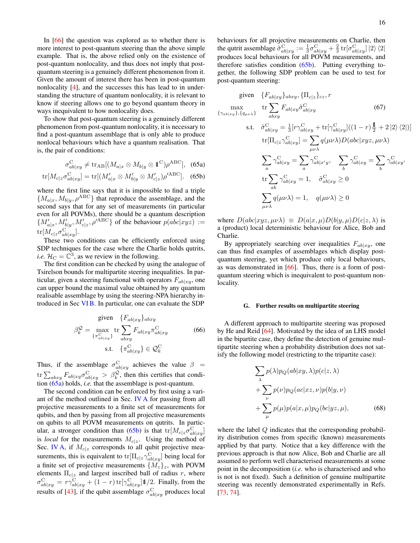In [\[66\]](#page-29-25) the question was explored as to whether there is more interest to post-quantum steering than the above simple example. That is, the above relied only on the existence of post-quantum nonlocality, and thus does not imply that postquantum steering is a genuinely different phenomenon from it. Given the amount of interest there has been in post-quantum nonlocality [\[4\]](#page-28-4), and the successes this has lead to in understanding the structure of quantum nonlocality, it is relevant to know if steering allows one to go beyond quantum theory in ways inequivalent to how nonlocality does.

To show that post-quantum steering is a genuinely different phenomenon from post-quantum nonlocality, it is necessary to find a post-quantum assemblage that is only able to produce nonlocal behaviours which have a quantum realisation. That is, the pair of conditions:

$$
\sigma_{ab|xy}^{\text{C}} \neq \text{tr}_{\text{AB}}[(M_{a|x} \otimes M_{b|y} \otimes \mathbb{1}^{\text{C}})\rho^{\text{ABC}}], \tag{65a}
$$

$$
\text{tr}[M_{c|z}\sigma_{ab|xy}^{\text{C}}] = \text{tr}[(M_{a|x}' \otimes M_{b|y}' \otimes M_{c|z}')\rho'^{\text{ABC}}]. \quad (65b)
$$

where the first line says that it is impossible to find a triple  ${M_{a|x, M_{b|y}, \rho^{ABC}}\}$  that reproduce the assemblage, and the second says that for any set of measurements (in particular even for all POVMs), there should be a quantum description  $\{M'_{a|x}, M'_{b|y}, M'_{c|z}, \rho'^{\text{ABC}}\}$  of the behaviour  $p(abc|xyz) :=$  $\mathrm{tr}[M_{c|z}\sigma_{ab|xy}^{\mathrm{C}}].$ 

These two conditions can be efficiently enforced using SDP techniques for the case where the Charlie holds qutrits, *i.e.*  $\mathcal{H}_{\rm C} = \mathbb{C}^3$ , as we review in the following.

The first condition can be checked by using the analogue of Tsirelson bounds for multipartite steering inequalities. In particular, given a steering functional with operators  $F_{ab|x,y}$ , one can upper bound the maximal value obtained by any quantum realisable assemblage by using the steering-NPA hierarchy introduced in Sec [VI B.](#page-12-0) In particular, one can evaluate the SDP

$$
\beta_k^{\mathcal{Q}} = \max_{\{\pi_{ab|xy}^{\alpha}\}} \text{tr} \sum_{abxy} F_{ab|xy} \pi_{ab|xy}^{\mathcal{C}} \tag{66}
$$
  
s.t.  $\{\pi_{ab|xy}^{\mathcal{C}}\} \in \mathcal{Q}_k^{\mathcal{C}}$ 

Thus, if the assemblage  $\sigma_{ab|xy}^C$  achieves the value  $\beta =$ tr $\sum_{abxy} F_{ab|xy} \sigma_{ab|xy}^{\text{C}} > \beta_k^{\mathcal{Q}}$ , then this certifies that condition [\(65a\)](#page-15-1) holds, *i.e.* that the assemblage is post-quantum.

The second condition can be enforced by first using a variant of the method outlined in Sec. [IV A](#page-5-1) for passing from all projective measurements to a finite set of measurements for qubits, and then by passing from all projective measurements on qubits to all POVM measurements on qutrits. In partic-ular, a stronger condition than [\(65b\)](#page-15-2) is that  $tr[M_c|_z\sigma_{ab|xy}^C]$ is *local* for the measurements  $M_{c|z}$ . Using the method of Sec. [IV A,](#page-5-1) if  $M_{c|z}$  corresponds to all qubit projective measurements, this is equivalent to  $tr[\Pi_{c|z} \gamma_{ab|xy}^C]$  being local for a finite set of projective measurements  $\{M_z\}_z$ , with POVM elements  $\Pi_{c|z}$  and largest inscribed ball of radius r, where  $\sigma_{ab|xy}^{\rm C} = r\gamma_{ab|xy}^{\rm C} + (1-r)\text{tr}[\gamma_{ab|xy}^{\rm C}]1/2$ . Finally, from the results of [\[43\]](#page-29-3), if the qubit assemblage  $\sigma_{ab|xy}^C$  produces local

behaviours for all projective measurements on Charlie, then the qutrit assemblage  $\tilde{\sigma}_{ab|xy}^{\text{C}} := \frac{1}{3} \sigma_{ab|xy}^{\text{C}} + \frac{2}{3} \text{tr}[\sigma_{ab|xy}^{\text{C}}] |2\rangle \langle 2|$ produces local behaviours for all POVM measurements, and therefore satisfies condition [\(65b\)](#page-15-2). Putting everything together, the following SDP problem can be used to test for post-quantum steering:

given 
$$
\{F_{ab|xy}\}_{abxy}
$$
,  $\{\Pi_{c|z}\}_{cz}$ ,  $r$   
\n
$$
\max_{\{\gamma_{ab|xy}\},\{q_{\mu\nu\lambda}\}} \text{ tr } \sum_{abxy} F_{ab|xy} \tilde{\sigma}_{ab|xy}^C
$$
\n
$$
\text{s.t.} \quad \tilde{\sigma}_{ab|xy}^C = \frac{1}{3} [\tau \gamma_{ab|xy}^C + \text{tr}[\gamma_{ab|xy}^C] ((1 - r)\frac{\mathbb{I}}{2} + 2|2\rangle\langle 2|)]
$$
\n
$$
\text{tr}[\Pi_{c|z} \gamma_{ab|xy}^C] = \sum_{\mu\nu\lambda} q(\mu\nu\lambda) D(abc|xyz, \mu\nu\lambda)
$$
\n
$$
\sum_a \gamma_{ab|xy}^C = \sum_a \gamma_{ab|x'y}^C, \quad \sum_b \gamma_{ab|xy}^C = \sum_b \gamma_{ab|xy'}^C
$$
\n
$$
\text{tr } \sum_{ab} \gamma_{ab|xy}^C = 1, \quad \tilde{\sigma}_{ab|xy}^C \ge 0
$$
\n
$$
\sum_{\mu\nu\lambda} q(\mu\nu\lambda) = 1, \quad q(\mu\nu\lambda) \ge 0
$$

<span id="page-15-2"></span><span id="page-15-1"></span>where  $D(abc|xyz, \mu\nu\lambda) \equiv D(a|x,\mu)D(b|y,\mu)D(c|z,\lambda)$  is a (product) local deterministic behaviour for Alice, Bob and Charlie.

By appropriately searching over inequalities  $F_{ab}|_{xy}$ , one can thus find examples of assemblages which display postquantum steering, yet which produce only local behaviours, as was demonstrated in [\[66\]](#page-29-25). Thus, there is a form of postquantum steering which is inequivalent to post-quantum nonlocality.

# <span id="page-15-0"></span>G. Further results on multipartite steering

A different approach to multipartite steering was proposed by He and Reid [\[64\]](#page-29-23). Motivated by the idea of an LHS model in the bipartite case, they define the detection of genuine multipartite steering when a probability distribution does not satisfy the following model (restricting to the tripartite case):

$$
\sum_{\lambda} p(\lambda) p_Q(ab|xy, \lambda) p(c|z, \lambda) \n+ \sum_{\nu} p(\nu) p_Q(ac|xz, \nu) p(b|y, \nu) \n+ \sum_{\mu} p(\mu) p(a|x, \mu) p_Q(bc|yz, \mu),
$$
\n(68)

where the label Q indicates that the corresponding probability distribution comes from specific (known) measurements applied by that party. Notice that a key difference with the previous approach is that now Alice, Bob and Charlie are all assumed to perform well characterised measurements at some point in the decomposition (*i.e.* who is characterised and who is not is not fixed). Such a definition of genuine multipartite steering was recently demonstrated experimentally in Refs. [\[73,](#page-29-33) [74\]](#page-29-34).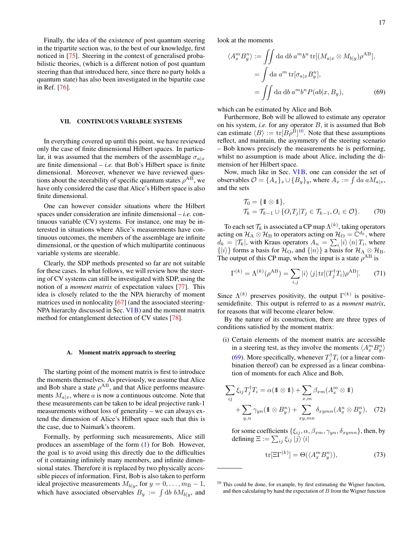Finally, the idea of the existence of post quantum steering in the tripartite section was, to the best of our knowledge, first noticed in [\[75\]](#page-29-35). Steering in the context of generalised probabilistic theories, (which is a different notion of post quantum steering than that introduced here, since there no party holds a quantum state) has also been investigated in the bipartite case in Ref. [\[76\]](#page-29-36).

### <span id="page-16-0"></span>VII. CONTINUOUS VARIABLE SYSTEMS

In everything covered up until this point, we have reviewed only the case of finite dimensional Hilbert spaces. In particular, it was assumed that the members of the assemblage  $\sigma_{a|x}$ are finite dimensional  $-$  *i.e.* that Bob's Hilbert space is finite dimensional. Moreover, whenever we have reviewed questions about the steerability of specific quantum states  $\rho^{AB}$ , we have only considered the case that Alice's Hilbert space is also finite dimensional.

One can however consider situations where the Hilbert spaces under consideration are infinite dimensional – *i.e.* continuous variable (CV) systems. For instance, one may be interested in situations where Alice's measurements have continuous outcomes, the members of the assemblage are infinite dimensional, or the question of which multipartite continuous variable systems are steerable.

Clearly, the SDP methods presented so far are not suitable for these cases. In what follows, we will review how the steering of CV systems can still be investigated with SDP, using the notion of a *moment matrix* of expectation values [\[77\]](#page-29-37). This idea is closely related to the the NPA hierarchy of moment matrices used in nonlocality [\[67\]](#page-29-27) (and the associated steering-NPA hierarchy discussed in Sec. [VI B\)](#page-12-0) and the moment matrix method for entanglement detection of CV states [\[78\]](#page-29-38).

#### <span id="page-16-1"></span>A. Moment matrix approach to steering

The starting point of the moment matrix is first to introduce the moments themselves. As previously, we assume that Alice and Bob share a state  $\rho^{AB}$ , and that Alice performs measurements  $M_{a|x}$ , where a is now a continuous outcome. Note that these measurements can be taken to be ideal projective rank-1 measurements without loss of generality – we can always extend the dimension of Alice's Hilbert space such that this is the case, due to Naimark's theorem.

Formally, by performing such measurements, Alice still produces an assemblage of the form [\(1\)](#page-1-3) for Bob. However, the goal is to avoid using this directly due to the difficulties of it containing infinitely many members, and infinite dimensional states. Therefore it is replaced by two physically accessible pieces of information. First, Bob is also taken to perform ideal projective measurements  $M_{b|y}$ , for  $y = 0, \ldots, m_{\text{B}} - 1$ , which have associated observables  $B_y := \int \mathrm{d}b \; b M_{b|y}$ , and look at the moments

<span id="page-16-3"></span>
$$
\langle A_x^m B_y^n \rangle := \iint da \, db \, a^m b^n \, \text{tr}[(M_{a|x} \otimes M_{b|y}) \rho^{AB}],
$$

$$
= \int da \, a^m \, \text{tr}[\sigma_{a|x} B_y^n],
$$

$$
= \iint da \, db \, a^m b^n P(ab|x, B_y), \tag{69}
$$

which can be estimated by Alice and Bob.

Furthermore, Bob will be allowed to estimate any operator on his system, *i.e.* for any operator B, it is assumed that Bob can estimate  $\langle B \rangle := \text{tr}[B \rho^{B}]^{10}$  $\langle B \rangle := \text{tr}[B \rho^{B}]^{10}$  $\langle B \rangle := \text{tr}[B \rho^{B}]^{10}$ . Note that these assumptions reflect, and maintain, the asymmetry of the steering scenario – Bob knows precisely the measurements he is performing, whilst no assumption is made about Alice, including the dimension of her Hilbert space.

Now, much like in Sec. [VI B,](#page-12-0) one can consider the set of observables  $\mathcal{O} = \{A_x\}_x \cup \{B_y\}_y$ , where  $A_x := \int da \, a M_{a|x}$ , and the sets

$$
\mathcal{T}_0 = \{ \mathbb{1} \otimes \mathbb{1} \},
$$
  
\n
$$
\mathcal{T}_k = \mathcal{T}_{k-1} \cup \{ O_i T_j | T_j \in \mathcal{T}_{k-1}, O_i \in \mathcal{O} \}.
$$
\n(70)

To each set  $\mathcal{T}_k$  is associated a CP map  $\Lambda^{(k)}$ , taking operators acting on  $\mathcal{H}_A \otimes \mathcal{H}_B$  to operators acting on  $\mathcal{H}_O = \mathbb{C}^{d_k}$ , where  $d_k = |\mathcal{T}_k|$ , with Kraus operators  $A_n = \sum_i |i\rangle\langle n| T_i$ , where  $\{|i\rangle\}$  forms a basis for  $\mathcal{H}_{\text{O}}$ , and  $\{|n\rangle\}$  a basis for  $\mathcal{H}_{\text{A}} \otimes \mathcal{H}_{\text{B}}$ . The output of this CP map, when the input is a state  $\rho^{AB}$  is

$$
\Gamma^{(k)} = \Lambda^{(k)}(\rho^{AB}) = \sum_{i,j} |i\rangle \langle j| \operatorname{tr}[(T_j^{\dagger} T_i) \rho^{AB}]. \tag{71}
$$

Since  $\Lambda^{(k)}$  preserves positivity, the output  $\Gamma^{(k)}$  is positivesemidefinite. This output is referred to as a *moment matrix*, for reasons that will become clearer below.

By the nature of its construction, there are three types of conditions satisfied by the moment matrix:

- (i) Certain elements of the moment matrix are accessible in a steering test, as they involve the moments  $\langle A_x^m B_y^n \rangle$ 
	- [\(69\)](#page-16-3). More specifically, whenever  $T_j^{\dagger} T_i$  (or a linear combination thereof) can be expressed as a linear combination of moments for each Alice and Bob,

$$
\sum_{ij} \xi_{ij} T_j^{\dagger} T_i = \alpha (\mathbf{1} \otimes \mathbf{1}) + \sum_{x,m} \beta_{xm} (A_x^m \otimes \mathbf{1}) + \sum_{y,n} \gamma_{yn} (\mathbf{1} \otimes B_y^n) + \sum_{xy,mn} \delta_{xymn} (A_x^n \otimes B_y^n), \quad (72)
$$

for some coefficients  $\{\xi_{ij}, \alpha, \beta_{xm}, \gamma_{yn}, \delta_{xymn}\}$ , then, by defining  $\Xi := \sum_{ij} \xi_{ij} \ket{j}\bra{i}$ 

$$
\text{tr}[\Xi\Gamma^{(k)}] = \Theta(\langle A_x^m B_y^n \rangle),\tag{73}
$$

<span id="page-16-2"></span><sup>&</sup>lt;sup>10</sup> This could be done, for example, by first estimating the Wigner function, and then calculating by hand the expectation of  $B$  from the Wigner function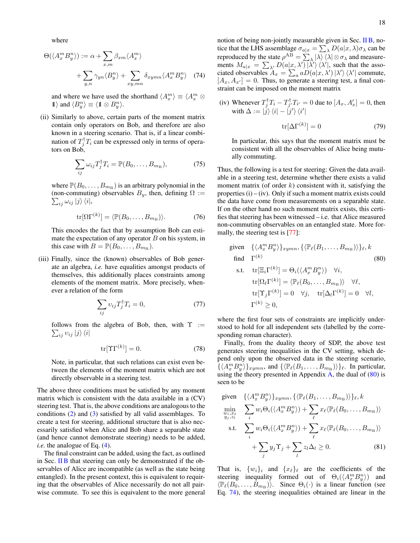where

$$
\Theta(\langle A_x^m B_y^n \rangle) := \alpha + \sum_{x,m} \beta_{xm} \langle A_x^m \rangle + \sum_{y,n} \gamma_{yn} \langle B_y^n \rangle + \sum_{xy,mn} \delta_{xymn} \langle A_x^m B_y^n \rangle \quad (74)
$$

and where we have used the shorthand  $\langle A_x^m \rangle \equiv \langle A_x^m \otimes A_y^m \rangle$  $\langle B_y^n \rangle \equiv \langle 1 \otimes B_y^n \rangle.$ 

(ii) Similarly to above, certain parts of the moment matrix contain only operators on Bob, and therefore are also known in a steering scenario. That is, if a linear combination of  $T_j^{\dagger} T_i$  can be expressed only in terms of operators on Bob,

$$
\sum_{ij} \omega_{ij} T_j^{\dagger} T_i = \mathbb{P}(B_0, \dots, B_{m_\text{B}}),\tag{75}
$$

where  $\mathbb{P}(B_0, \ldots, B_{m_B})$  is an arbitrary polynomial in the (non-commuting) observables  $B_y$ , then, defining  $\Omega :=$  $\sum_{ij} \omega_{ij} |j\rangle\langle i|,$ 

$$
\operatorname{tr}[\Omega \Gamma^{(k)}] = \langle \mathbb{P}(B_0, \dots, B_{m_{\mathrm{B}}} ) \rangle. \tag{76}
$$

This encodes the fact that by assumption Bob can estimate the expectation of any operator  $B$  on his system, in this case with  $B = \mathbb{P}(B_0, \ldots, B_{m_B})$ .

(iii) Finally, since the (known) observables of Bob generate an algebra, *i.e.* have equalities amongst products of themselves, this additionally places constraints among elements of the moment matrix. More precisely, whenever a relation of the form

$$
\sum_{ij} v_{ij} T_j^{\dagger} T_i = 0, \qquad (77)
$$

follows from the algebra of Bob, then, with  $\Upsilon :=$  $\sum_{ij} v_{ij} |j\rangle \langle i|$ 

$$
\text{tr}[\Upsilon \Gamma^{(k)}] = 0. \tag{78}
$$

Note, in particular, that such relations can exist even between the elements of the moment matrix which are not directly observable in a steering test.

The above three conditions must be satisfied by any moment matrix which is consistent with the data available in a (CV) steering test. That is, the above conditions are analogous to the conditions [\(2\)](#page-2-3) and [\(3\)](#page-2-4) satisfied by all valid assemblages. To create a test for steering, additional structure that is also necessarily satisfied when Alice and Bob share a separable state (and hence cannot demonstrate steering) needs to be added, *i.e.* the analogue of Eq. [\(4\)](#page-2-5).

The final constraint can be added, using the fact, as outlined in Sec. [II B](#page-2-1) that steering can only be demonstrated if the observables of Alice are incompatible (as well as the state being entangled). In the present context, this is equivalent to requiring that the observables of Alice necessarily do not all pairwise commute. To see this is equivalent to the more general

<span id="page-17-1"></span>notion of being non-jointly measurable given in Sec.  $\overline{I}$  IB, notice that the LHS assemblage  $\sigma_{a|x} = \sum_{\lambda} D(a|x, \lambda) \sigma_{\lambda}$  can be reproduced by the state  $\rho^{AB} = \sum_{\lambda} |\lambda\rangle \langle \lambda| \otimes \sigma_{\lambda}$  and measurements  $M_{a|x} = \sum_{\lambda'} D(a|x, \lambda') |\lambda' \rangle \langle \lambda'|$ , such that the associated observables  $A_x = \sum_a aD(a|x, \lambda') | \lambda' \rangle \langle \lambda' |$  commute,  $[A_x, A_{x'}] = 0$ . Thus, to generate a steering test, a final constraint can be imposed on the moment matrix

(iv) Whenever  $T_j^{\dagger} T_i - T_{j'}^{\dagger} T_{i'} = 0$  due to  $[A_x, A'_x] = 0$ , then with  $\Delta := \ket{j}\bra{i} - \ket{j'}\bra{i'}$ 

$$
\text{tr}[\Delta\Gamma^{(k)}] = 0\tag{79}
$$

In particular, this says that the moment matrix must be consistent with all the observables of Alice being mutually commuting.

Thus, the following is a test for steering: Given the data available in a steering test, determine whether there exists a valid moment matrix (of order  $k$ ) consistent with it, satisfying the properties  $(i) - (iv)$ . Only if such a moment matrix exists could the data have come from measurements on a separable state. If on the other hand no such moment matrix exists, this certifies that steering has been witnessed – i.e. that Alice measured non-commuting observables on an entangled state. More formally, the steering test is [\[77\]](#page-29-37):

<span id="page-17-0"></span>given 
$$
\{\langle A_x^m B_y^n \rangle\}_{xymn}, \{\langle \mathbb{P}_{\ell}(B_1, \ldots, B_{m_B}) \rangle\}_{\ell}, k
$$
  
\nfind  $\Gamma^{(k)}$  (80)  
\ns.t.  $\text{tr}[\Xi_i \Gamma^{(k)}] = \Theta_i(\langle A_x^m B_y^n \rangle) \quad \forall i,$   
\n $\text{tr}[\Omega_{\ell} \Gamma^{(k)}] = \langle \mathbb{P}_{\ell}(B_0, \ldots, B_{m_B}) \rangle \quad \forall \ell,$   
\n $\text{tr}[\Upsilon_j \Gamma^{(k)}] = 0 \quad \forall j, \quad \text{tr}[\Delta_l \Gamma^{(k)}] = 0 \quad \forall l,$   
\n $\Gamma^{(k)} \geq 0,$ 

where the first four sets of constraints are implicitly understood to hold for all independent sets (labelled by the corresponding roman character).

Finally, from the duality theory of SDP, the above test generates steering inequalities in the CV setting, which depend only upon the observed data in the steering scenario,  $\{\langle A_x^m B_y^n \rangle\}_{xymn}$ , and  $\{\langle \mathbb{P}_{\ell}(B_1, \ldots, B_{m_B}) \rangle\}_{\ell}$ . In particular, using the theory presented in Appendix  $\overline{A}$ , the dual of [\(80\)](#page-17-0) is seen to be

given 
$$
\{\langle A_x^m B_y^n \rangle\}_{xymn}, \{\langle \mathbb{P}_{\ell}(B_1, ..., B_{m_B}) \rangle\}_{\ell}, k
$$
  
\n
$$
\min_{w_i, x_{\ell}} \sum_i w_i \Theta_i (\langle A_x^m B_y^n \rangle) + \sum_{\ell} x_{\ell} \langle \mathbb{P}_{\ell}(B_0, ..., B_{m_B}) \rangle
$$
\ns.t. 
$$
\sum_i w_i \Theta_i (\langle A_x^m B_y^n \rangle) + \sum_{\ell} x_{\ell} \langle \mathbb{P}_{\ell}(B_0, ..., B_{m_B}) \rangle
$$
\n
$$
+ \sum_j y_j \Upsilon_j + \sum_l z_l \Delta_l \ge 0.
$$
\n(81)

That is,  $\{w_i\}_i$  and  $\{x_\ell\}_\ell$  are the coefficients of the steering inequality formed out of  $\Theta_i(\langle A_x^m B_y^n \rangle)$  and  $\langle \mathbb{P}_{\ell}(B_0, \ldots, B_{m_B}) \rangle$ . Since  $\Theta_i(\cdot)$  is a linear function (see Eq. [74\)](#page-17-1), the steering inequalities obtained are linear in the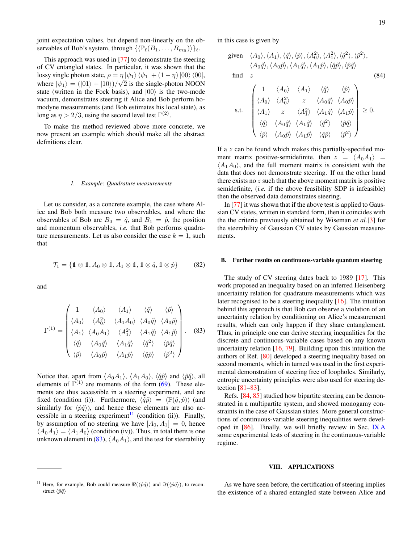joint expectation values, but depend non-linearly on the observables of Bob's system, through  $\{(\mathbb{P}_{\ell}(B_1, \ldots, B_{m_B}))\}_{\ell}$ .

This approach was used in [\[77\]](#page-29-37) to demonstrate the steering of CV entangled states. In particular, it was shown that the lossy single photon state,  $\rho = \eta |\psi_1\rangle \langle \psi_1| + (1 - \eta) |00\rangle \langle 00|$ , where  $|\psi_1\rangle = (|01\rangle + |10\rangle)/\sqrt{2}$  is the single-photon NOON state (written in the Fock basis), and  $|00\rangle$  is the two-mode vacuum, demonstrates steering if Alice and Bob perform homodyne measurements (and Bob estimates his local state), as long as  $\eta > 2/3$ , using the second level test  $\Gamma^{(2)}$ .

To make the method reviewed above more concrete, we now present an example which should make all the abstract definitions clear.

#### <span id="page-18-0"></span>*1. Example: Quadrature measurements*

Let us consider, as a concrete example, the case where Alice and Bob both measure two observables, and where the observables of Bob are  $B_0 = \hat{q}$ , and  $B_1 = \hat{p}$ , the position and momentum observables, *i.e.* that Bob performs quadrature measurements. Let us also consider the case  $k = 1$ , such that

$$
\mathcal{T}_1 = \{ \mathbf{1} \otimes \mathbf{1}, A_0 \otimes \mathbf{1}, A_1 \otimes \mathbf{1}, \mathbf{1} \otimes \hat{q}, \mathbf{1} \otimes \hat{p} \} \tag{82}
$$

<span id="page-18-4"></span>and

$$
\Gamma^{(1)} = \begin{pmatrix}\n1 & \langle A_0 \rangle & \langle A_1 \rangle & \langle \hat{q} \rangle & \langle \hat{p} \rangle \\
\langle A_0 \rangle & \langle A_0^2 \rangle & \langle A_1 A_0 \rangle & \langle A_0 \hat{q} \rangle & \langle A_0 \hat{p} \rangle \\
\langle A_1 \rangle & \langle A_0 A_1 \rangle & \langle A_1^2 \rangle & \langle A_1 \hat{q} \rangle & \langle A_1 \hat{p} \rangle \\
\langle \hat{q} \rangle & \langle A_0 \hat{q} \rangle & \langle A_1 \hat{q} \rangle & \langle \hat{q}^2 \rangle & \langle \hat{p} \hat{q} \rangle \\
\langle \hat{p} \rangle & \langle A_0 \hat{p} \rangle & \langle A_1 \hat{p} \rangle & \langle \hat{q} \hat{p} \rangle & \langle \hat{p}^2 \rangle\n\end{pmatrix}.
$$
\n(83)

Notice that, apart from  $\langle A_0A_1 \rangle$ ,  $\langle A_1A_0 \rangle$ ,  $\langle \hat{q}\hat{p} \rangle$  and  $\langle \hat{p}\hat{q} \rangle$ , all elements of  $\Gamma^{(1)}$  are moments of the form [\(69\)](#page-16-3). These elements are thus accessible in a steering experiment, and are fixed (condition (i)). Furthermore,  $\langle \hat{q}\hat{p}\rangle = \langle \mathbb{P}(\hat{q},\hat{p})\rangle$  (and similarly for  $\langle \hat{p}\hat{q}\rangle$ ), and hence these elements are also ac-cessible in a steering experiment<sup>[11](#page-18-3)</sup> (condition (ii)). Finally, by assumption of no steering we have  $[A_0, A_1] = 0$ , hence  $\langle A_0A_1 \rangle = \langle A_1A_0 \rangle$  (condition (iv)). Thus, in total there is one unknown element in [\(83\)](#page-18-4),  $\langle A_0A_1 \rangle$ , and the test for steerability

in this case is given by

given 
$$
\langle A_0 \rangle
$$
,  $\langle A_1 \rangle$ ,  $\langle \hat{q} \rangle$ ,  $\langle \hat{p} \rangle$ ,  $\langle A_0^2 \rangle$ ,  $\langle A_1^2 \rangle$ ,  $\langle \hat{q}^2 \rangle$ ,  $\langle \hat{p}^2 \rangle$ ,  
\n $\langle A_0 \hat{q} \rangle$ ,  $\langle A_0 \hat{p} \rangle$ ,  $\langle A_1 \hat{q} \rangle$ ,  $\langle A_1 \hat{p} \rangle$ ,  $\langle \hat{q} \hat{p} \rangle$ ,  $\langle \hat{p} \hat{q} \rangle$   
\nfind z (84)

$$
\text{s.t.} \quad \begin{pmatrix} 1 & \langle A_0 \rangle & \langle A_1 \rangle & \langle \hat{q} \rangle & \langle \hat{p} \rangle \\ \langle A_0 \rangle & \langle A_0^2 \rangle & z & \langle A_0 \hat{q} \rangle & \langle A_0 \hat{p} \rangle \\ \langle A_1 \rangle & z & \langle A_1^2 \rangle & \langle A_1 \hat{q} \rangle & \langle A_1 \hat{p} \rangle \\ \langle \hat{q} \rangle & \langle A_0 \hat{q} \rangle & \langle A_1 \hat{q} \rangle & \langle \hat{q}^2 \rangle & \langle \hat{p} \hat{q} \rangle \\ \langle \hat{p} \rangle & \langle A_0 \hat{p} \rangle & \langle A_1 \hat{p} \rangle & \langle \hat{q} \hat{p} \rangle & \langle \hat{p}^2 \rangle \end{pmatrix} \geq 0.
$$

If a z can be found which makes this partially-specified moment matrix positive-semidefinite, then  $z = \langle A_0 A_1 \rangle$  =  $\langle A_1A_0 \rangle$ , and the full moment matrix is consistent with the data that does not demonstrate steering. If on the other hand there exists no  $z$  such that the above moment matrix is positive semidefinite, (*i.e.* if the above feasibility SDP is infeasible) then the observed data demonstrates steering.

In [\[77\]](#page-29-37) it was shown that if the above test is applied to Gaussian CV states, written in standard form, then it coincides with the the criteria previously obtained by Wiseman *et al.*[\[3\]](#page-28-3) for the steerability of Gaussian CV states by Gaussian measurements.

### <span id="page-18-1"></span>B. Further results on continuous-variable quantum steering

The study of CV steering dates back to 1989 [\[17\]](#page-28-16). This work proposed an inequality based on an inferred Heisenberg uncertainty relation for quadrature measurements which was later recognised to be a steering inequality [\[16\]](#page-28-15). The intuition behind this approach is that Bob can observe a violation of an uncertainty relation by conditioning on Alice's measurement results, which can only happen if they share entanglement. Thus, in principle one can derive steering inequalities for the discrete and continuous-variable cases based on any known uncertainty relation  $[16, 79]$  $[16, 79]$  $[16, 79]$ . Building upon this intuition the authors of Ref. [\[80\]](#page-29-40) developed a steering inequality based on second moments, which in turned was used in the first experimental demonstration of steering free of loopholes. Similarly, entropic uncertainty principles were also used for steering detection [\[81–](#page-29-41)[83\]](#page-29-42).

Refs. [\[84,](#page-29-43) [85\]](#page-29-44) studied how bipartite steering can be demonstrated in a multipartite system, and showed monogamy constraints in the case of Gaussian states. More general constructions of continuous-variable steering inequalities were developed in [\[86\]](#page-29-45). Finally, we will briefly review in Sec. [IX A](#page-25-0) some experimental tests of steering in the continuous-variable regime.

### <span id="page-18-2"></span>VIII. APPLICATIONS

As we have seen before, the certification of steering implies the existence of a shared entangled state between Alice and

<span id="page-18-3"></span><sup>&</sup>lt;sup>11</sup> Here, for example, Bob could measure  $\Re(\langle \hat{p}\hat{q}\rangle)$  and  $\Im(\langle \hat{p}\hat{q}\rangle)$ , to reconstruct  $\langle \hat{p}\hat{q}\rangle$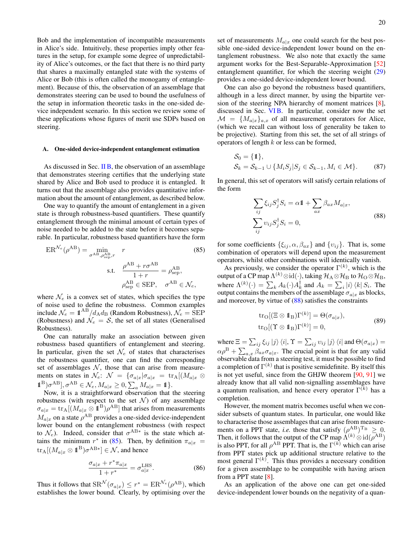Bob and the implementation of incompatible measurements in Alice's side. Intuitively, these properties imply other features in the setup, for example some degree of unpredictability of Alice's outcomes, or the fact that there is no third party that shares a maximally entangled state with the systems of Alice or Bob (this is often called the monogamy of entanglement). Because of this, the observation of an assemblage that demonstrates steering can be used to bound the usefulness of the setup in information theoretic tasks in the one-sided device independent scenario. In this section we review some of these applications whose figures of merit use SDPs based on steering.

### <span id="page-19-0"></span>A. One-sided device-independent entanglement estimation

As discussed in Sec.  $\overline{I}$  IB, the observation of an assemblage that demonstrates steering certifies that the underlying state shared by Alice and Bob used to produce it is entangled. It turns out that the assemblage also provides quantitative information about the amount of entanglement, as described below.

One way to quantify the amount of entanglement in a given state is through robustness-based quantifiers. These quantify entanglement through the minimal amount of certain types of noise needed to be added to the state before it becomes separable. In particular, robustness based quantifiers have the form

$$
ER^{\mathcal{N}_e}(\rho^{AB}) = \min_{\sigma^{AB}, \rho_{\text{sep}}^{AB}, r} \qquad (85)
$$
  
s.t. 
$$
\frac{\rho^{AB} + r\sigma^{AB}}{1+r} = \rho_{\text{sep}}^{AB},
$$

$$
\rho_{\text{sep}}^{AB} \in \text{SEP}, \quad \sigma^{AB} \in \mathcal{N}_e,
$$

where  $\mathcal{N}_e$  is a convex set of states, which specifies the type of noise used to define the robustness. Common examples include  $\mathcal{N}_e = 1\!\!1^{\text{AB}}/d_{\text{A}}d_{\text{B}}$  (Random Robustness),  $\mathcal{N}_e = \text{SEP}$ (Robustness) and  $\mathcal{N}_e = \mathcal{S}$ , the set of all states (Generalised Robustness).

One can naturally make an association between given robustness based quantifiers of entanglement and steering. In particular, given the set  $\mathcal{N}_e$  of states that characterises the robustness quantifier, one can find the corresponding set of assemblages  $N$ , those that can arise from measurements on states in  $\mathcal{N}_e$ :  $\mathcal{N} = {\sigma_a|x|\sigma_a|x} = \text{tr}_A[(M_{a|x} \otimes$  $\mathbb{1}^{\mathcal{B}}\mathcal{I}^{\mathcal{A}\mathcal{B}}$ ,  $\sigma^{\mathcal{A}\mathcal{B}} \in \mathcal{N}_e$ ,  $M_{a|x} \geq 0$ ,  $\sum_a M_{a|x} = \mathbb{1}$ .

Now, it is a straightforward observation that the steering robustness (with respect to the set  $\mathcal{N}$ ) of any assemblage  $\sigma_{a|x} = \text{tr}_{A}[(M_{a|x} \otimes \mathbf{1}^{\text{B}})\rho^{\text{AB}}]$  that arises from measurements  $M_{a|x}$  on a state  $\rho^{AB}$  provides a one-sided device-independent lower bound on the entanglement robustness (with respect to  $\mathcal{N}_e$ ). Indeed, consider that  $\sigma^{AB*}$  is the state which attains the minimum  $r^*$  in [\(85\)](#page-19-1). Then, by definition  $\pi_{a|x}$  =  $\mathrm{tr_{A}}[(M_{a|x}\otimes \mathbb{1}^{\mathrm{B}})\sigma^{\mathrm{A}\mathrm{B}*}]\in \mathcal{N},$  and hence

$$
\frac{\sigma_{a|x} + r^* \pi_{a|x}}{1 + r^*} = \sigma_{a|x}^{\text{LHS}}.
$$
 (86)

Thus it follows that  $\text{SR}^{\mathcal{N}}(\sigma_{a|x}) \le r^* = \text{ER}^{\mathcal{N}_e}(\rho^{\text{AB}})$ , which establishes the lower bound. Clearly, by optimising over the

set of measurements  $M_{a|x}$  one could search for the best possible one-sided device-independent lower bound on the entanglement robustness. We also note that exactly the same argument works for the Best-Separable-Approximation [\[52\]](#page-29-11) entanglement quantifier, for which the steering weight [\(29\)](#page-7-4) provides a one-sided device-independent lower bound.

One can also go beyond the robustness based quantifiers, although in a less direct manner, by using the bipartite version of the steering NPA hierarchy of moment matrices [\[8\]](#page-28-8), discussed in Sec. [VI B.](#page-12-0) In particular, consider now the set  $\mathcal{M} = \{M_{a|x}\}_{a,x}$  of all measurement operators for Alice, (which we recall can without loss of generality be taken to be projective). Starting from this set, the set of all strings of operators of length  $k$  or less can be formed,

$$
S_0 = \{1\}, S_k = S_{k-1} \cup \{M_i S_j | S_j \in S_{k-1}, M_i \in \mathcal{M}\}.
$$
 (87)

In general, this set of operators will satisfy certain relations of the form

<span id="page-19-2"></span>
$$
\sum_{ij} \xi_{ij} S_j^{\dagger} S_i = \alpha \mathbb{1} + \sum_{ax} \beta_{ax} M_{a|x},
$$
  

$$
\sum_{ij} \upsilon_{ij} S_j^{\dagger} S_i = 0,
$$
 (88)

<span id="page-19-1"></span>for some coefficients  $\{\xi_{ij}, \alpha, \beta_{ax}\}\$  and  $\{v_{ij}\}\$ . That is, some combination of operators will depend upon the measurement operators, whilst other combinations will identically vanish.

As previously, we consider the operator  $\Gamma^{(k)}$ , which is the output of a CP map  $\Lambda^{(k)}\otimes{\rm id}(\cdot),$  taking  $\mathcal H_{\rm A}\!\otimes\!\mathcal H_{\rm B}$  to  $\mathcal H_{\rm O}\!\otimes\!\mathcal H_{\rm B},$ where  $\Lambda^{(k)}(\cdot) = \sum_k A_k(\cdot) A_k^{\dagger}$  and  $A_k = \sum_i |i\rangle \langle k| S_i$ . The output contains the members of the assemblage  $\sigma_{a|x}$  as blocks, and moreover, by virtue of  $(88)$  satisfies the constraints

<span id="page-19-3"></span>
$$
tr_{O}[(\Xi \otimes \mathbb{1}_{B})\Gamma^{(k)}] = \Theta(\sigma_{a|x}),
$$
  
\n
$$
tr_{O}[(\Upsilon \otimes \mathbb{1}_{B})\Gamma^{(k)}] = 0,
$$
\n(89)

where  $\Xi=\sum_{ij}\xi_{ij}\ket{j}\bra{i},$   $\Upsilon=\sum_{ij}v_{ij}\ket{j}\bra{i}$  and  $\Theta(\sigma_{a|x})=$  $\alpha \rho^{\rm B} + \sum_{a,x} \beta_{a x} \sigma_{a|x}$ . The crucial point is that for any valid observable data from a steering test, it must be possible to find a completion of  $\Gamma^{(k)}$  that is positive semidefinite. By itself this is not yet useful, since from the GHJW theorem [\[90,](#page-29-46) [91\]](#page-29-47) we already know that all valid non-signalling assemblages have a quantum realisation, and hence every operator  $\Gamma^{(k)}$  has a completion.

However, the moment matrix becomes useful when we consider subsets of quantum states. In particular, one would like to characterise those assemblages that can arise from measurements on a PPT state, *i.e.* those that satisfy  $(\rho^{AB})^{\mathrm{T}_{\mathrm{B}}} \geq 0$ . Then, it follows that the output of the CP map  $\Lambda^{(k)} \otimes id(\rho^{AB})$ is also PPT, for all  $\rho^{AB}$  PPT. That is, the  $\Gamma^{(k)}$  which can arise from PPT states pick up additional structure relative to the most general  $\Gamma^{(k)}$ . This thus provides a necessary condition for a given assemblage to be compatible with having arisen from a PPT state [\[8\]](#page-28-8).

As an application of the above one can get one-sided device-independent lower bounds on the negativity of a quan-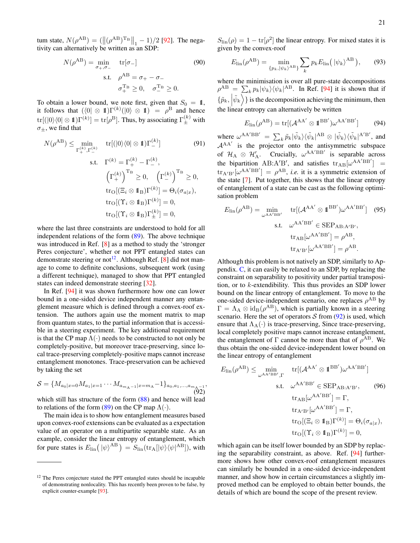tum state,  $N(\rho^{AB}) = (\|(\rho^{AB})^{\text{T}_{B}}\|_{1} - 1)/2$  [\[92\]](#page-29-48). The negativity can alternatively be written as an SDP:

$$
N(\rho^{AB}) = \min_{\sigma_+,\sigma_-} \text{tr}[\sigma_-] \tag{90}
$$
  
s.t.  $\rho^{AB} = \sigma_+ - \sigma_-$   
 $\sigma_+^{T_B} \ge 0, \quad \sigma_-^{T_B} \ge 0.$ 

To obtain a lower bound, we note first, given that  $S_0 = 1$ , it follows that  $(\langle 0 | \otimes 1] \Gamma^{(k)}(|0\rangle \otimes 1) = \rho^{B}$  and hence  $\mathrm{tr}[(|0\rangle\langle0|\otimes1\!\!1)\Gamma^{(k)}]=\mathrm{tr}[\rho^{\rm B}].$  Thus, by associating  $\Gamma^{(k)}_{\pm}$  with  $\sigma_{\pm}$ , we find that

$$
N(\rho^{AB}) \le \min_{\Gamma_{+}^{(k)}, \Gamma_{-}^{(k)}} \quad \text{tr}[(|0\rangle\langle 0| \otimes 1)\Gamma_{-}^{(k)}] \tag{91}
$$
\n
$$
\text{s.t.} \quad \Gamma^{(k)} = \Gamma_{+}^{(k)} - \Gamma_{-}^{(k)},
$$
\n
$$
\left(\Gamma_{+}^{(k)}\right)^{\mathrm{T}_{\mathrm{B}}} \ge 0, \quad \left(\Gamma_{-}^{(k)}\right)^{\mathrm{T}_{\mathrm{B}}} \ge 0,
$$
\n
$$
\text{tr}_{\mathrm{O}}[(\Xi_{i} \otimes 1_{\mathrm{B}})\Gamma^{(k)}] = \Theta_{i}(\sigma_{a|x}),
$$
\n
$$
\text{tr}_{\mathrm{O}}[(\Upsilon_{i} \otimes 1_{\mathrm{B}})\Gamma_{\pm}^{(k)}] = 0,
$$
\n
$$
\text{tr}_{\mathrm{O}}[(\Upsilon_{i} \otimes 1_{\mathrm{B}})\Gamma_{\pm}^{(k)}] = 0,
$$

where the last three constraints are understood to hold for all independent relations of the form [\(89\)](#page-19-3). The above technique was introduced in Ref. [\[8\]](#page-28-8) as a method to study the 'stronger Peres conjecture', whether or not PPT entangled states can demonstrate steering or not<sup>[12](#page-20-0)</sup>. Although Ref. [\[8\]](#page-28-8) did not manage to come to definite conclusions, subsequent work (using a different technique), managed to show that PPT entangled states can indeed demonstrate steering [\[32\]](#page-28-28).

In Ref. [\[94\]](#page-29-49) it was shown furthermore how one can lower bound in a one-sided device independent manner any entanglement measure which is defined through a convex-roof extension. The authors again use the moment matrix to map from quantum states, to the partial information that is accessible in a steering experiment. The key additional requirement is that the CP map  $\Lambda(\cdot)$  needs to be constructed to not only be completely-positive, but moreover trace-preserving, since local trace-preserving completely-positive maps cannot increase entanglement monotones. Trace-preservation can be achieved by taking the set

<span id="page-20-1"></span>
$$
S = \{M_{a_0|x=0}M_{a_1|x=1}\cdots M_{a_{m_A-1}|x=m_A}-1\}_{a_0,a_1,\ldots,a_{m_A-1}},
$$
\n(92)

which still has structure of the form  $(88)$  and hence will lead to relations of the form [\(89\)](#page-19-3) on the CP map  $\Lambda(\cdot)$ .

The main idea is to show how entanglement measures based upon convex-roof extensions can be evaluated as a expectation value of an operator on a multipartite separable state. As an example, consider the linear entropy of entanglement, which for pure states is  $E_{\text{lin}}(\ket{\psi}^{\text{AB}}) = S_{\text{lin}}(\text{tr}_{A}[\ket{\psi}\bra{\psi}^{\text{AB}}), \text{ with}$ 

 $S_{\text{lin}}(\rho) = 1 - \text{tr}[\rho^2]$  the linear entropy. For mixed states it is given by the convex-roof

$$
E_{\rm lin}(\rho^{\rm AB}) = \min_{\{p_k, |\psi_k\rangle^{\rm AB}\}} \sum_k p_k E_{\rm lin} (|\psi_k\rangle^{\rm AB}), \qquad (93)
$$

where the minimisation is over all pure-state decompositions  $\rho^{AB} = \sum_{k} p_k |\psi_k\rangle\langle\psi_k|^{AB}$ . In Ref. [\[94\]](#page-29-49) it is shown that if  $\{\tilde{p}_k, \left| \tilde{\psi}_k \right\rangle\}$  is the decomposition achieving the minimum, then the linear entropy can alternatively be written

$$
E_{\rm lin}(\rho^{\rm AB}) = \text{tr}[(\mathcal{A}^{\rm AA'} \otimes \mathbb{1}^{\rm BB'})\omega^{\rm AA'BB'}]
$$
(94)

where  $\omega^{AA'BB'} = \sum_k \tilde{p}_k |\tilde{\psi}_k\rangle \langle \tilde{\psi}_k|^{AB} \otimes |\tilde{\psi}_k\rangle \langle \tilde{\psi}_k|^{A'B'}$ , and  $A^{AA'}$  is the projector onto the antisymmetric subspace of  $\mathcal{H}_A \otimes \mathcal{H}'_A$ . Crucially,  $\omega^{AA'BB'}$  is separable across the bipartition AB:A'B', and satisfies  $tr_{AB}[\omega^{AA'BB'}] =$  $\text{tr}_{A'B'}[\omega^{AA'BB'}] = \rho^{AB}$ , *i.e.* it is a symmetric extension of the state [\[7\]](#page-28-7). Put together, this shows that the linear entropy of entanglement of a state can be cast as the following optimisation problem

$$
E_{\rm lin}(\rho^{\rm AB}) = \min_{\omega^{\rm AA'BB'}} \quad \text{tr}[(\mathcal{A}^{\rm AA'} \otimes \mathbb{1}^{\rm BB'})\omega^{\rm AA'BB'}] \quad (95)
$$
  
s.t. 
$$
\omega^{\rm AA'BB'} \in \text{SEP}_{\rm AB:A'B'},
$$

$$
\text{tr}_{\rm AB}[\omega^{\rm AA'BB'}] = \rho^{\rm AB},
$$

$$
\text{tr}_{\rm A'B'}[\omega^{\rm AA'BB'}] = \rho^{\rm AB}.
$$

Although this problem is not natively an SDP, similarly to Appendix. [C,](#page-27-0) it can easily be relaxed to an SDP, by replacing the constraint on separability to positivity under partial transposition, or to k-extendibility. This thus provides an SDP lower bound on the linear entropy of entanglement. To move to the one-sided device-independent scenario, one replaces  $\rho^{AB}$  by  $\Gamma = \Lambda_A \otimes id_B(\rho^{AB})$ , which is partially known in a steering scenario. Here the set of operators  $S$  from [\(92\)](#page-20-1) is used, which ensure that  $\Lambda_A(\cdot)$  is trace-preserving, Since trace-preserving, local completely positive maps cannot increase entanglement, the entanglement of  $\Gamma$  cannot be more than that of  $\rho^{AB}$ . We thus obtain the one-sided device-independent lower bound on the linear entropy of entanglement

$$
E_{\rm lin}(\rho^{\rm AB}) \le \min_{\omega^{\rm AA'BB',\Gamma}} \quad \text{tr}[(\mathcal{A}^{\rm AA'} \otimes \mathbb{1}^{\rm BB'})\omega^{\rm AA'BB'}]
$$
\ns.t. 
$$
\omega^{\rm AA'BB'} \in \text{SEP}_{\rm AB:A'B'}, \qquad (96)
$$
\n
$$
\text{tr}_{\rm AB}[\omega^{\rm AA'BB'}] = \Gamma,
$$
\n
$$
\text{tr}_{\rm A'B'}[\omega^{\rm AA'BB'}] = \Gamma,
$$
\n
$$
\text{tr}_{\rm O}[(\Xi_i \otimes \mathbb{1}_{\rm B})\Gamma^{(k)}] = \Theta_i(\sigma_{a|x}),
$$
\n
$$
\text{tr}_{\rm O}[(\Upsilon_i \otimes \mathbb{1}_{\rm B})\Gamma^{(k)}] = 0,
$$

which again can be itself lower bounded by an SDP by replacing the separability constraint, as above. Ref. [\[94\]](#page-29-49) furthermore shows how other convex-roof entanglement measures can similarly be bounded in a one-sided device-independent manner, and show how in certain circumstances a slightly improved method can be employed to obtain better bounds, the details of which are bound the scope of the present review.

<span id="page-20-0"></span><sup>&</sup>lt;sup>12</sup> The Peres conjecture stated the PPT entangled states should be incapable of demonstrating nonlocality. This has recently been proven to be false, by explicit counter-example [\[93\]](#page-29-50).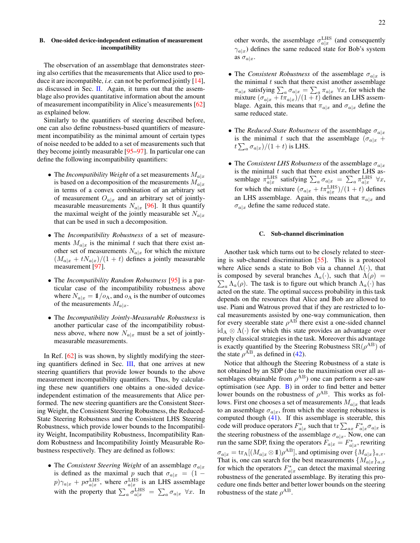# <span id="page-21-0"></span>B. One-sided device-independent estimation of measurement incompatibility

The observation of an assemblage that demonstrates steering also certifies that the measurements that Alice used to produce it are incompatible, *i.e.* can not be performed jointly [\[14\]](#page-28-13), as discussed in Sec. [II.](#page-1-1) Again, it turns out that the assemblage also provides quantitative information about the amount of measurement incompatibility in Alice's measurements [\[62\]](#page-29-21) as explained below.

Similarly to the quantifiers of steering described before, one can also define robustness-based quantifiers of measurement incompatibility as the minimal amount of certain types of noise needed to be added to a set of measurements such that they become jointly measurable [\[95–](#page-29-51)[97\]](#page-29-52). In particular one can define the following incompatibility quantifiers:

- The *Incompatibility Weight* of a set measurements  $M_{a|x}$ is based on a decomposition of the measurements  $M_{a|x}$ in terms of a convex combination of an arbitrary set of measurement  $O_{a|x}$  and an arbitrary set of jointlymeasurable measurements  $N_{a|x}$  [\[96\]](#page-29-53). It thus quantify the maximal weight of the jointly measurable set  $N_{a|x}$ that can be used in such a decomposition.
- The *Incompatibility Robustness* of a set of measurements  $M_{a|x}$  is the minimal t such that there exist another set of measurements  $N_{a|x}$  for which the mixture  $(M_{a|x} + tN_{a|x})/(1 + t)$  defines a jointly measurable measurement [\[97\]](#page-29-52).
- The *Incompatibility Random Robustness* [\[95\]](#page-29-51) is a particular case of the incompatibility robustness above where  $N_{a|x} = 1/\rho_A$ , and  $\rho_A$  is the number of outcomes of the measurements  $M_{a|x}$ .
- The *Incompatibility Jointly-Measurable Robustness* is another particular case of the incompatibility robustness above, where now  $N_{a|x}$  must be a set of jointlymeasurable measurements.

In Ref. [\[62\]](#page-29-21) is was shown, by slightly modifying the steering quantifiers defined in Sec. [III,](#page-2-2) that one arrives at new steering quantifiers that provide lower bounds to the above measurement incompatibility quantifiers. Thus, by calculating these new quantifiers one obtains a one-sided deviceindependent estimation of the measurements that Alice performed. The new steering quantifiers are the Consistent Steering Weight, the Consistent Steering Robustness, the Reduced-State Steering Robustness and the Consistent LHS Steering Robustness, which provide lower bounds to the Incompatibility Weight, Incompatibility Robustness, Incompatibility Random Robustness and Incompatibility Jointly Measurable Robustness respectively. They are defined as follows:

• The *Consistent Steering Weight* of an assemblage  $\sigma_{a|x}$ is defined as the maximal p such that  $\sigma_{a|x} = (1$  $p$ ) $\gamma_{a|x}$  +  $p\sigma_{a|x}^{\text{LHS}}$ , where  $\sigma_{a|x}^{\text{LHS}}$  is an LHS assemblage with the property that  $\sum_a \sigma_{a|x}^{\text{LHS}} = \sum_a \sigma_{a|x} \ \forall x$ . In

other words, the assemblage  $\sigma_{a|x}^{\text{LHS}}$  (and consequently  $\gamma_{a|x}$ ) defines the same reduced state for Bob's system as  $\sigma_{a|x}$ .

- The *Consistent Robustness* of the assemblage  $\sigma_{a|x}$  is the minimal  $t$  such that there exist another assemblage  $\pi_{a|x}$  satisfying  $\sum_a \sigma_{a|x} = \sum_a \pi_{a|x} \ \forall x$ , for which the mixture  $(\sigma_{a|x} + t \pi_{a|x})/(1+t)$  defines an LHS assemblage. Again, this means that  $\pi_{a|x}$  and  $\sigma_{a|x}$  define the same reduced state.
- The *Reduced-State Robustness* of the assemblage  $\sigma_{a|x}$ is the minimal t such that the assemblage  $(\sigma_{a|x} +$  $t\sum_a \sigma_{a|x})/(1+t)$  is LHS.
- The *Consistent LHS Robustness* of the assemblage  $\sigma_{a|x}$ is the minimal  $t$  such that there exist another LHS assemblage  $\pi_{a|x}^{\text{LHS}}$  satisfying  $\sum_{a} \sigma_{a|x} = \sum_{a} \pi_{a|x}^{\text{LHS}} \forall x$ , for which the mixture  $(\sigma_{a|x} + t \pi_{a|x}^{\text{LHS}})/(1+t)$  defines an LHS assemblage. Again, this means that  $\pi_{a|x}$  and  $\sigma_{a|x}$  define the same reduced state.

# <span id="page-21-1"></span>C. Sub-channel discrimination

Another task which turns out to be closely related to steering is sub-channel discrimination [\[55\]](#page-29-14). This is a protocol where Alice sends a state to Bob via a channel  $\Lambda(\cdot)$ , that is composed by several branches  $\Lambda_a(\cdot)$ , such that  $\Lambda(\rho)$  =  $\sum_a \Lambda_a(\rho)$ . The task is to figure out which branch  $\Lambda_a(\cdot)$  has acted on the state. The optimal success probability in this task depends on the resources that Alice and Bob are allowed to use. Piani and Watrous proved that if they are restricted to local measurements assisted by one-way communication, then for every steerable state  $\rho^{AB}$  there exist a one-sided channel  $id_A \otimes \Lambda(\cdot)$  for which this state provides an advantage over purely classical strategies in the task. Moreover this advantage is exactly quantified by the Steering Robustness  $\text{SR}(\rho^{\text{AB}})$  of the state  $\rho^{AB}$ , as defined in [\(42\)](#page-9-5).

Notice that although the Steering Robustness of a state is not obtained by an SDP (due to the maximisation over all assemblages obtainable from  $\rho^{AB}$ ) one can perform a see-saw optimisation (see App. [B\)](#page-26-0) in order to find better and better lower bounds on the robustness of  $\rho^{AB}$ . This works as follows. First one chooses a set of measurements  $M_{a|x}$  that leads to an assemblage  $\sigma_{a|x}$ , from which the steering robustness is computed though [\(41\)](#page-8-6). If this assemblage is steerable, this code will produce operators  $F_{a|x}^*$  such that  $\text{tr}\sum_{ax} F_{a|x}^* \sigma_{a|x}$  is the steering robustness of the assemblage  $\sigma_{a|x}$ . Now, one can run the same SDP, fixing the operators  $F_{a|x} = F_{a|x}^*$ , rewriting  $\sigma_{a|x} = \text{tr}_{A}[(M_{a|x} \otimes \mathbb{1})\rho^{AB}]$ , and optimising over  $\{M_{a|x}\}_{a,x}$ . That is, one can search for the best measurements  $\{M_{a|x}\}_{a,x}$ for which the operators  $F_{a|x}^*$  can detect the maximal steering robustness of the generated assemblage. By iterating this procedure one finds better and better lower bounds on the steering robustness of the state  $\rho^{AB}$ .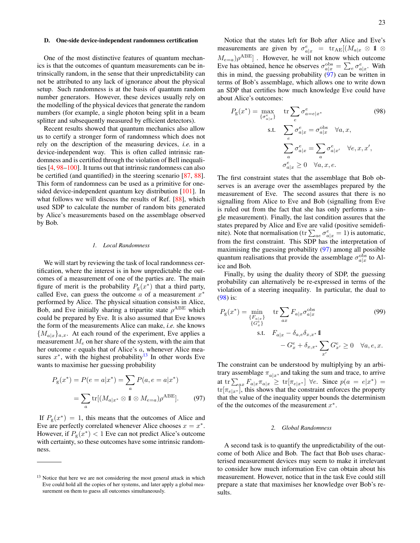#### <span id="page-22-0"></span>D. One-side device-independent randomness certification

One of the most distinctive features of quantum mechanics is that the outcomes of quantum measurements can be intrinsically random, in the sense that their unpredictability can not be attributed to any lack of ignorance about the physical setup. Such randomness is at the basis of quantum random number generators. However, these devices usually rely on the modelling of the physical devices that generate the random numbers (for example, a single photon being split in a beam splitter and subsequently measured by efficient detectors).

Recent results showed that quantum mechanics also allow us to certify a stronger form of randomness which does not rely on the description of the measuring devices, *i.e.* in a device-independent way. This is often called intrinsic randomness and is certified through the violation of Bell inequalities [\[4,](#page-28-4) [98–](#page-29-54)[100\]](#page-29-55). It turns out that intrinsic randomness can also be certified (and quantified) in the steering scenario [\[87,](#page-29-56) [88\]](#page-29-57). This form of randomness can be used as a primitive for onesided device-independent quantum key distribution [\[101\]](#page-29-58). In what follows we will discuss the results of Ref. [\[88\]](#page-29-57), which used SDP to calculate the number of random bits generated by Alice's measurements based on the assemblage observed by Bob.

### <span id="page-22-1"></span>*1. Local Randomness*

We will start by reviewing the task of local randomness certification, where the interest is in how unpredictable the outcomes of a measurement of one of the parties are. The main figure of merit is the probability  $P_{\rm g}(x^*)$  that a third party, called Eve, can guess the outcome  $\alpha$  of a measurement  $x^*$ performed by Alice. The physical situation consists in Alice, Bob, and Eve initially sharing a tripartite state  $\rho^{ABE}$  which could be prepared by Eve. It is also assumed that Eve knows the form of the measurements Alice can make, *i.e.* she knows  ${M_{a|x}}_{a,x}$ . At each round of the experiment, Eve applies a measurement  $M_e$  on her share of the system, with the aim that her outcome e equals that of Alice's a, whenever Alice measures  $x^*$ , with the highest probability<sup>[13](#page-22-3)</sup> In other words Eve wants to maximise her guessing probability

$$
P_{g}(x^{*}) = P(e = a|x^{*}) = \sum_{a} P(a, e = a|x^{*})
$$

$$
= \sum_{a} tr[(M_{a|x^{*}} \otimes 1 \otimes M_{e=a})\rho^{ABE}]. \tag{97}
$$

If  $P_g(x^*) = 1$ , this means that the outcomes of Alice and Eve are perfectly correlated whenever Alice chooses  $x = x^*$ . However, if  $P_{\rm g}(x^*) < 1$  Eve can not predict Alice's outcome with certainty, so these outcomes have some intrinsic randomness.

Notice that the states left for Bob after Alice and Eve's measurements are given by  $\sigma_{a|x}^e = \text{tr}_{AE}[(M_{a|x} \otimes 1 \otimes$  $(M_{e=a})\rho^{ABE}]$ . However, he will not know which outcome Eve has obtained, hence he observes  $\sigma_{a|x}^{\text{obs}} = \sum_{e} \sigma_{a|x}^{e}$ . With this in mind, the guessing probability  $(97)$  can be written in terms of Bob's assemblage, which allows one to write down an SDP that certifies how much knowledge Eve could have about Alice's outcomes:

<span id="page-22-5"></span>
$$
P_{g}(x^{*}) = \max_{\{\sigma_{a|x}^{e}\}} \quad \text{tr} \sum_{e} \sigma_{a=e|x^{*}}^{e}
$$
\n
$$
\text{s.t.} \quad \sum_{e} \sigma_{a|x}^{e} = \sigma_{a|x}^{\text{obs}} \quad \forall a, x,
$$
\n
$$
\sum_{a} \sigma_{a|x}^{e} = \sum_{a} \sigma_{a|x'}^{e} \quad \forall e, x, x',
$$
\n
$$
\sigma_{a|x}^{e} \geq 0 \quad \forall a, x, e.
$$
\n(98)

The first constraint states that the assemblage that Bob observes is an average over the assemblages prepared by the measurement of Eve. The second assures that there is no signalling from Alice to Eve and Bob (signalling from Eve is ruled out from the fact that she has only performs a single measurement). Finally, the last condition assures that the states prepared by Alice and Eve are valid (positive semidefinite). Note that normalisation (tr $\sum_{ae} \sigma_{a|x}^e = 1$ ) is automatic, from the first constraint. This SDP has the interpretation of maximising the guessing probability [\(97\)](#page-22-4) among all possible quantum realisations that provide the assemblage  $\sigma_{a|x}^{\text{obs}}$  to Alice and Bob.

Finally, by using the duality theory of SDP, the guessing probability can alternatively be re-expressed in terms of the violation of a steering inequality. In particular, the dual to [\(98\)](#page-22-5) is:

$$
P_{g}(x^{*}) = \min_{\{F_{a|x}\}\atop{\{G_{x}^{e}\}} \text{tr} \sum_{ax} F_{a|x} \sigma_{a|x}^{\text{obs}} \tag{99}
$$
  
s.t. 
$$
F_{a|x} - \delta_{a,e} \delta_{x,x^{*}} \mathbf{1}
$$

$$
-G_{x}^{e} + \delta_{x,x^{*}} \sum_{x'} G_{x'}^{e} \ge 0 \quad \forall a, e, x.
$$

<span id="page-22-4"></span>The constraint can be understood by multiplying by an arbitrary assemblage  $\pi_{a|x}$ , and taking the sum and trace, to arrive at tr $\sum_{ax} F_{a|x} \pi_{a|x} \ge \text{tr}[\pi_{e|x^*}]$   $\forall e$ . Since  $p(a = e|x^*)$  $tr[\pi_{e|x^*}]$ , this shows that the constraint enforces the property that the value of the inequality upper bounds the determinism of the the outcomes of the measurement  $x^*$ .

### <span id="page-22-2"></span>*2. Global Randomness*

A second task is to quantify the unpredictability of the outcome of both Alice and Bob. The fact that Bob uses characterised measurement devices may seem to make it irrelevant to consider how much information Eve can obtain about his measurement. However, notice that in the task Eve could still prepare a state that maximises her knowledge over Bob's results.

<span id="page-22-3"></span><sup>&</sup>lt;sup>13</sup> Notice that here we are not considering the most general attack in which Eve could hold all the copies of her systems, and later apply a global measurement on them to guess all outcomes simultaneously.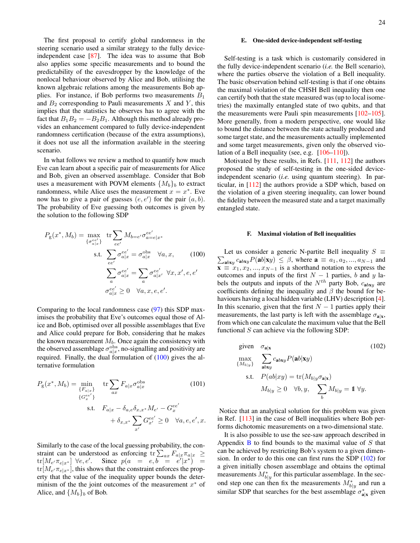The first proposal to certify global randomness in the steering scenario used a similar strategy to the fully deviceindependent case [\[87\]](#page-29-56). The idea was to assume that Bob also applies some specific measurements and to bound the predictability of the eavesdropper by the knowledge of the nonlocal behaviour observed by Alice and Bob, utilising the known algebraic relations among the measurements Bob applies. For instance, if Bob performs two measurements  $B_1$ and  $B_2$  corresponding to Pauli measurements X and Y, this implies that the statistics he observes has to agree with the fact that  $B_1B_2 = -B_2B_1$ . Although this method already provides an enhancement compared to fully device-independent randomness certification (because of the extra assumptions), it does not use all the information available in the steering scenario.

In what follows we review a method to quantify how much Eve can learn about a specific pair of measurements for Alice and Bob, given an observed assemblage. Consider that Bob uses a measurement with POVM elements  $\{M_b\}_b$  to extract randomness, while Alice uses the measurement  $x = x^*$ . Eve now has to give a pair of guesses  $(e, e')$  for the pair  $(a, b)$ . The probability of Eve guessing both outcomes is given by the solution to the following SDP

$$
P_{g}(x^{*}, M_{b}) = \max_{\{\sigma_{a|x}^{ee'}\}} \text{tr} \sum_{ee'} M_{b=e'} \sigma_{a=e|x^{*}}^{ee'}
$$
  
s.t. 
$$
\sum_{ee'} \sigma_{a|x}^{ee'} = \sigma_{a|x}^{\text{obs}} \quad \forall a, x, \qquad (100)
$$

$$
\sum_{a} \sigma_{a|x}^{ee'} = \sum_{a} \sigma_{a|x'}^{ee'} \quad \forall x, x', e, e'
$$

$$
\sigma_{a|x}^{ee'} \geq 0 \quad \forall a, x, e, e'.
$$

Comparing to the local randomness case [\(97\)](#page-22-4) this SDP maximises the probability that Eve's outcomes equal those of Alice and Bob, optimised over all possible assemblages that Eve and Alice could prepare for Bob, considering that he makes the known measurement  $M_b$ . Once again the consistency with the observed assemblage  $\sigma_{a|x}^{\rm obs}$ , no-signalling and positivity are required. Finally, the dual formulation of [\(100\)](#page-23-2) gives the alternative formulation

$$
P_{g}(x^{*}, M_{b}) = \min_{\{F_{a|x}\}} \quad \text{tr} \sum_{ax} F_{a|x} \sigma_{a|x}^{\text{obs}}
$$
\n
$$
\{G_{x}^{ee'}\}
$$
\n
$$
\text{s.t.} \quad F_{a|x} - \delta_{a,e}\delta_{x,x^{*}}M_{e'} - G_{x}^{ee'}
$$
\n
$$
+ \delta_{x,x^{*}} \sum_{x'} G_{x'}^{ee'} \ge 0 \quad \forall a, e, e', x.
$$
\n(101)

Similarly to the case of the local guessing probability, the constraint can be understood as enforcing tr $\sum_{ax} F_{a|x} \pi_{a|x} \ge$  $\text{tr}[M_{e'}\pi_{e|x^*}]$   $\forall e, e'.$  Since  $p(a = e, b = e'|x^*) = 0$  $tr[M_{e}(\pi_{e}|x^*],$  this shows that the constraint enforces the property that the value of the inequality upper bounds the determinism of the the joint outcomes of the measurement  $x^*$  of Alice, and  $\{M_b\}_b$  of Bob.

### <span id="page-23-0"></span>E. One-sided device-independent self-testing

Self-testing is a task which is customarily considered in the fully device-independent scenario (*i.e.* the Bell scenario), where the parties observe the violation of a Bell inequality. The basic observation behind self-testing is that if one obtains the maximal violation of the CHSH Bell inequality then one can certify both that the state measured was (up to local isometries) the maximally entangled state of two qubits, and that the measurements were Pauli spin measurements [\[102](#page-29-59)[–105\]](#page-29-60). More generally, from a modern perspective, one would like to bound the distance between the state actually produced and some target state, and the measurements actually implemented and some target measurements, given only the observed violation of a Bell inequality (see, e.g. [\[106–](#page-29-61)[110\]](#page-30-0)).

Motivated by these results, in Refs. [\[111,](#page-30-1) [112\]](#page-30-2) the authors proposed the study of self-testing in the one-sided deviceindependent scenario (*i.e.* using quantum steering). In particular, in [\[112\]](#page-30-2) the authors provide a SDP which, based on the violation of a given steering inequality, can lower bound the fidelity between the measured state and a target maximally entangled state.

#### <span id="page-23-1"></span>F. Maximal violation of Bell inequalities

<span id="page-23-2"></span> $\sum_{\mathbf{a} \text{b} \mathbf{x} \text{y}} c_{\mathbf{a} \text{b} \mathbf{x} \text{y}} P(\mathbf{a} \text{b} | \mathbf{x} \text{y}) \leq \beta$ , where  $\mathbf{a} \equiv a_1, a_2, ..., a_{N-1}$  and Let us consider a generic N-partite Bell inequality  $S \equiv$  $\mathbf{x} \equiv \mathbf{x}_1, \mathbf{x}_2, ..., \mathbf{x}_{N-1}$  is a shorthand notation to express the outcomes and inputs of the first  $N - 1$  parties, b and y labels the outputs and inputs of the  $N^{th}$  party Bob,  $c_{abxy}$  are coefficients defining the inequality and  $\beta$  the bound for behaviours having a local hidden variable (LHV) description [\[4\]](#page-28-4). In this scenario, given that the first  $N - 1$  parties apply their measurements, the last party is left with the assemblage  $\sigma_{a|x}$ , from which one can calculate the maximum value that the Bell functional  $S$  can achieve via the following SDP:

<span id="page-23-3"></span>given 
$$
\sigma_{\mathbf{a}|\mathbf{x}}
$$
 (102)  
\n
$$
\max_{\{M_{b|y}\}} \sum_{\mathbf{a}b\mathbf{x}\mathbf{y}}^{\infty} c_{\mathbf{a}b\mathbf{x}\mathbf{y}} P(\mathbf{a}b|\mathbf{x}\mathbf{y})
$$
\ns.t.  $P(ab|xy) = \text{tr}(M_{b|y}\sigma_{\mathbf{a}|\mathbf{x}})$   
\n $M_{b|y} \ge 0 \quad \forall b, y, \sum_{b}^{\infty} M_{b|y} = 1 \quad \forall y.$ 

Notice that an analytical solution for this problem was given in Ref. [\[113\]](#page-30-3) in the case of Bell inequalities where Bob performs dichotomic measurements on a two-dimensional state.

It is also possible to use the see-saw approach described in Appendix  $\bf{B}$  $\bf{B}$  $\bf{B}$  to find bounds to the maximal value of S that can be achieved by restricting Bob's system to a given dimension. In order to do this one can first runs the SDP [\(102\)](#page-23-3) for a given initially chosen assemblage and obtains the optimal measurements  $M_{b|y}^*$  for this particular assemblage. In the second step one can then fix the measurements  $M_{b|y}^*$  and run a similar SDP that searches for the best assemblage  $\sigma_{\mathbf{a}|\mathbf{x}}^*$  given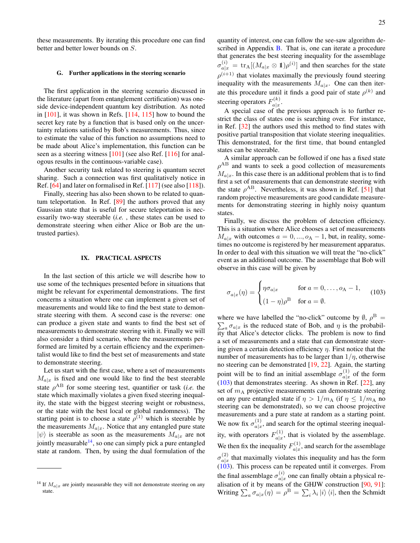these measurements. By iterating this procedure one can find better and better lower bounds on S.

#### <span id="page-24-0"></span>G. Further applications in the steering scenario

The first application in the steering scenario discussed in the literature (apart from entanglement certification) was oneside device-independent quantum key distribution. As noted in [\[101\]](#page-29-58), it was shown in Refs. [\[114,](#page-30-4) [115\]](#page-30-5) how to bound the secret key rate by a function that is based only on the uncertainty relations satisfied by Bob's measurements. Thus, since to estimate the value of this function no assumptions need to be made about Alice's implementation, this function can be seen as a steering witness [\[101\]](#page-29-58) (see also Ref. [\[116\]](#page-30-6) for analogous results in the continuous-variable case).

Another security task related to steering is quantum secret sharing. Such a connection was first qualitatively notice in Ref. [\[64\]](#page-29-23) and later on formalised in Ref. [\[117\]](#page-30-7) (see also [\[118\]](#page-30-8)).

Finally, steering has also been shown to be related to quantum teleportation. In Ref. [\[89\]](#page-29-62) the authors proved that any Gaussian state that is useful for secure teleportation is necessarily two-way steerable (*i.e.* , these states can be used to demonstrate steering when either Alice or Bob are the untrusted parties).

#### <span id="page-24-1"></span>IX. PRACTICAL ASPECTS

In the last section of this article we will describe how to use some of the techniques presented before in situations that might be relevant for experimental demonstrations. The first concerns a situation where one can implement a given set of measurements and would like to find the best state to demonstrate steering with them. A second case is the reverse: one can produce a given state and wants to find the best set of measurements to demonstrate steering with it. Finally we will also consider a third scenario, where the measurements performed are limited by a certain efficiency and the experimentalist would like to find the best set of measurements and state to demonstrate steering.

Let us start with the first case, where a set of measurements  $M_{a|x}$  is fixed and one would like to find the best steerable state  $\rho^{AB}$  for some steering test, quantifier or task (*i.e.* the state which maximally violates a given fixed steering inequality, the state with the biggest steering weight or robustness, or the state with the best local or global randomness). The starting point is to choose a state  $\rho^{(1)}$  which is steerable by the measurements  $M_{a|x}$ . Notice that any entangled pure state  $|\psi\rangle$  is steerable as soon as the measurements  $M_{a|x}$  are not jointly measurable  $14$ , so one can simply pick a pure entangled state at random. Then, by using the dual formulation of the

quantity of interest, one can follow the see-saw algorithm de-scribed in Appendix [B.](#page-26-0) That is, one can iterate a procedure that generates the best steering inequality for the assemblage  $\sigma_{a|x}^{(i)} = \text{tr}_{A}[(M_{a|x} \otimes \mathbb{1})\rho^{(i)}]$  and then searches for the state  $\rho^{(i+1)}$  that violates maximally the previously found steering inequality with the measurements  $M_{a|x}$ . One can then iterate this procedure until it finds a good pair of state  $\rho^{(k)}$  and steering operators  $F_{a|x}^{(k)}$  $\frac{\pi}{a|x}$ .

A special case of the previous approach is to further restrict the class of states one is searching over. For instance, in Ref. [\[32\]](#page-28-28) the authors used this method to find states with positive partial transposition that violate steering inequalities. This demonstrated, for the first time, that bound entangled states can be steerable.

A similar approach can be followed if one has a fixed state  $\rho^{AB}$  and wants to seek a good collection of measurements  $M_{a|x}$ . In this case there is an additional problem that is to find first a set of measurements that can demonstrate steering with the state  $\rho^{AB}$ . Nevertheless, it was shown in Ref. [\[51\]](#page-29-10) that random projective measurements are good candidate measurements for demonstrating steering in highly noisy quantum states.

Finally, we discuss the problem of detection efficiency. This is a situation where Alice chooses a set of measurements  $M_{a|x}$  with outcomes  $a = 0, ..., o<sub>A</sub> - 1$ , but, in reality, sometimes no outcome is registered by her measurement apparatus. In order to deal with this situation we will treat the "no-click" event as an additional outcome. The assemblage that Bob will observe in this case will be given by

<span id="page-24-3"></span>
$$
\sigma_{a|x}(\eta) = \begin{cases} \eta \sigma_{a|x} & \text{for } a = 0, \dots, o_A - 1, \\ (1 - \eta)\rho^B & \text{for } a = \emptyset. \end{cases}
$$
 (103)

where we have labelled the "no-click" outcome by  $\emptyset$ ,  $\rho^{\rm B}$  =  $\sum_a \sigma_{a|x}$  is the reduced state of Bob, and  $\eta$  is the probability that Alice's detector clicks. The problem is now to find a set of measurements and a state that can demonstrate steering given a certain detection efficiency  $\eta$ . First notice that the number of measurements has to be larger than  $1/\eta$ , otherwise no steering can be demonstrated [\[19,](#page-28-19) [22\]](#page-28-18). Again, the starting point will be to find an initial assemblage  $\sigma_{a|x}^{(1)}$  $a|x|$  of the form [\(103\)](#page-24-3) that demonstrates steering. As shown in Ref. [\[22\]](#page-28-18), any set of  $m_A$  projective measurements can demonstrate steering on any pure entangled state if  $\eta > 1/m_A$  (if  $\eta \leq 1/m_A$  no steering can be demonstrated), so we can choose projective measurements and a pure state at random as a starting point. We now fix  $\sigma_{a|x}^{(1)}$  $\frac{d^{(1)}}{d|x}$ , and search for the optimal steering inequality, with operators  $F_{a|x}^{(1)}$  $a|x|$ , that is violated by the assemblage. We then fix the inequality  $F_{a|x}^{(1)}$  $a|x|_x^{(1)}$ , and search for the assemblage  $\sigma^{(2)}_{a|x}$  $\int_{a|x}^{(2)}$  that maximally violates this inequality and has the form [\(103\)](#page-24-3). This process can be repeated until it converges. From the final assemblage  $\sigma_{a|a}^{(i)}$  $a|x|$  one can finally obtain a physical re-alisation of it by means of the GHJW construction [\[90,](#page-29-46) [91\]](#page-29-47): Writing  $\sum_a \sigma_{a|x}(\eta) = \rho^{\rm B} = \sum_i \lambda_i |i\rangle\langle i|$ , then the Schmidt

<span id="page-24-2"></span><sup>&</sup>lt;sup>14</sup> If  $M_{a|x}$  are jointly measurable they will not demonstrate steering on any state.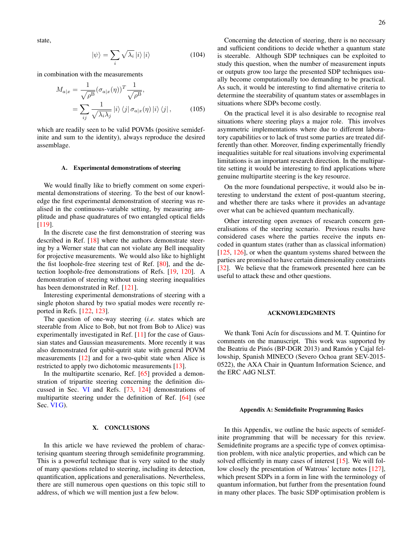state,

$$
|\psi\rangle = \sum_{i} \sqrt{\lambda_i} |i\rangle |i\rangle \tag{104}
$$

in combination with the measurements

$$
M_{a|x} = \frac{1}{\sqrt{\rho^B}} (\sigma_{a|x}(\eta))^T \frac{1}{\sqrt{\rho^B}},
$$
  
= 
$$
\sum_{ij} \frac{1}{\sqrt{\lambda_i \lambda_j}} |i\rangle \langle j| \sigma_{a|x}(\eta) |i\rangle \langle j|,
$$
 (105)

which are readily seen to be valid POVMs (positive semidefinite and sum to the identity), always reproduce the desired assemblage.

### <span id="page-25-0"></span>A. Experimental demonstrations of steering

We would finally like to briefly comment on some experimental demonstrations of steering. To the best of our knowledge the first experimental demonstration of steering was realised in the continuous-variable setting, by measuring amplitude and phase quadratures of two entangled optical fields [\[119\]](#page-30-9).

In the discrete case the first demonstration of steering was described in Ref. [\[18\]](#page-28-17) where the authors demonstrate steering by a Werner state that can not violate any Bell inequality for projective measurements. We would also like to highlight the fist loophole-free steering test of Ref. [\[80\]](#page-29-40), and the detection loophole-free demonstrations of Refs. [\[19,](#page-28-19) [120\]](#page-30-10). A demonstration of steering without using steering inequalities has been demonstrated in Ref. [\[121\]](#page-30-11).

Interesting experimental demonstrations of steering with a single photon shared by two spatial modes were recently reported in Refs. [\[122,](#page-30-12) [123\]](#page-30-13).

The question of one-way steering (*i.e.* states which are steerable from Alice to Bob, but not from Bob to Alice) was experimentally investigated in Ref. [\[11\]](#page-28-11) for the case of Gaussian states and Gaussian measurements. More recently it was also demonstrated for qubit-qutrit state with general POVM measurements [\[12\]](#page-28-36) and for a two-qubit state when Alice is restricted to apply two dichotomic measurements [\[13\]](#page-28-12).

In the multipartite scenario, Ref. [\[65\]](#page-29-24) provided a demonstration of tripartite steering concerning the definition discussed in Sec. [VI](#page-9-2) and Refs. [\[73,](#page-29-33) [124\]](#page-30-14) demonstrations of multipartite steering under the definition of Ref. [\[64\]](#page-29-23) (see Sec. VIG).

# <span id="page-25-1"></span>X. CONCLUSIONS

In this article we have reviewed the problem of characterising quantum steering through semidefinite programming. This is a powerful technique that is very suited to the study of many questions related to steering, including its detection, quantification, applications and generalisations. Nevertheless, there are still numerous open questions on this topic still to address, of which we will mention just a few below.

Concerning the detection of steering, there is no necessary and sufficient conditions to decide whether a quantum state is steerable. Although SDP techniques can be exploited to study this question, when the number of measurement inputs or outputs grow too large the presented SDP techniques usually become computationally too demanding to be practical. As such, it would be interesting to find alternative criteria to determine the steerability of quantum states or assemblages in situations where SDPs become costly.

On the practical level it is also desirable to recognise real situations where steering plays a major role. This involves asymmetric implementations where due to different laboratory capabilities or to lack of trust some parties are treated differently than other. Moreover, finding experimentally friendly inequalities suitable for real situations involving experimental limitations is an important research direction. In the multipartite setting it would be interesting to find applications where genuine multipartite steering is the key resource.

On the more foundational perspective, it would also be interesting to understand the extent of post-quantum steering, and whether there are tasks where it provides an advantage over what can be achieved quantum mechanically.

Other interesting open avenues of research concern generalisations of the steering scenario. Previous results have considered cases where the parties receive the inputs encoded in quantum states (rather than as classical information) [\[125,](#page-30-15) [126\]](#page-30-16), or when the quantum systems shared between the parties are promised to have certain dimensionality constraints [\[32\]](#page-28-28). We believe that the framework presented here can be useful to attack these and other questions.

## <span id="page-25-2"></span>ACKNOWLEDGMENTS

We thank Toni Acín for discussions and M. T. Quintino for comments on the manuscript. This work was supported by the Beatriu de Pinós (BP-DGR 2013) and Ramón y Cajal fellowship, Spanish MINECO (Severo Ochoa grant SEV-2015- 0522), the AXA Chair in Quantum Information Science, and the ERC AdG NLST.

#### <span id="page-25-3"></span>Appendix A: Semidefinite Programming Basics

In this Appendix, we outline the basic aspects of semidefinite programming that will be necessary for this review. Semidefinite programs are a specific type of convex optimisation problem, with nice analytic properties, and which can be solved efficiently in many cases of interest [\[15\]](#page-28-14). We will follow closely the presentation of Watrous' lecture notes [\[127\]](#page-30-17), which present SDPs in a form in line with the terminology of quantum information, but further from the presentation found in many other places. The basic SDP optimisation problem is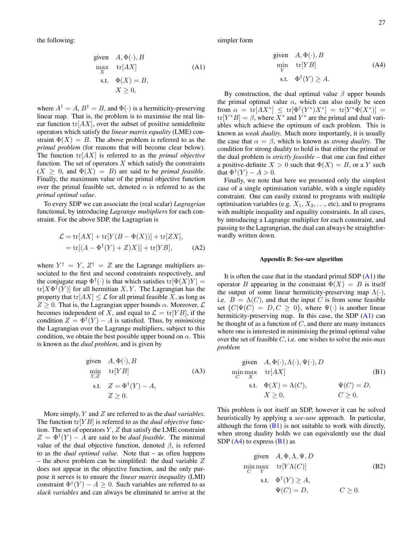the following:

given 
$$
A, \Phi(\cdot), B
$$
  
\nmax  $x$  tr[ $AX$ ] (A1)  
\ns.t.  $\Phi(X) = B$ ,  
\n $X \ge 0$ ,

where  $A^{\dagger} = A$ ,  $B^{\dagger} = B$ , and  $\Phi(\cdot)$  is a hermiticity-preserving linear map. That is, the problem is to maximise the real linear function  $tr[AX]$ , over the subset of positive semidefinite operators which satisfy the *linear matrix equality* (LME) constraint  $\Phi(X) = B$ . The above problem is referred to as the *primal problem* (for reasons that will become clear below). The function tr[AX] is referred to as the *primal objective* function. The set of operators  $X$  which satisfy the constraints  $(X \geq 0$ , and  $\Phi(X) = B$ ) are said to be *primal feasible*. Finally, the maximum value of the primal objective function over the primal feasible set, denoted  $\alpha$  is referred to as the *primal optimal value*.

To every SDP we can associate the (real scalar) *Lagragrian* functional, by introducing *Lagrange multipliers* for each constraint. For the above SDP, the Lagragrian is

$$
\mathcal{L} = \text{tr}[AX] + \text{tr}[Y(B - \Phi(X))] + \text{tr}[ZX],
$$
  
= 
$$
\text{tr}[(A - \Phi^{\dagger}(Y) + Z)X)] + \text{tr}[YB],
$$
 (A2)

where  $Y^{\dagger} = Y$ ,  $Z^{\dagger} = Z$  are the Lagrange multipliers associated to the first and second constraints respectively, and the conjugate map  $\Phi^{\dagger}(\cdot)$  is that which satisfies  $tr[\Phi(X)Y] =$  $tr[X\Phi^{\dagger}(Y)]$  for all hermitian X, Y. The Lagrangian has the property that  $tr[AX] \leq \mathcal{L}$  for all primal feasible X, as long as  $Z \geq 0$ . That is, the Lagrangian upper bounds  $\alpha$ . Moreover,  $\mathcal{L}$ becomes independent of X, and equal to  $\mathcal{L} = \text{tr}[YB]$ , if the condition  $Z = \Phi^{\dagger}(Y) - A$  is satisfied. Thus, by *minimising* the Lagrangian over the Lagrange multipliers, subject to this condition, we obtain the best possible upper bound on  $\alpha$ . This is known as the *dual problem*, and is given by

given 
$$
A, \Phi(\cdot), B
$$
  
\n
$$
\min_{Y,Z} \quad \text{tr}[YB] \tag{A3}
$$
\n
$$
\text{s.t.} \quad Z = \Phi^{\dagger}(Y) - A,
$$
\n
$$
Z \ge 0.
$$

More simply, Y and Z are referred to as the *dual variables*. The function  $tr[YB]$  is referred to as the *dual objective* function. The set of operators  $Y$ ,  $Z$  that satisfy the LME constraint  $Z = \Phi^{\dagger}(Y) - A$  are said to be *dual feasible*. The minimal value of the dual objective function, denoted  $\beta$ , is referred to as the *dual optimal value*. Note that – as often happens – the above problem can be simplified: the dual variable  $Z$ does not appear in the objective function, and the only purpose it serves is to ensure the *linear matrix inequality* (LMI) constraint  $\Phi^{\dagger}(Y) - A \geq 0$ . Such variables are referred to as *slack variables* and can always be eliminated to arrive at the <span id="page-26-1"></span>simpler form

<span id="page-26-3"></span>given 
$$
A, \Phi(\cdot), B
$$
  
\n
$$
\min_{Y} \quad \text{tr}[YB] \tag{A4}
$$
\n
$$
\text{s.t.} \quad \Phi^{\dagger}(Y) \ge A.
$$

By construction, the dual optimal value  $\beta$  upper bounds the primal optimal value  $\alpha$ , which can also easily be seen from  $\alpha = \text{tr}[AX^*] \leq \text{tr}[\Phi^{\dagger}(Y^*)X^*] = \text{tr}[Y^*\Phi(X^*)] =$  $tr[Y^*B] = \beta$ , where  $X^*$  and  $Y^*$  are the primal and dual variables which achieve the optimum of each problem. This is known as *weak duality*. Much more importantly, it is usually the case that  $\alpha = \beta$ , which is known as *strong duality*. The condition for strong duality to hold is that either the primal or the dual problem is *strictly feasible* – that one can find either a positive-definite  $X > 0$  such that  $\Phi(X) = B$ , or a Y such that  $\Phi^{\dagger}(Y) - A > 0$ .

Finally, we note that here we presented only the simplest case of a single optimisation variable, with a single equality constraint. One can easily extend to programs with multiple optimisation variables (e.g.  $X_1, X_2, \ldots$ , etc), and to programs with multiple inequality and equality constraints. In all cases, by introducing a Lagrange multiplier for each constraint, and passing to the Lagrangrian, the dual can always be straightforwardly written down.

# <span id="page-26-0"></span>Appendix B: See-saw algorithm

It is often the case that in the standard primal SDP  $(A1)$  the operator B appearing in the constraint  $\Phi(X) = B$  is itself the output of some linear hermiticity-preserving map  $\Lambda(\cdot)$ , i.e.  $B = \Lambda(C)$ , and that the input C is from some feasible set  $\{C|\Psi(C) = D, C \geq 0\}$ , where  $\Psi(\cdot)$  is another linear hermiticity-preserving map. In this case, the SDP [\(A1\)](#page-26-1) can be thought of as a function of  $C$ , and there are many instances where one is interested in minimising the primal optimal value over the set of feasible C, i.e. one wishes to solve the *min-max problem*

<span id="page-26-2"></span>given 
$$
A, \Phi(\cdot), \Lambda(\cdot), \Psi(\cdot), D
$$
  
\nmin  $\max_{C} \text{ tr}[AX]$   
\n  
\ns.t.  $\Phi(X) = \Lambda(C)$ ,  $\Psi(C) = D$ ,  
\n $X \ge 0$ ,  $C \ge 0$ .

This problem is not itself an SDP, however it can be solved heuristically by applying a *see-saw* approach. In particular, although the form  $(B1)$  is not suitable to work with directly, when strong duality holds we can equivalently use the dual SDP  $(A4)$  to express  $(B1)$  as

given 
$$
A, \Phi, \Lambda, \Psi, D
$$
  
\nmin  $\max_{C} \text{tr}[Y\Lambda(C)]$  (B2)  
\ns.t.  $\Phi^{\dagger}(Y) \ge A$ ,  
\n $\Psi(C) = D$ ,  $C \ge 0$ .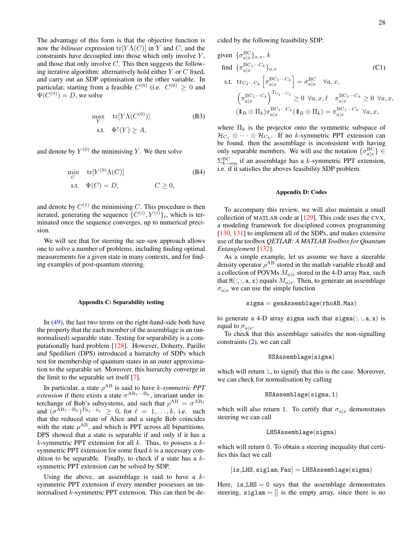The advantage of this form is that the objective function is now the *bilinear* expression  $tr[Y \Lambda(C)]$  in Y and C, and the constraints have decoupled into those which only involve  $Y$ , and those that only involve  $C$ . This then suggests the following iterative algorithm: alternatively hold either  $Y$  or  $C$  fixed, and carry out an SDP optimisation in the other variable. In particular, starting from a feasible  $C^{(0)}$  (i.e.  $C^{(0)} \geq 0$  and  $\Psi(C^{(0)}) = D$ , we solve

$$
\max_{Y} \text{tr}[Y\Lambda(C^{(0)})] \tag{B3}
$$
  
s.t.  $\Phi^{\dagger}(Y) \ge A$ ,

and denote by  $Y^{(0)}$  the minimising Y. We then solve

$$
\min_{C} \quad \text{tr}[Y^{(0)}\Lambda(C)]
$$
\n
$$
\text{s.t.} \quad \Psi(C) = D, \qquad C \ge 0,
$$
\n(B4)

and denote by  $C^{(1)}$  the minimising C. This procedure is then iterated, generating the sequence  $\{C^{(i)}, Y^{(i)}\}_i$ , which is terminated once the sequence converges, up to numerical precision.

We will see that for steering the see-saw approach allows one to solve a number of problems, including finding optimal measurements for a given state in many contexts, and for finding examples of post-quantum steering.

#### <span id="page-27-0"></span>Appendix C: Separability testing

In [\(49\)](#page-11-2), the last two terms on the right-hand-side both have the property that the each member of the assemblage is an (unnormalised) separable state. Testing for separability is a computationally hard problem [\[128\]](#page-30-18). However, Doherty, Parillo and Spedilieri (DPS) introduced a hierarchy of SDPs which test for membership of quantum states in an outer approximation to the separable set. Moreover, this hierarchy converge in the limit to the separable set itself [\[7\]](#page-28-7).

In particular, a state  $\rho^{AB}$  is said to have *k*-symmetric PPT *extension* if there exists a state  $\sigma^{AB_1\cdots B_k}$ , invariant under interchange of Bob's subsystems, and such that  $\rho^{AB} = \sigma^{AB_1}$ and  $(\sigma^{AB_1\cdots B_k})^{T_{B_1\cdots B_\ell}} \geq 0$ , for  $\ell = 1, \ldots, k$ , i.e. such that the reduced state of Alice and a single Bob coincides with the state  $\rho^{AB}$ , and which is PPT across all bipartitions. DPS showed that a state is separable if and only if it has a k-symmetric PPT extension for all  $k$ . Thus, to possess a  $k$ symmetric PPT extension for some fixed  $k$  is a necessary condition to be separable. Finally, to check if a state has a  $k$ symmetric PPT extension can be solved by SDP.

Using the above, an assemblage is said to have a  $k$ symmetric PPT extension if every member possesses an unnormalised k-symmetric PPT extension. This can then be decided by the following feasibility SDP:

given 
$$
\{\sigma_{a|x}^{\text{BC}}\}_{a,x}
$$
,  $k$   
\nfind  $\{\pi_{a|x}^{\text{BC}_1\cdots C_k}\}_{a,x}$  (C1)  
\ns.t.  $\text{tr}_{C_2\cdots C_k} \left[\pi_{a|x}^{\text{BC}_1\cdots C_k}\right] = \sigma_{a|x}^{\text{BC}} \quad \forall a, x,$   
\n $\left(\pi_{a|x}^{\text{BC}_1\cdots C_k}\right)^{T_{C_1\cdots C_\ell}} \ge 0 \quad \forall a, x, \ell \quad \pi_{a|x}^{\text{BC}_1\cdots C_k} \ge 0 \quad \forall a, x,$   
\n $(1\!\!1_B \otimes \Pi_k)\pi_{a|x}^{\text{BC}_1\cdots C_k} (1\!\!1_B \otimes \Pi_k) = \pi_{a|x}^{\text{BC}_1\cdots C_k} \quad \forall a, x,$ 

<span id="page-27-3"></span><span id="page-27-2"></span>where  $\Pi_k$  is the projector onto the symmetric subspace of  $\mathcal{H}_{C_1} \otimes \cdots \otimes \mathcal{H}_{C_k}$ . If no k-symmetric PPT extension can be found, then the assemblage is inconsistent with having only separable members. We will use the notation  $\{\sigma_{a|x}^{\text{BC}}\} \in$  $\Sigma_{k-\text{sep}}^{\text{BC}}$  if an assemblage has a k-symmetric PPT extension, i.e. if it satisfies the aboves feasibility SDP problem.

# <span id="page-27-1"></span>Appendix D: Codes

To accompany this review, we will also maintain a small collection of MATLAB code at [\[129\]](#page-30-19). This code uses the CVX, a modeling framework for disciplined convex programming [\[130,](#page-30-20) [131\]](#page-30-21) to implement all of the SDPs, and makes extensive use of the toolbox *QETLAB: A MATLAB Toolbox for Quantum Entanglement* [\[132\]](#page-30-22).

As a simple example, let us assume we have a steerable density operator  $\rho^{AB}$  stored in the matlab variable rhoAB and a collection of POVMs  $M_{a|x}$  stored in the 4-D array Max, such that  $M(:, :, a, x)$  equals  $M_{a|x}$ . Then, to generate an assemblage  $\sigma_{a|x}$  we can use the simple function

$$
\mathtt{sigma} = \mathtt{gen} \mathtt{Assemblage}(\mathtt{rhoAB}, \mathtt{Max})
$$

to generate a 4-D array sigma such that  $signa(:,:, a, x)$  is equal to  $\sigma_{a|x}$ .

To check that this assemblage satisifes the non-signalling constraints [\(2\)](#page-2-3), we can call

$$
{\tt NSAssembleage}({\tt sigma})
$$

which will return 1, to signify that this is the case. Moreover, we can check for normalisation by calling

$$
\verb+NSAssemblage(sigma,1)+
$$

which will also return 1. To certify that  $\sigma_{a|x}$  demonstrates steering we can call

LHSAssemblage(sigma)

which will return 0. To obtain a steering inequality that certifies this fact we call

$$
[is\_LHS, siglam,Fax] = LHSAs semblage(sigma)
$$

Here, is  $LHS = 0$  says that the assemblage demonstrates steering,  $siglam = []$  is the empty array, since there is no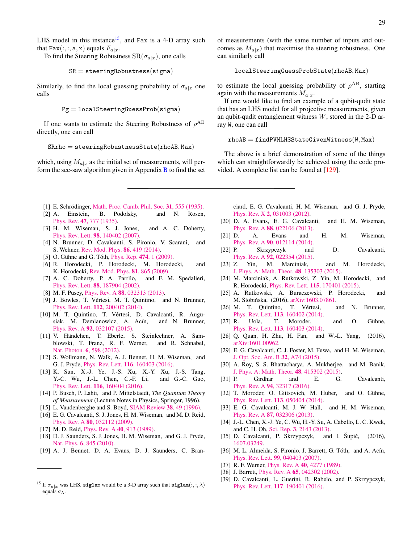LHS model in this instance<sup>[15](#page-28-37)</sup>, and Fax is a 4-D array such that Fax $(:, :, a, x)$  equals  $F_{a|x}$ .

To find the Steering Robustness  $\text{SR}(\sigma_{a|x})$ , one calls

$$
\mathtt{SR} = \mathtt{steeringRobustness}(\mathtt{sigma})
$$

Similarly, to find the local guessing probability of  $\sigma_{a|x}$  one calls

$$
\mathtt{Pg} = \mathtt{localSteeringGuessProb}(\mathtt{sigma})
$$

If one wants to estimate the Steering Robustness of  $\rho^{AB}$ directly, one can call

<span id="page-28-0"></span>
$$
{\tt Skrho} = {\tt steeringRobustnessState}({\tt rhoAB},{\tt Max})
$$

which, using  $M_{a|x}$  as the initial set of measurements, will perform the see-saw algorithm given in Appendix  $\overline{B}$  $\overline{B}$  $\overline{B}$  to find the set of measurements (with the same number of inputs and outcomes as  $M_{a|x}$ ) that maximise the steering robustness. One can similarly call

$$
{\tt local Steering GuessProbState}({\tt rhoAB}, {\tt Max})
$$

to estimate the local guessing probability of  $\rho^{AB}$ , starting again with the measurements  $M_{a|x}$ .

If one would like to find an example of a qubit-qudit state that has an LHS model for all projective measurements, given an qubit-qudit entanglement witness  $W$ , stored in the 2-D array W, one can call

 $rhoB = find$ PVMLHSStateGivenWitness(W, Max)

The above is a brief demonstration of some of the things which can straightforwardly be achieved using the code provided. A complete list can be found at [\[129\]](#page-30-19).

- <span id="page-28-1"></span>[1] E. Schrödinger, [Math. Proc. Camb. Phil. Soc.](http://dx.doi.org/10.1017/s0305004100013554)  $31$ , 555 (1935).<br>[2] A. Einstein, B. Podolsky, and N. Rosen.
- <span id="page-28-2"></span>and N. Rosen, Phys. Rev. 47[, 777 \(1935\).](http://dx.doi.org/10.1103/physrev.47.777)
- <span id="page-28-3"></span>[3] H. M. Wiseman, S. J. Jones, and A. C. Doherty, Phys. Rev. Lett. 98[, 140402 \(2007\).](http://dx.doi.org/10.1103/PhysRevLett.98.140402)
- <span id="page-28-4"></span>[4] N. Brunner, D. Cavalcanti, S. Pironio, V. Scarani, and S. Wehner, [Rev. Mod. Phys.](http://dx.doi.org/ 10.1103/RevModPhys.86.419) 86, 419 (2014).
- <span id="page-28-5"></span>[5] O. Gühne and G. Tóth, [Phys. Rep.](http://dx.doi.org/10.1016/j.physrep.2009.02.004)  $474$ , 1 (2009).
- <span id="page-28-6"></span>[6] R. Horodecki, P. Horodecki, M. Horodecki, and K. Horodecki, [Rev. Mod. Phys.](http://dx.doi.org/10.1103/RevModPhys.81.865) 81, 865 (2009).
- <span id="page-28-7"></span>[7] A. C. Doherty, P. A. Parrilo, and F. M. Spedalieri, Phys. Rev. Lett. 88[, 187904 \(2002\).](http://journals.aps.org/prl/abstract/10.1103/PhysRevLett.88.187904)
- <span id="page-28-8"></span>[8] M. F. Pusey, Phys. Rev. A 88[, 032313 \(2013\).](http://dx.doi.org/10.1103/PhysRevA.88.032313)
- <span id="page-28-9"></span>[9] J. Bowles, T. Vértesi, M. T. Quintino, and N. Brunner, Phys. Rev. Lett. **112**[, 200402 \(2014\).](http://dx.doi.org/10.1103/PhysRevLett.112.200402)
- <span id="page-28-10"></span>[10] M. T. Quintino, T. Vértesi, D. Cavalcanti, R. Augusiak, M. Demianowicz, A. Acín, and N. Brunner, Phys. Rev. A 92[, 032107 \(2015\).](http://dx.doi.org/ 10.1103/PhysRevA.92.032107)
- <span id="page-28-11"></span>[11] V. Händchen, T. Eberle, S. Steinlechner, A. Samblowski, T. Franz, R. F. Werner, and R. Schnabel, [Nat. Photon.](http://dx.doi.org/10.1038/nphoton.2012.202) 6, 598 (2012).
- <span id="page-28-36"></span>[12] S. Wollmann, N. Walk, A. J. Bennet, H. M. Wiseman, and G. J. Pryde, Phys. Rev. Lett. 116[, 160403 \(2016\).](http://dx.doi.org/ 10.1103/PhysRevLett.116.160403)
- <span id="page-28-12"></span>[13] K. Sun, X.-J. Ye, J.-S. Xu, X.-Y. Xu, J.-S. Tang, Y.-C. Wu, J.-L. Chen, C.-F. Li, and G.-C. Guo, Phys. Rev. Lett. 116[, 160404 \(2016\).](http://dx.doi.org/10.1103/PhysRevLett.116.160404)
- <span id="page-28-13"></span>[14] P. Busch, P. Lahti, and P. Mittelstaedt, *The Quantum Theory of Measurement* (Lecture Notes in Physics, Springer, 1996).
- <span id="page-28-14"></span>[15] L. Vandenberghe and S. Boyd, [SIAM Review](http://dx.doi.org/10.1137/1038003) 38, 49 (1996).
- <span id="page-28-15"></span>[16] E. G. Cavalcanti, S. J. Jones, H. M. Wiseman, and M. D. Reid, Phys. Rev. A 80[, 032112 \(2009\).](http://dx.doi.org/10.1103/PhysRevA.80.032112)
- <span id="page-28-16"></span>[17] M. D. Reid, *[Phys. Rev. A](http://link.aps.org/doi/10.1103/PhysRevA.40.913)* **40**, 913 (1989).
- <span id="page-28-17"></span>[18] D. J. Saunders, S. J. Jones, H. M. Wiseman, and G. J. Pryde, Nat. Phys. 6[, 845 \(2010\).](http://dx.doi.org/10.1038/nphys1766)
- <span id="page-28-19"></span>[19] A. J. Bennet, D. A. Evans, D. J. Saunders, C. Bran-

ciard, E. G. Cavalcanti, H. M. Wiseman, and G. J. Pryde, Phys. Rev. X 2[, 031003 \(2012\).](http://dx.doi.org/10.1103/physrevx.2.031003)

- <span id="page-28-20"></span>[20] D. A. Evans, E. G. Cavalcanti, and H. M. Wiseman, Phys. Rev. A 88[, 022106 \(2013\).](http://dx.doi.org/10.1103/PhysRevA.88.022106)
- <span id="page-28-21"></span>[21] D. A. Evans and H. M. Wiseman, Phys. Rev. A 90[, 012114 \(2014\).](http://dx.doi.org/10.1103/PhysRevA.90.012114)
- <span id="page-28-18"></span>[22] P. Skrzypczyk and D. Cavalcanti, Phys. Rev. A 92[, 022354 \(2015\).](http://dx.doi.org/10.1103/PhysRevA.92.022354)
- [23] Z. Yin, M. Marciniak, and M. Horodecki, [J. Phys. A: Math. Theor.](http://stacks.iop.org/1751-8121/48/i=13/a=135303) 48, 135303 (2015).
- <span id="page-28-22"></span>[24] M. Marciniak, A. Rutkowski, Z. Yin, M. Horodecki, and R. Horodecki, Phys. Rev. Lett. 115[, 170401 \(2015\).](http://dx.doi.org/10.1103/PhysRevLett.115.170401)
- <span id="page-28-23"></span>[25] A. Rutkowski, A. Buraczewski, P. Horodecki, and M. Stobińska, (2016), [arXiv:1603.07861.](http://arxiv.org/abs/1603.07861)
- <span id="page-28-24"></span>[26] M. T. Quintino, T. Vértesi, and N. Brunner, Phys. Rev. Lett. 113[, 160402 \(2014\).](http://dx.doi.org/10.1103/PhysRevLett.113.160402)
- <span id="page-28-25"></span> $[27]$  R. Uola, T. Moroder, and O. Gühne, Phys. Rev. Lett. 113[, 160403 \(2014\).](http://dx.doi.org/10.1103/PhysRevLett.113.160403)
- <span id="page-28-26"></span>[28] Q. Quan, H. Zhu, H. Fan, and W.-L. Yang, (2016), [arXiv:1601.00962.](http://arxiv.org/abs/1601.00962)
- [29] E. G. Cavalcanti, C. J. Foster, M. Fuwa, and H. M. Wiseman, [J. Opt. Soc. Am. B](http://dx.doi.org/10.1364/JOSAB.32.000A74) 32, A74 (2015).
- [30] A. Roy, S. S. Bhattacharya, A. Mukherjee, and M. Banik, [J. Phys. A: Math. Theor.](http://stacks.iop.org/1751-8121/48/i=41/a=415302) 48, 415302 (2015).
- <span id="page-28-27"></span>[31] P. Girdhar and E. G. Cavalcanti, Phys. Rev. A 94[, 32317 \(2016\).](http://link.aps.org/doi/10.1103/PhysRevA.94.032317)
- <span id="page-28-28"></span>[32] T. Moroder, O. Gittsovich, M. Huber, and O. Gühne, Phys. Rev. Lett. 113[, 050404 \(2014\).](http://dx.doi.org/10.1103/PhysRevLett.113.050404)
- <span id="page-28-29"></span>[33] E. G. Cavalcanti, M. J. W. Hall, and H. M. Wiseman, Phys. Rev. A 87[, 032306 \(2013\).](http://dx.doi.org/10.1103/PhysRevA.87.032306)
- <span id="page-28-30"></span>[34] J.-L. Chen, X.-J. Ye, C. Wu, H.-Y. Su, A. Cabello, L. C. Kwek, and C. H. Oh, Sci. Rep. 3[, 2143 \(2013\).](http://dx.doi.org/ 10.1038/srep02143)
- <span id="page-28-31"></span>[35] D. Cavalcanti, P. Skrzypczyk, and I. Šupić,  $(2016)$ , [1607.03249.](http://arxiv.org/abs/1607.03249)
- <span id="page-28-32"></span>[36] M. L. Almeida, S. Pironio, J. Barrett, G. Tóth, and A. Acín, Phys. Rev. Lett. 99[, 040403 \(2007\).](http://dx.doi.org/ 10.1103/PhysRevLett.99.040403)
- <span id="page-28-33"></span>[37] R. F. Werner, *Phys. Rev. A* **40**[, 4277 \(1989\).](http://link.aps.org/doi/10.1103/PhysRevA.40.4277)
- <span id="page-28-34"></span>[38] J. Barrett, Phys. Rev. A **65**[, 042302 \(2002\).](http://dx.doi.org/10.1103/PhysRevA.65.042302)
- <span id="page-28-35"></span>[39] D. Cavalcanti, L. Guerini, R. Rabelo, and P. Skrzypczyk, Phys. Rev. Lett. 117[, 190401 \(2016\).](http://link.aps.org/doi/10.1103/PhysRevLett.117.190401)

<span id="page-28-37"></span><sup>&</sup>lt;sup>15</sup> If  $\sigma_{a|x}$  was LHS, siglam would be a 3-D array such that siglam $(:, : , \lambda)$ equals  $\sigma_{\lambda}$ .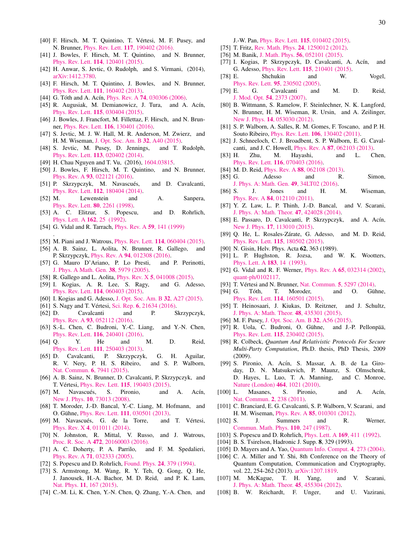- <span id="page-29-0"></span>[40] F. Hirsch, M. T. Quintino, T. Vertesi, M. F. Pusey, and ´ N. Brunner, Phys. Rev. Lett. 117[, 190402 \(2016\).](http://link.aps.org/doi/10.1103/PhysRevLett.117.190402)
- <span id="page-29-1"></span>[41] J. Bowles, F. Hirsch, M. T. Quintino, and N. Brunner, Phys. Rev. Lett. 114[, 120401 \(2015\).](http://dx.doi.org/10.1103/PhysRevLett.114.120401)
- <span id="page-29-2"></span>[42] H. Anwar, S. Jevtic, O. Rudolph, and S. Virmani, (2014), [arXiv:1412.3780.](http://arxiv.org/abs/1412.3780)
- <span id="page-29-3"></span>[43] F. Hirsch, M. T. Quintino, J. Bowles, and N. Brunner, Phys. Rev. Lett. 111[, 160402 \(2013\).](http://dx.doi.org/10.1103/PhysRevLett.111.160402)
- <span id="page-29-4"></span>[44] G. Tóth and A. Acín, *Phys. Rev. A* **74**[, 030306 \(2006\).](http://dx.doi.org/10.1103/PhysRevA.74.030306)
- <span id="page-29-26"></span>[45] R. Augusiak, M. Demianowicz, J. Tura, and A. Acín, Phys. Rev. Lett. 115[, 030404 \(2015\).](http://dx.doi.org/10.1103/PhysRevLett.115.030404)
- <span id="page-29-5"></span>[46] J. Bowles, J. Francfort, M. Fillettaz, F. Hirsch, and N. Brunner, Phys. Rev. Lett. 116[, 130401 \(2016\).](http://dx.doi.org/10.1103/PhysRevLett.116.130401)
- <span id="page-29-6"></span>[47] S. Jevtic, M. J. W. Hall, M. R. Anderson, M. Zwierz, and H. M. Wiseman, [J. Opt. Soc. Am. B](http://dx.doi.org/10.1364/josab.32.000a40) 32, A40 (2015).
- <span id="page-29-7"></span>[48] S. Jevtic, M. Pusey, D. Jennings, and T. Rudolph, Phys. Rev. Lett. 113[, 020402 \(2014\).](http://dx.doi.org/10.1103/PhysRevLett.113.020402)
- <span id="page-29-8"></span>[49] H. Chau Nguyen and T. Vu, (2016), [1604.03815.](http://arxiv.org/abs/1604.03815)
- <span id="page-29-9"></span>[50] J. Bowles, F. Hirsch, M. T. Quintino, and N. Brunner, Phys. Rev. A 93[, 022121 \(2016\).](http://dx.doi.org/10.1103/PhysRevA.93.022121)
- <span id="page-29-10"></span>[51] P. Skrzypczyk, M. Navascués, and D. Cavalcanti, Phys. Rev. Lett. 112[, 180404 \(2014\).](http://dx.doi.org/10.1103/PhysRevLett.112.180404)
- <span id="page-29-11"></span>[52] M. Lewenstein and A. Sanpera, [Phys. Rev. Lett.](http://link.aps.org/doi/10.1103/PhysRevLett.80.2261) 80, 2261 (1998).
- <span id="page-29-12"></span>[53] A. C. Elitzur, S. Popescu, and D. Rohrlich, [Phys. Lett. A](http://dx.doi.org/http://dx.doi.org/10.1016/0375-9601(92)90952-I) 162, 25 (1992).
- <span id="page-29-13"></span>[54] G. Vidal and R. Tarrach, *[Phys. Rev. A](http://dx.doi.org/10.1103/PhysRevA.59.141)* **59**, 141 (1999)

.

- <span id="page-29-14"></span>[55] M. Piani and J. Watrous, *Phys. Rev. Lett.* **114**[, 060404 \(2015\).](http://dx.doi.org/10.1103/PhysRevLett.114.060404)
- <span id="page-29-15"></span>[56] A. B. Sainz, L. Aolita, N. Brunner, R. Gallego, and P. Skrzypczyk, Phys. Rev. A 94[, 012308 \(2016\).](http://dx.doi.org/ 10.1103/PhysRevA.94.012308)
- <span id="page-29-16"></span>[57] G. Mauro D'Ariano, P. Lo Presti, and P. Perinotti, [J. Phys. A Math. Gen.](http://dx.doi.org/10.1088/0305-4470/38/26/010) 38, 5979 (2005).
- <span id="page-29-17"></span>[58] R. Gallego and L. Aolita, *Phys. Rev. X* **5**[, 041008 \(2015\).](http://dx.doi.org/10.1103/PhysRevX.5.041008)
- <span id="page-29-18"></span>[59] I. Kogias, A. R. Lee, S. Ragy, and G. Adesso, Phys. Rev. Lett. 114[, 060403 \(2015\).](http://dx.doi.org/ 10.1103/PhysRevLett.114.060403)
- <span id="page-29-19"></span>[60] I. Kogias and G. Adesso, [J. Opt. Soc. Am. B](http://dx.doi.org/10.1364/josab.32.000a27) 32, A27 (2015).
- <span id="page-29-20"></span>[61] S. Nagy and T. Vértesi, Sci. Rep. 6[, 21634 \(2016\).](http://dx.doi.org/10.1038/srep21634)
- <span id="page-29-21"></span>[62] D. Cavalcanti and P. Skrzypczyk, Phys. Rev. A 93[, 052112 \(2016\).](http://dx.doi.org/10.1103/PhysRevA.93.052112)
- <span id="page-29-22"></span>[63] S.-L. Chen, C. Budroni, Y.-C. Liang, and Y.-N. Chen, Phys. Rev. Lett. 116[, 240401 \(2016\).](http://dx.doi.org/10.1103/PhysRevLett.116.240401)
- <span id="page-29-23"></span>[64] Q. Y. He and M. D. Reid, Phys. Rev. Lett. 111[, 250403 \(2013\).](http://dx.doi.org/10.1103/PhysRevLett.111.250403)
- <span id="page-29-24"></span>[65] D. Cavalcanti, P. Skrzypczyk, G. H. Aguilar, R. V. Nery, P. H. S. Ribeiro, and S. P. Walborn, [Nat. Commun.](http://www.nature.com/ncomms/2015/150803/ncomms8941/full/ncomms8941.html) 6, 7941 (2015).
- <span id="page-29-25"></span>[66] A. B. Sainz, N. Brunner, D. Cavalcanti, P. Skrzypczyk, and T. Vértesi, *Phys. Rev. Lett.* **115**[, 190403 \(2015\).](http://journals.aps.org/prl/abstract/10.1103/PhysRevLett.115.190403)
- <span id="page-29-27"></span>[67] M. Navascués, S. Pironio, and A. Acín, New J. Phys. 10[, 73013 \(2008\).](http://iopscience.iop.org/1367-2630/10/7/073013)
- <span id="page-29-28"></span>[68] T. Moroder, J.-D. Bancal, Y.-C. Liang, M. Hofmann, and O. Gühne, *Phys. Rev. Lett.* **111**[, 030501 \(2013\).](http://link.aps.org/doi/10.1103/PhysRevLett.111.030501)
- <span id="page-29-29"></span>[69] M. Navascués, G. de la Torre, and T. Vértesi, Phys. Rev. X 4[, 011011 \(2014\).](http://dx.doi.org/10.1103/PhysRevX.4.011011)
- <span id="page-29-30"></span>[70] N. Johnston, R. Mittal, V. Russo, and J. Watrous, Proc. R. Soc. A 472[, 20160003 \(2016\).](http://dx.doi.org/10.1098/rspa.2016.0003)
- <span id="page-29-31"></span>[71] A. C. Doherty, P. A. Parrilo, and F. M. Spedalieri, Phys. Rev. A 71[, 032333 \(2005\).](http://dx.doi.org/10.1103/PhysRevA.71.032333)
- <span id="page-29-32"></span>[72] S. Popescu and D. Rohrlich, [Found. Phys.](http://dx.doi.org/10.1007/BF02058098) 24, 379 (1994).
- <span id="page-29-33"></span>[73] S. Armstrong, M. Wang, R. Y. Teh, Q. Gong, Q. He, J. Janousek, H.-A. Bachor, M. D. Reid, and P. K. Lam, Nat. Phys. 11[, 167 \(2015\).](http://dx.doi.org/10.1038/nphys3202)
- <span id="page-29-34"></span>[74] C.-M. Li, K. Chen, Y.-N. Chen, O. Zhang, Y.-A. Chen, and

J.-W. Pan, Phys. Rev. Lett. 115[, 010402 \(2015\).](http://dx.doi.org/ 10.1103/PhysRevLett.115.010402)

- <span id="page-29-35"></span>[75] T. Fritz, Rev. Math. Phys. **24**[, 1250012 \(2012\).](http://dx.doi.org/10.1142/S0129055X12500122)
- <span id="page-29-36"></span>[76] M. Banik, J. Math. Phys. 56[, 052101 \(2015\).](http://dx.doi.org/10.1063/1.4919546)
- <span id="page-29-37"></span>[77] I. Kogias, P. Skrzypczyk, D. Cavalcanti, A. Acín, and G. Adesso, Phys. Rev. Lett. 115[, 210401 \(2015\).](http://dx.doi.org/ 10.1103/PhysRevLett.115.210401)
- <span id="page-29-38"></span>[78] E. Shchukin and W. Vogel, Phys. Rev. Lett. 95[, 230502 \(2005\).](http://dx.doi.org/10.1103/PhysRevLett.95.230502)
- <span id="page-29-39"></span>[79] E. G. Cavalcanti and M. D. Reid, J. Mod. Opt. 54[, 2373 \(2007\).](http://dx.doi.org/10.1080/09500340701639623)
- <span id="page-29-40"></span>[80] B. Wittmann, S. Ramelow, F. Steinlechner, N. K. Langford, N. Brunner, H. M. Wiseman, R. Ursin, and A. Zeilinger, New J. Phys. 14[, 053030 \(2012\).](http://dx.doi.org/10.1088/1367-2630/14/5/053030)
- <span id="page-29-41"></span>[81] S. P. Walborn, A. Salles, R. M. Gomes, F. Toscano, and P. H. Souto Ribeiro, Phys. Rev. Lett. 106[, 130402 \(2011\).](http://link.aps.org/doi/10.1103/PhysRevLett.106.130402)
- [82] J. Schneeloch, C. J. Broadbent, S. P. Walborn, E. G. Cavalcanti, and J. C. Howell, Phys. Rev. A 87[, 062103 \(2013\).](http://dx.doi.org/10.1103/PhysRevA.87.062103)
- <span id="page-29-42"></span>[83] H. Zhu, M. Hayashi, and L. Chen, Phys. Rev. Lett. 116[, 070403 \(2016\).](http://dx.doi.org/ 10.1103/PhysRevLett.116.070403)
- <span id="page-29-43"></span>[84] M. D. Reid, *Phys. Rev. A* **88**[, 062108 \(2013\).](http://dx.doi.org/10.1103/PhysRevA.88.062108)
- <span id="page-29-44"></span>[85] G. Adesso and R. Simon, [J. Phys. A: Math. Gen.](http://dx.doi.org/10.1088/1751-8113/49/34/34LT02) 49, 34LT02 (2016).
- <span id="page-29-45"></span>[86] S. J. Jones and H. M. Wiseman, Phys. Rev. A 84[, 012110 \(2011\).](http://dx.doi.org/10.1103/PhysRevA.84.012110)
- <span id="page-29-56"></span>[87] Y. Z. Law, L. P. Thinh, J.-D. Bancal, and V. Scarani, [J. Phys. A: Math. Theor.](http://stacks.iop.org/1751-8121/47/i=42/a=424028) 47, 424028 (2014).
- <span id="page-29-57"></span>[88] E. Passaro, D. Cavalcanti, P. Skrzypczyk, and A. Acín, New J. Phys. 17[, 113010 \(2015\).](http://stacks.iop.org/1367-2630/17/i=11/a=113010)
- <span id="page-29-62"></span>[89] Q. He, L. Rosales-Zárate, G. Adesso, and M. D. Reid, Phys. Rev. Lett. 115[, 180502 \(2015\).](http://link.aps.org/doi/10.1103/PhysRevLett.115.180502)
- <span id="page-29-47"></span>
- <span id="page-29-46"></span>[90] N. Gisin, Helv. Phys. Acta  $62$ , 363 (1989).<br>[91] L. P. Hughston, R. Jozsa, and W. K. Wootters, [91] L. P. Hughston, R. Jozsa, [Phys. Lett. A](http://dx.doi.org/http://dx.doi.org/10.1016/0375-9601(93)90880-9) 183, 14 (1993).
- <span id="page-29-48"></span>[92] G. Vidal and R. F. Werner, *Phys. Rev. A* **65**[, 032314 \(2002\),](http://dx.doi.org/10.1103/PhysRevA.65.032314) [quant-ph/0102117.](http://arxiv.org/abs/quant-ph/0102117)
- <span id="page-29-50"></span>[93] T. Vértesi and N. Brunner, [Nat. Commun.](http://dx.doi.org/10.1038/ncomms6297) 5, 5297 (2014).
- <span id="page-29-49"></span>[94] G. Tóth, T. Moroder, and O. Gühne, Phys. Rev. Lett. 114[, 160501 \(2015\).](http://dx.doi.org/10.1103/PhysRevLett.114.160501)
- <span id="page-29-51"></span>[95] T. Heinosaari, J. Kiukas, D. Reitzner, and J. Schultz, [J. Phys. A: Math. Theor.](http://stacks.iop.org/1751-8121/48/i=43/a=435301) 48, 435301 (2015).
- <span id="page-29-53"></span>[96] M. F. Pusey, [J. Opt. Soc. Am. B](http://dx.doi.org/10.1364/JOSAB.32.000A56) 32, A56 (2015).
- <span id="page-29-52"></span>[97] R. Uola, C. Budroni, O. Gühne, and J.-P. Pellonpää, Phys. Rev. Lett. 115[, 230402 \(2015\).](http://dx.doi.org/10.1103/PhysRevLett.115.230402)
- <span id="page-29-54"></span>[98] R. Colbeck, *Quantum And Relativistic Protocols For Secure Multi-Party Computation*, Ph.D. thesis, PhD Thesis, 2009 (2009).
- [99] S. Pironio, A. Acín, S. Massar, A. B. de La Giroday, D. N. Matsukevich, P. Maunz, S. Olmschenk, D. Hayes, L. Luo, T. A. Manning, and C. Monroe, [Nature \(London\)](http://dx.doi.org/10.1038/nature09008) **464**, 1021 (2010).<br>[100] L. Masanes, S. Pironio,
- <span id="page-29-55"></span>Masanes, S. Pironio, and A. Acín, [Nat. Commun.](http://dx.doi.org/10.1038/ncomms1244) 2, 238 (2011).
- <span id="page-29-58"></span>[101] C. Branciard, E. G. Cavalcanti, S. P. Walborn, V. Scarani, and H. M. Wiseman, Phys. Rev. A 85[, 010301 \(2012\).](http://dx.doi.org/10.1103/PhysRevA.85.010301)
- <span id="page-29-59"></span>[102] S. J. Summers and R. Werner, [Commun. Math. Phys.](http://dx.doi.org/10.1007/BF01207366) 110, 247 (1987).
- [103] S. Popescu and D. Rohrlich, *[Phys. Lett. A](http://dx.doi.org/ http://dx.doi.org/10.1016/0375-9601(92)90819-8)* **169**, 411 (1992).
- [104] B. S. Tsirelson, Hadronic J. Supp. 8, 329 (1993).
- <span id="page-29-60"></span>[105] D. Mayers and A. Yao, [Quantum Info. Comput.](http://dl.acm.org/citation.cfm?id=2011827.2011830) 4, 273 (2004).
- <span id="page-29-61"></span>[106] C. A. Miller and Y. Shi, 8th Conference on the Theory of Quantum Computation, Communication and Cryptography, vol. 22, 254-262 (2013). [arXiv:1207.1819.](http://arxiv.org/abs/1207.1819)
- [107] M. McKague, T. H. Yang, and V. Scarani, [J. Phys. A: Math. Theor.](http://stacks.iop.org/1751-8121/45/i=45/a=455304) 45, 455304 (2012).
- [108] B. W. Reichardt, F. Unger, and U. Vazirani,